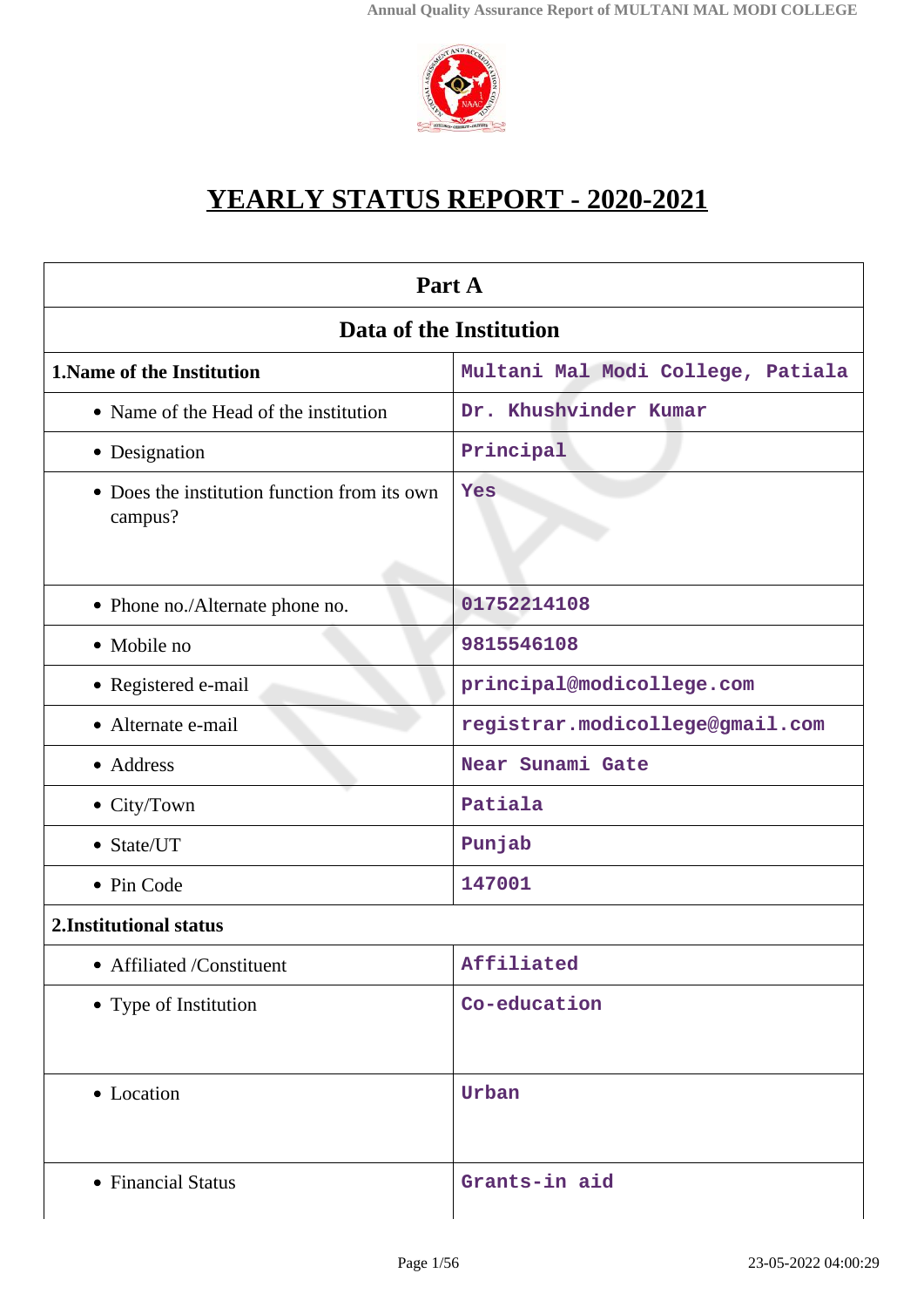

# **YEARLY STATUS REPORT - 2020-2021**

| Part A                                                  |                                   |  |
|---------------------------------------------------------|-----------------------------------|--|
| Data of the Institution                                 |                                   |  |
| <b>1. Name of the Institution</b>                       | Multani Mal Modi College, Patiala |  |
| • Name of the Head of the institution                   | Dr. Khushvinder Kumar             |  |
| • Designation                                           | Principal                         |  |
| • Does the institution function from its own<br>campus? | Yes                               |  |
| • Phone no./Alternate phone no.                         | 01752214108                       |  |
| • Mobile no                                             | 9815546108                        |  |
| • Registered e-mail                                     | principal@modicollege.com         |  |
| • Alternate e-mail                                      | registrar.modicollege@gmail.com   |  |
| • Address                                               | Near Sunami Gate                  |  |
| $\bullet$ City/Town                                     | Patiala                           |  |
| • State/UT                                              | Punjab                            |  |
| • Pin Code                                              | 147001                            |  |
| 2. Institutional status                                 |                                   |  |
| • Affiliated /Constituent                               | Affiliated                        |  |
| • Type of Institution                                   | Co-education                      |  |
| • Location                                              | Urban                             |  |
| • Financial Status                                      | Grants-in aid                     |  |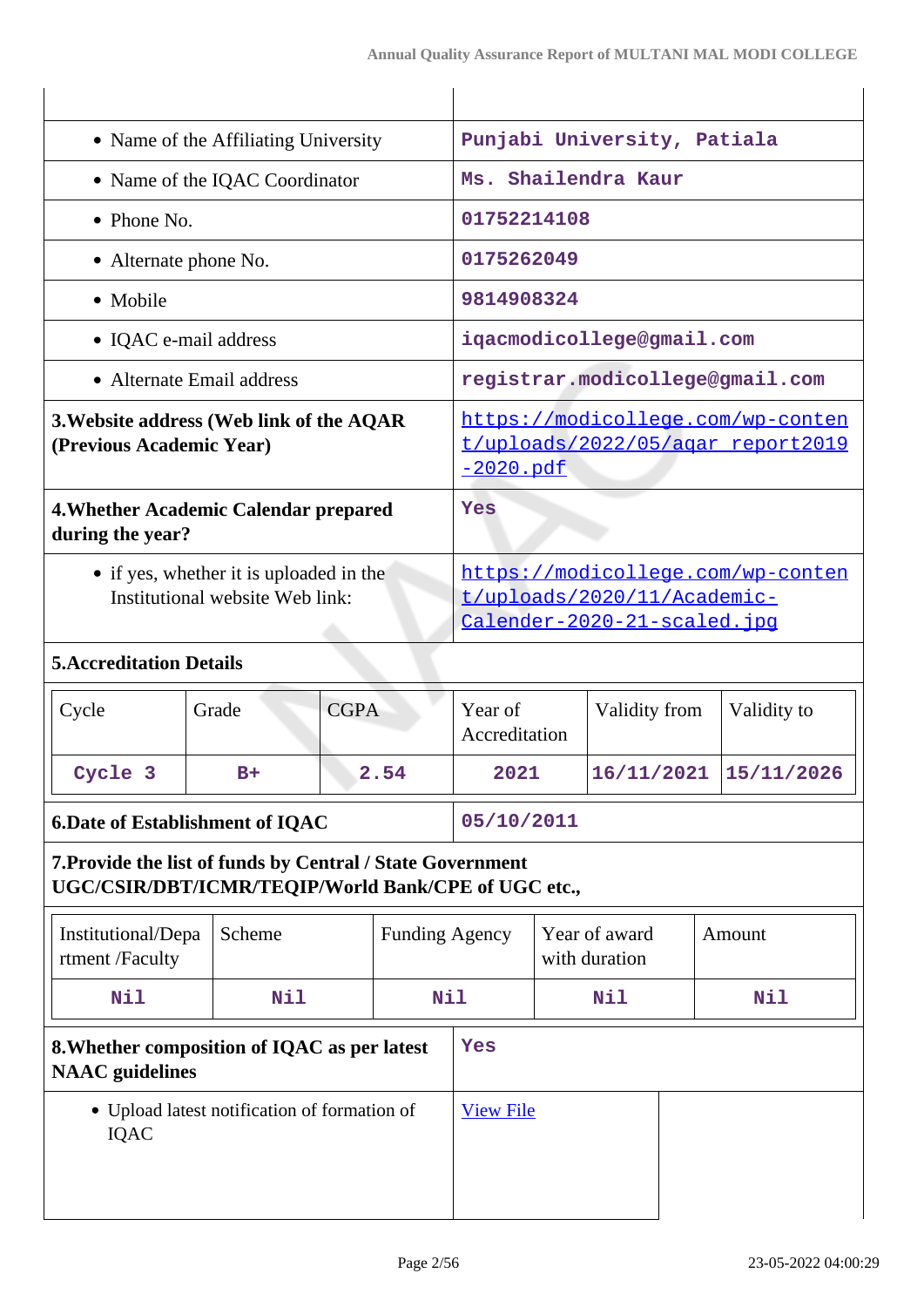| • Name of the Affiliating University                                                                              |                                       |                                                                                        | Punjabi University, Patiala                                                                            |                                 |                                |               |  |                       |
|-------------------------------------------------------------------------------------------------------------------|---------------------------------------|----------------------------------------------------------------------------------------|--------------------------------------------------------------------------------------------------------|---------------------------------|--------------------------------|---------------|--|-----------------------|
| • Name of the IQAC Coordinator                                                                                    |                                       |                                                                                        | Ms. Shailendra Kaur                                                                                    |                                 |                                |               |  |                       |
| • Phone No.                                                                                                       |                                       |                                                                                        | 01752214108                                                                                            |                                 |                                |               |  |                       |
| • Alternate phone No.                                                                                             |                                       |                                                                                        |                                                                                                        | 0175262049                      |                                |               |  |                       |
| • Mobile                                                                                                          |                                       |                                                                                        |                                                                                                        | 9814908324                      |                                |               |  |                       |
| • IQAC e-mail address                                                                                             |                                       | iqacmodicollege@gmail.com                                                              |                                                                                                        |                                 |                                |               |  |                       |
|                                                                                                                   | • Alternate Email address             |                                                                                        |                                                                                                        | registrar.modicollege@gmail.com |                                |               |  |                       |
| 3. Website address (Web link of the AQAR<br>(Previous Academic Year)                                              |                                       | https://modicollege.com/wp-conten<br>t/uploads/2022/05/agar report2019<br>$-2020.$ pdf |                                                                                                        |                                 |                                |               |  |                       |
| during the year?                                                                                                  | 4. Whether Academic Calendar prepared |                                                                                        | Yes                                                                                                    |                                 |                                |               |  |                       |
| • if yes, whether it is uploaded in the<br>Institutional website Web link:                                        |                                       |                                                                                        | https://modicollege.com/wp-conten<br>t/uploads/2020/11/Academic-<br><u>Calender-2020-21-scaled.ipq</u> |                                 |                                |               |  |                       |
| <b>5. Accreditation Details</b>                                                                                   |                                       |                                                                                        |                                                                                                        |                                 |                                |               |  |                       |
| Cycle                                                                                                             | Grade                                 | <b>CGPA</b>                                                                            |                                                                                                        | Year of<br>Accreditation        |                                | Validity from |  | Validity to           |
| Cycle 3                                                                                                           | $B+$                                  | 2.54                                                                                   |                                                                                                        | 2021                            |                                |               |  | 16/11/2021 15/11/2026 |
| <b>6.Date of Establishment of IQAC</b>                                                                            |                                       | 05/10/2011                                                                             |                                                                                                        |                                 |                                |               |  |                       |
| 7. Provide the list of funds by Central / State Government<br>UGC/CSIR/DBT/ICMR/TEQIP/World Bank/CPE of UGC etc., |                                       |                                                                                        |                                                                                                        |                                 |                                |               |  |                       |
| Institutional/Depa<br>rtment /Faculty                                                                             | Scheme                                | <b>Funding Agency</b>                                                                  |                                                                                                        |                                 | Year of award<br>with duration |               |  | Amount                |
| Nil                                                                                                               | <b>Nil</b>                            | Nil                                                                                    |                                                                                                        |                                 | Nil                            |               |  | Nil                   |
| 8. Whether composition of IQAC as per latest<br><b>NAAC</b> guidelines                                            |                                       | Yes                                                                                    |                                                                                                        |                                 |                                |               |  |                       |
| • Upload latest notification of formation of<br>IQAC                                                              |                                       | <b>View File</b>                                                                       |                                                                                                        |                                 |                                |               |  |                       |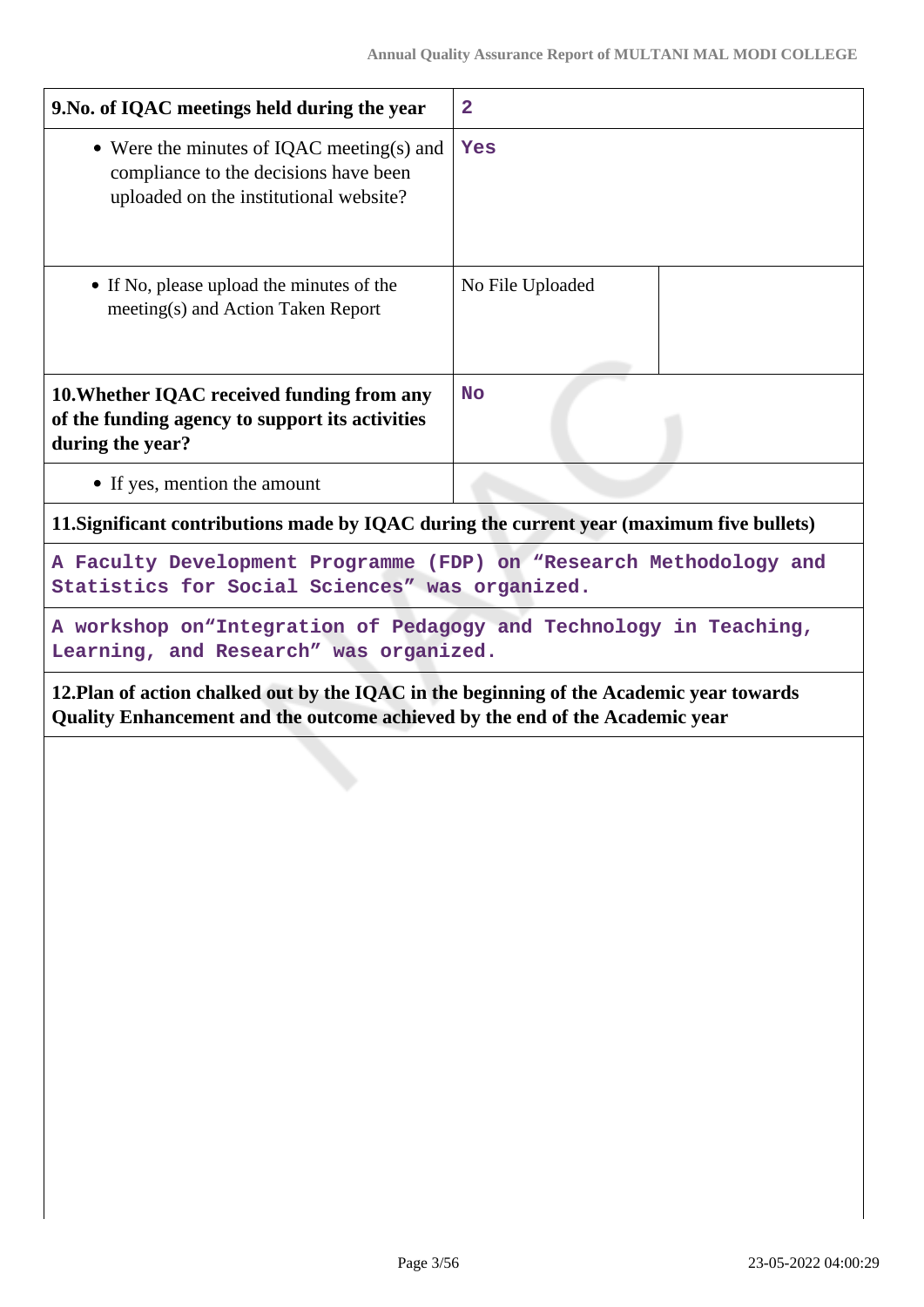| 9. No. of IQAC meetings held during the year                                                                                                                             | $\mathbf{2}$                                                                                               |  |
|--------------------------------------------------------------------------------------------------------------------------------------------------------------------------|------------------------------------------------------------------------------------------------------------|--|
| • Were the minutes of IQAC meeting(s) and<br>compliance to the decisions have been<br>uploaded on the institutional website?                                             | Yes                                                                                                        |  |
| • If No, please upload the minutes of the<br>meeting(s) and Action Taken Report                                                                                          | No File Uploaded                                                                                           |  |
| 10. Whether IQAC received funding from any<br>of the funding agency to support its activities<br>during the year?                                                        | <b>No</b>                                                                                                  |  |
| • If yes, mention the amount                                                                                                                                             |                                                                                                            |  |
| 11. Significant contributions made by IQAC during the current year (maximum five bullets)                                                                                |                                                                                                            |  |
| A Faculty Development Programme (FDP) on "Research Methodology and<br>Statistics for Social Sciences" was organized.                                                     |                                                                                                            |  |
| A workshop on "Integration of Pedagogy and Technology in Teaching,<br>Learning, and Research" was organized.                                                             |                                                                                                            |  |
| 12. Plan of action chalked out by the IQAC in the beginning of the Academic year towards<br>Quality Enhancement and the outcome achieved by the end of the Academic year |                                                                                                            |  |
| an a luan, san astal                                                                                                                                                     | <b>人民和政府的法院的法律和法院的</b> 医无效性 医心理学 医二氯化物 医二乙基<br><u> 사진 사진 시설은 한 후 등의 또 사진을 하는 것이다. 그는 사진이 있는 것이 있는 것이다.</u> |  |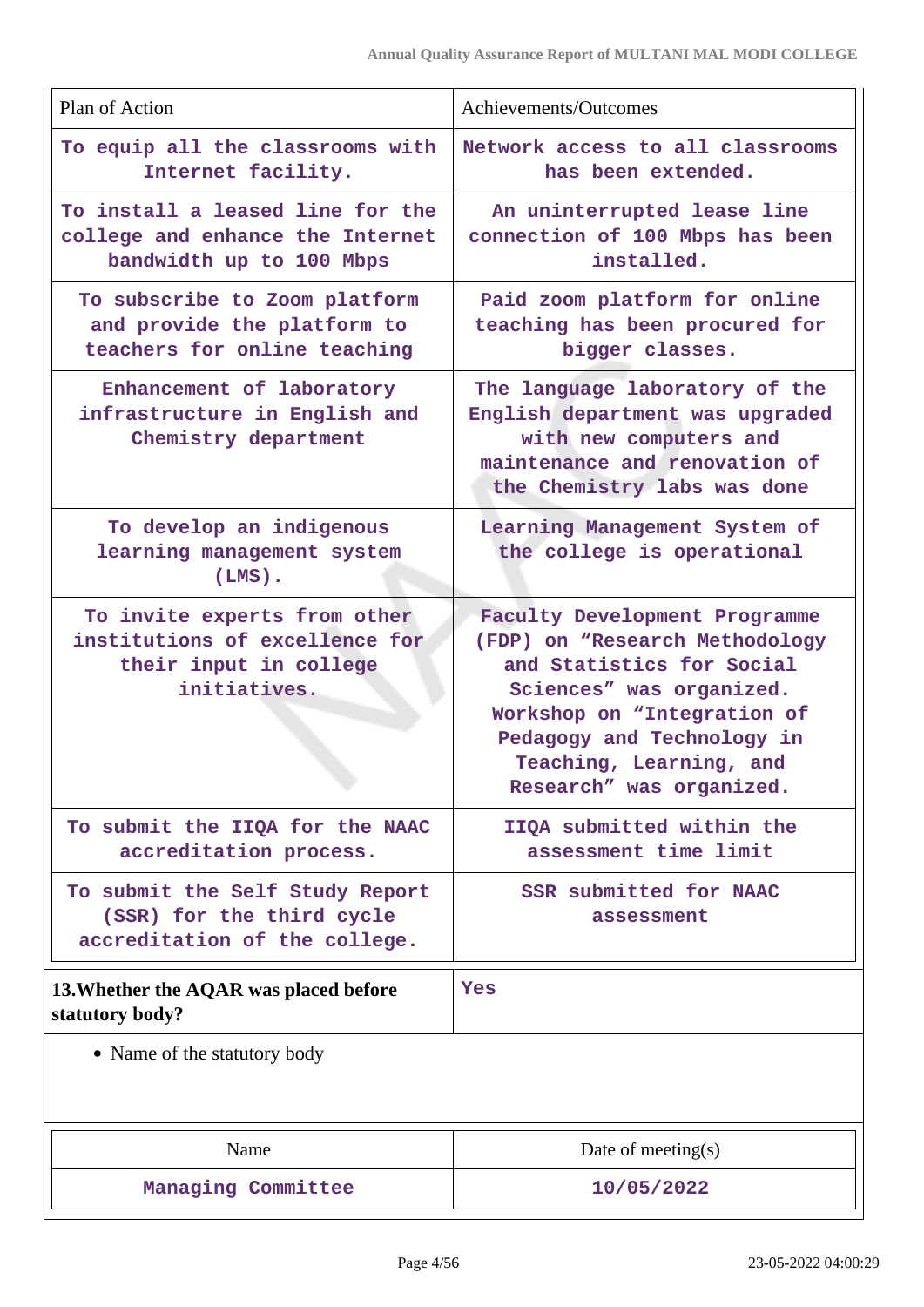| Plan of Action                                                                                           | Achievements/Outcomes                                                                                                                                                                                                                        |
|----------------------------------------------------------------------------------------------------------|----------------------------------------------------------------------------------------------------------------------------------------------------------------------------------------------------------------------------------------------|
| To equip all the classrooms with<br>Internet facility.                                                   | Network access to all classrooms<br>has been extended.                                                                                                                                                                                       |
| To install a leased line for the<br>college and enhance the Internet<br>bandwidth up to 100 Mbps         | An uninterrupted lease line<br>connection of 100 Mbps has been<br>installed.                                                                                                                                                                 |
| To subscribe to Zoom platform<br>and provide the platform to<br>teachers for online teaching             | Paid zoom platform for online<br>teaching has been procured for<br>bigger classes.                                                                                                                                                           |
| Enhancement of laboratory<br>infrastructure in English and<br>Chemistry department                       | The language laboratory of the<br>English department was upgraded<br>with new computers and<br>maintenance and renovation of<br>the Chemistry labs was done                                                                                  |
| To develop an indigenous<br>learning management system<br>$(LMS)$ .                                      | Learning Management System of<br>the college is operational                                                                                                                                                                                  |
| To invite experts from other<br>institutions of excellence for<br>their input in college<br>initiatives. | Faculty Development Programme<br>(FDP) on "Research Methodology<br>and Statistics for Social<br>Sciences" was organized.<br>Workshop on "Integration of<br>Pedagogy and Technology in<br>Teaching, Learning, and<br>Research" was organized. |
| To submit the IIQA for the NAAC<br>accreditation process.                                                | IIQA submitted within the<br>assessment time limit                                                                                                                                                                                           |
| To submit the Self Study Report<br>(SSR) for the third cycle<br>accreditation of the college.            | SSR submitted for NAAC<br>assessment                                                                                                                                                                                                         |
| 13. Whether the AQAR was placed before<br>statutory body?                                                | Yes                                                                                                                                                                                                                                          |
| • Name of the statutory body                                                                             |                                                                                                                                                                                                                                              |
| Name                                                                                                     | Date of meeting $(s)$                                                                                                                                                                                                                        |
| Managing Committee                                                                                       | 10/05/2022                                                                                                                                                                                                                                   |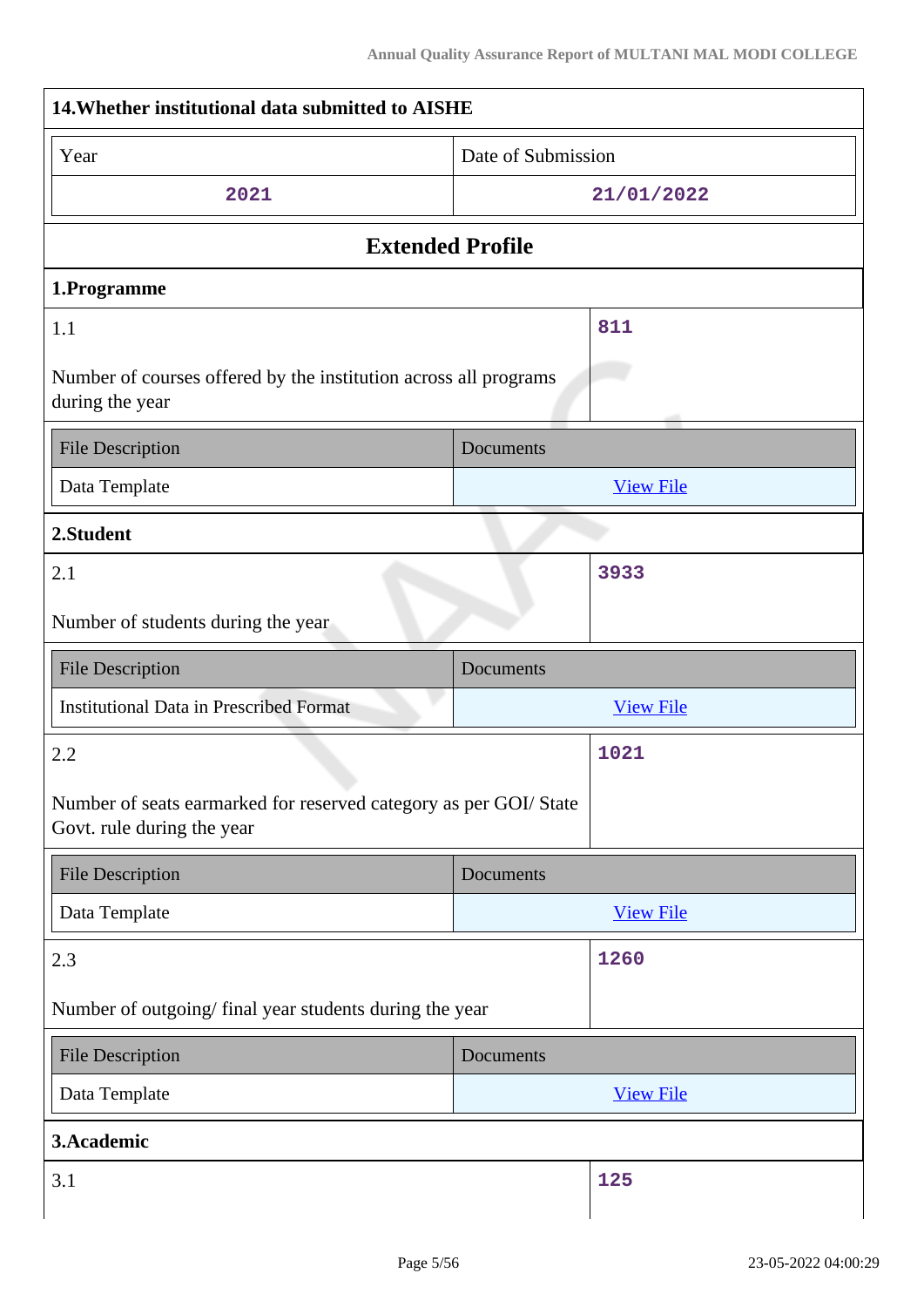| 14. Whether institutional data submitted to AISHE                                               |                    |                  |  |
|-------------------------------------------------------------------------------------------------|--------------------|------------------|--|
| Year                                                                                            | Date of Submission |                  |  |
| 2021                                                                                            | 21/01/2022         |                  |  |
| <b>Extended Profile</b>                                                                         |                    |                  |  |
| 1.Programme                                                                                     |                    |                  |  |
| 1.1                                                                                             |                    | 811              |  |
| Number of courses offered by the institution across all programs<br>during the year             |                    |                  |  |
| <b>File Description</b>                                                                         | Documents          |                  |  |
| Data Template                                                                                   |                    | <b>View File</b> |  |
| 2.Student                                                                                       |                    |                  |  |
| 2.1                                                                                             |                    | 3933             |  |
| Number of students during the year                                                              |                    |                  |  |
| <b>File Description</b>                                                                         | Documents          |                  |  |
|                                                                                                 |                    |                  |  |
| <b>Institutional Data in Prescribed Format</b>                                                  |                    | <b>View File</b> |  |
| 2.2                                                                                             |                    | 1021             |  |
| Number of seats earmarked for reserved category as per GOI/ State<br>Govt. rule during the year |                    |                  |  |
| <b>File Description</b>                                                                         | <b>Documents</b>   |                  |  |
| Data Template                                                                                   |                    | <b>View File</b> |  |
| 2.3                                                                                             |                    | 1260             |  |
| Number of outgoing/final year students during the year                                          |                    |                  |  |
| <b>File Description</b>                                                                         | Documents          |                  |  |
| Data Template                                                                                   |                    | <b>View File</b> |  |
| 3.Academic                                                                                      |                    |                  |  |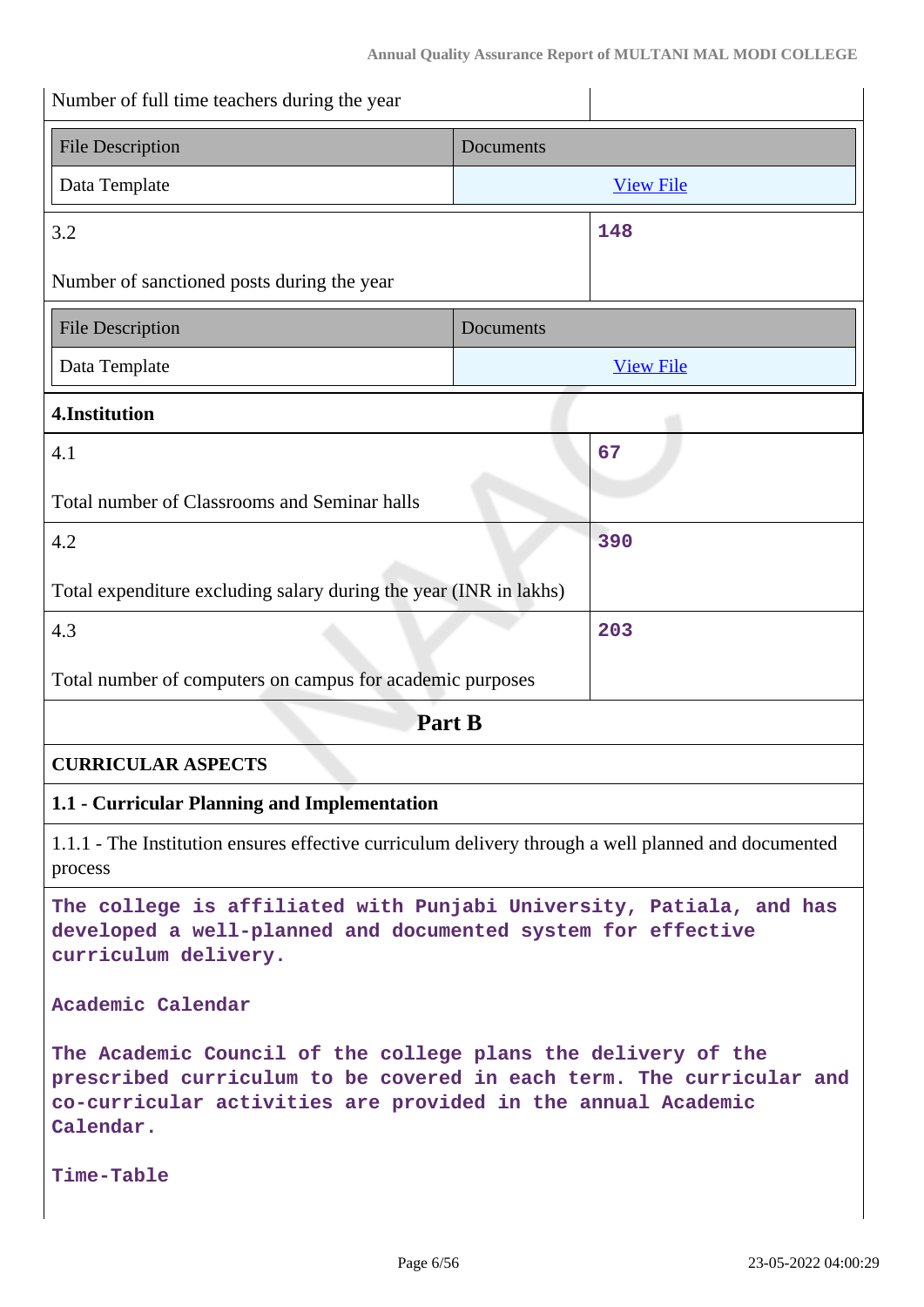| Number of full time teachers during the year                                                                                                                                                                       |           |                  |
|--------------------------------------------------------------------------------------------------------------------------------------------------------------------------------------------------------------------|-----------|------------------|
| <b>File Description</b>                                                                                                                                                                                            | Documents |                  |
| Data Template                                                                                                                                                                                                      |           | <b>View File</b> |
| 3.2                                                                                                                                                                                                                |           | 148              |
| Number of sanctioned posts during the year                                                                                                                                                                         |           |                  |
| <b>File Description</b>                                                                                                                                                                                            | Documents |                  |
| Data Template                                                                                                                                                                                                      |           | <b>View File</b> |
| 4.Institution                                                                                                                                                                                                      |           |                  |
| 4.1                                                                                                                                                                                                                |           | 67               |
| Total number of Classrooms and Seminar halls                                                                                                                                                                       |           |                  |
| 4.2                                                                                                                                                                                                                |           | 390              |
| Total expenditure excluding salary during the year (INR in lakhs)                                                                                                                                                  |           |                  |
| 4.3                                                                                                                                                                                                                |           | 203              |
| Total number of computers on campus for academic purposes                                                                                                                                                          |           |                  |
| Part B                                                                                                                                                                                                             |           |                  |
| <b>CURRICULAR ASPECTS</b>                                                                                                                                                                                          |           |                  |
| 1.1 - Curricular Planning and Implementation                                                                                                                                                                       |           |                  |
| 1.1.1 - The Institution ensures effective curriculum delivery through a well planned and documented<br>process                                                                                                     |           |                  |
| The college is affiliated with Punjabi University, Patiala, and has<br>developed a well-planned and documented system for effective<br>curriculum delivery.                                                        |           |                  |
| Academic Calendar                                                                                                                                                                                                  |           |                  |
| The Academic Council of the college plans the delivery of the<br>prescribed curriculum to be covered in each term. The curricular and<br>co-curricular activities are provided in the annual Academic<br>Calendar. |           |                  |
| Time-Table                                                                                                                                                                                                         |           |                  |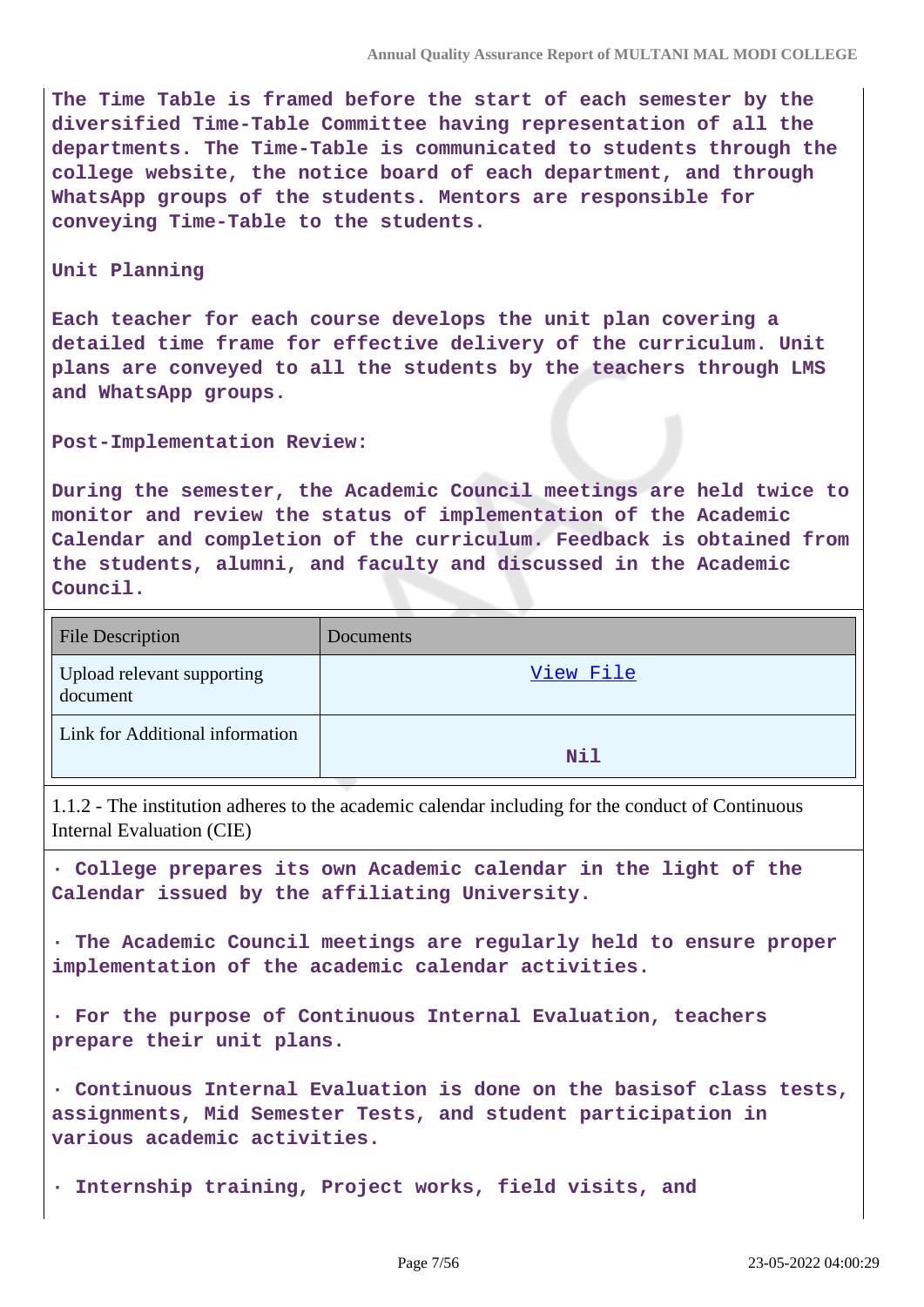**The Time Table is framed before the start of each semester by the diversified Time-Table Committee having representation of all the departments. The Time-Table is communicated to students through the college website, the notice board of each department, and through WhatsApp groups of the students. Mentors are responsible for conveying Time-Table to the students.**

#### **Unit Planning**

**Each teacher for each course develops the unit plan covering a detailed time frame for effective delivery of the curriculum. Unit plans are conveyed to all the students by the teachers through LMS and WhatsApp groups.**

**Post-Implementation Review:** 

**During the semester, the Academic Council meetings are held twice to monitor and review the status of implementation of the Academic Calendar and completion of the curriculum. Feedback is obtained from the students, alumni, and faculty and discussed in the Academic Council.**

| <b>File Description</b>                | <b>Documents</b> |
|----------------------------------------|------------------|
| Upload relevant supporting<br>document | View File        |
| Link for Additional information        | Nil              |

1.1.2 - The institution adheres to the academic calendar including for the conduct of Continuous Internal Evaluation (CIE)

**· College prepares its own Academic calendar in the light of the Calendar issued by the affiliating University.**

**· The Academic Council meetings are regularly held to ensure proper implementation of the academic calendar activities.**

**· For the purpose of Continuous Internal Evaluation, teachers prepare their unit plans.**

**· Continuous Internal Evaluation is done on the basisof class tests, assignments, Mid Semester Tests, and student participation in various academic activities.**

**· Internship training, Project works, field visits, and**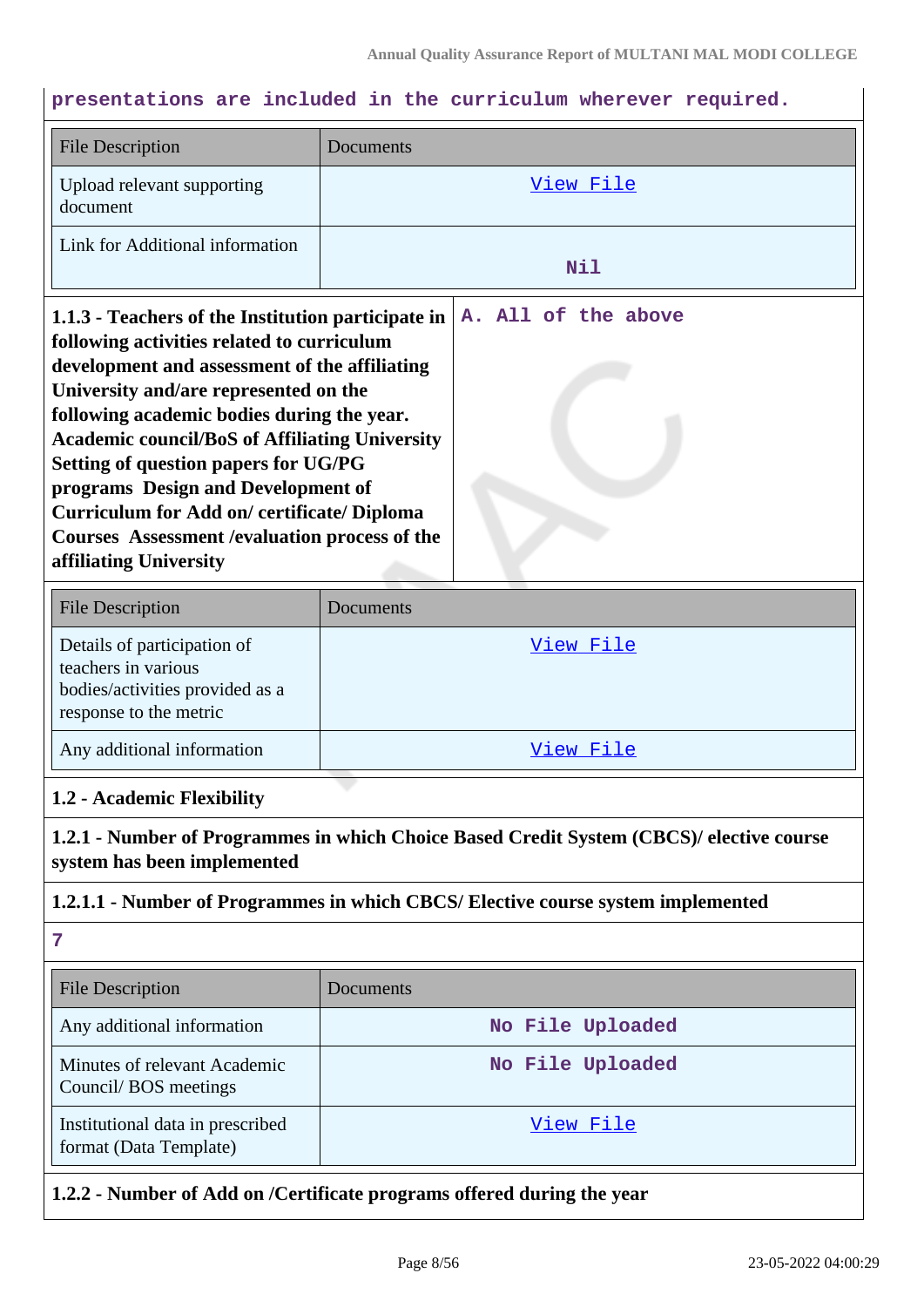## **presentations are included in the curriculum wherever required.**

| <b>File Description</b>                                                                                                                                                                                                                                                                                                                                                                                                                                                                                                                                | Documents        |  |  |
|--------------------------------------------------------------------------------------------------------------------------------------------------------------------------------------------------------------------------------------------------------------------------------------------------------------------------------------------------------------------------------------------------------------------------------------------------------------------------------------------------------------------------------------------------------|------------------|--|--|
| Upload relevant supporting<br>document                                                                                                                                                                                                                                                                                                                                                                                                                                                                                                                 | <u>View File</u> |  |  |
| Link for Additional information                                                                                                                                                                                                                                                                                                                                                                                                                                                                                                                        | Nil              |  |  |
| A. All of the above<br>1.1.3 - Teachers of the Institution participate in<br>following activities related to curriculum<br>development and assessment of the affiliating<br>University and/are represented on the<br>following academic bodies during the year.<br><b>Academic council/BoS of Affiliating University</b><br><b>Setting of question papers for UG/PG</b><br>programs Design and Development of<br><b>Curriculum for Add on/ certificate/ Diploma</b><br><b>Courses Assessment / evaluation process of the</b><br>affiliating University |                  |  |  |
| <b>File Description</b>                                                                                                                                                                                                                                                                                                                                                                                                                                                                                                                                | Documents        |  |  |
| Details of participation of<br>teachers in various<br>bodies/activities provided as a<br>response to the metric                                                                                                                                                                                                                                                                                                                                                                                                                                        | View File        |  |  |
| Any additional information                                                                                                                                                                                                                                                                                                                                                                                                                                                                                                                             | View File        |  |  |
| 1.2 - Academic Flexibility                                                                                                                                                                                                                                                                                                                                                                                                                                                                                                                             |                  |  |  |
| 1.2.1 - Number of Programmes in which Choice Based Credit System (CBCS)/ elective course<br>system has been implemented                                                                                                                                                                                                                                                                                                                                                                                                                                |                  |  |  |
| 1.2.1.1 - Number of Programmes in which CBCS/ Elective course system implemented                                                                                                                                                                                                                                                                                                                                                                                                                                                                       |                  |  |  |
| 7                                                                                                                                                                                                                                                                                                                                                                                                                                                                                                                                                      |                  |  |  |
| <b>File Description</b>                                                                                                                                                                                                                                                                                                                                                                                                                                                                                                                                | Documents        |  |  |
| Any additional information                                                                                                                                                                                                                                                                                                                                                                                                                                                                                                                             | No File Uploaded |  |  |
| Minutes of relevant Academic<br>Council/BOS meetings                                                                                                                                                                                                                                                                                                                                                                                                                                                                                                   | No File Uploaded |  |  |
| Institutional data in prescribed<br>format (Data Template)                                                                                                                                                                                                                                                                                                                                                                                                                                                                                             | View File        |  |  |
| 1.2.2 - Number of Add on /Certificate programs offered during the year                                                                                                                                                                                                                                                                                                                                                                                                                                                                                 |                  |  |  |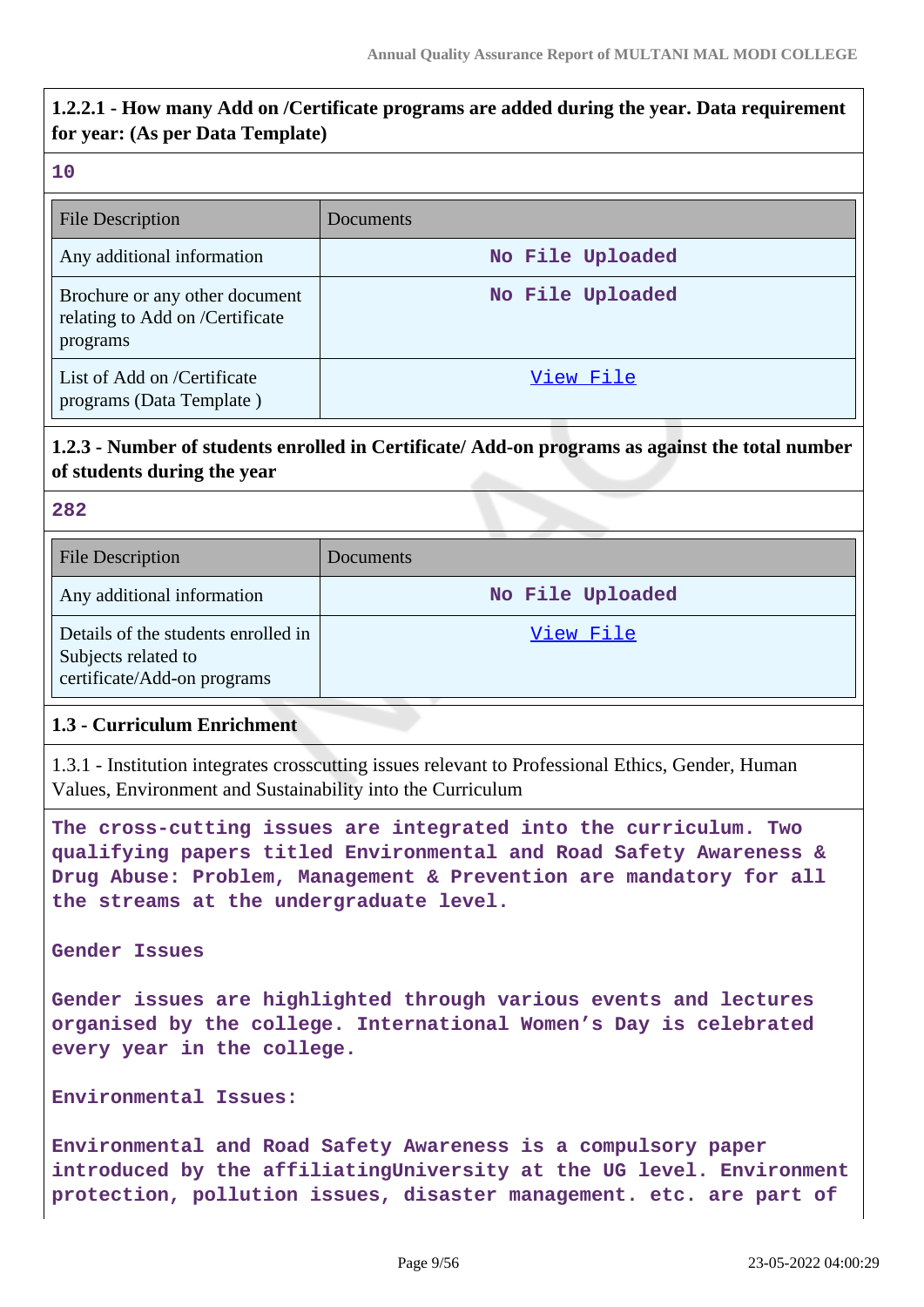## **1.2.2.1 - How many Add on /Certificate programs are added during the year. Data requirement for year: (As per Data Template)**

#### **10**

| <b>File Description</b>                                                       | Documents        |
|-------------------------------------------------------------------------------|------------------|
| Any additional information                                                    | No File Uploaded |
| Brochure or any other document<br>relating to Add on /Certificate<br>programs | No File Uploaded |
| List of Add on /Certificate<br>programs (Data Template)                       | View File        |

## **1.2.3 - Number of students enrolled in Certificate/ Add-on programs as against the total number of students during the year**

#### **282**

| <b>File Description</b>                                                                   | Documents        |
|-------------------------------------------------------------------------------------------|------------------|
| Any additional information                                                                | No File Uploaded |
| Details of the students enrolled in<br>Subjects related to<br>certificate/Add-on programs | View File        |

### **1.3 - Curriculum Enrichment**

1.3.1 - Institution integrates crosscutting issues relevant to Professional Ethics, Gender, Human Values, Environment and Sustainability into the Curriculum

**The cross-cutting issues are integrated into the curriculum. Two qualifying papers titled Environmental and Road Safety Awareness & Drug Abuse: Problem, Management & Prevention are mandatory for all the streams at the undergraduate level.**

**Gender Issues**

**Gender issues are highlighted through various events and lectures organised by the college. International Women's Day is celebrated every year in the college.**

**Environmental Issues:**

**Environmental and Road Safety Awareness is a compulsory paper introduced by the affiliatingUniversity at the UG level. Environment protection, pollution issues, disaster management. etc. are part of**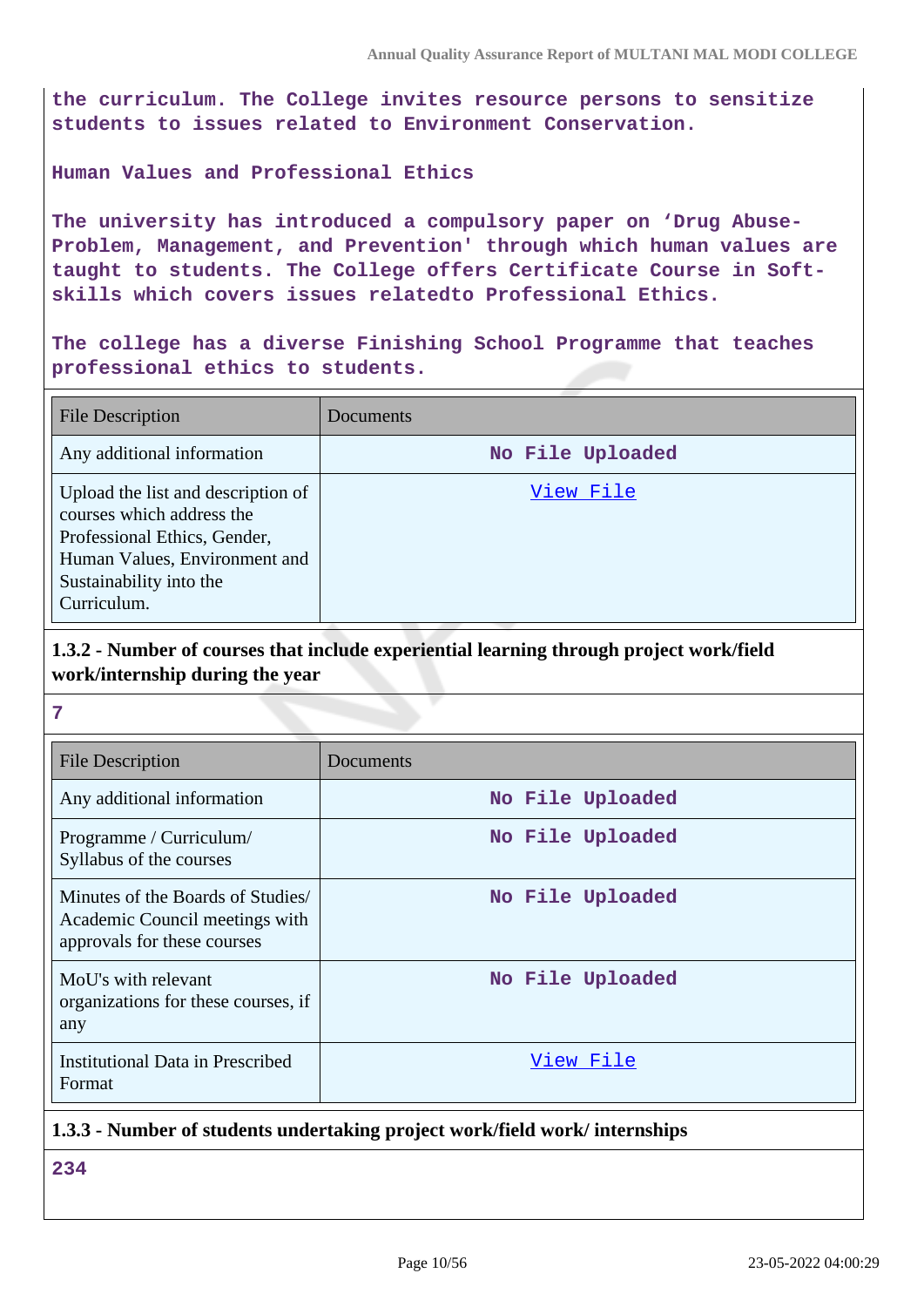**the curriculum. The College invites resource persons to sensitize students to issues related to Environment Conservation.**

#### **Human Values and Professional Ethics**

**The university has introduced a compulsory paper on 'Drug Abuse-Problem, Management, and Prevention' through which human values are taught to students. The College offers Certificate Course in Softskills which covers issues relatedto Professional Ethics.**

**The college has a diverse Finishing School Programme that teaches professional ethics to students.**

| <b>File Description</b>                                                                                                                                                    | Documents        |
|----------------------------------------------------------------------------------------------------------------------------------------------------------------------------|------------------|
| Any additional information                                                                                                                                                 | No File Uploaded |
| Upload the list and description of<br>courses which address the<br>Professional Ethics, Gender,<br>Human Values, Environment and<br>Sustainability into the<br>Curriculum. | View File        |

## **1.3.2 - Number of courses that include experiential learning through project work/field work/internship during the year**

#### **7**

| <b>File Description</b>                                                                            | Documents        |
|----------------------------------------------------------------------------------------------------|------------------|
| Any additional information                                                                         | No File Uploaded |
| Programme / Curriculum/<br>Syllabus of the courses                                                 | No File Uploaded |
| Minutes of the Boards of Studies/<br>Academic Council meetings with<br>approvals for these courses | No File Uploaded |
| MoU's with relevant<br>organizations for these courses, if<br>any                                  | No File Uploaded |
| Institutional Data in Prescribed<br>Format                                                         | View File        |

### **1.3.3 - Number of students undertaking project work/field work/ internships**

**234**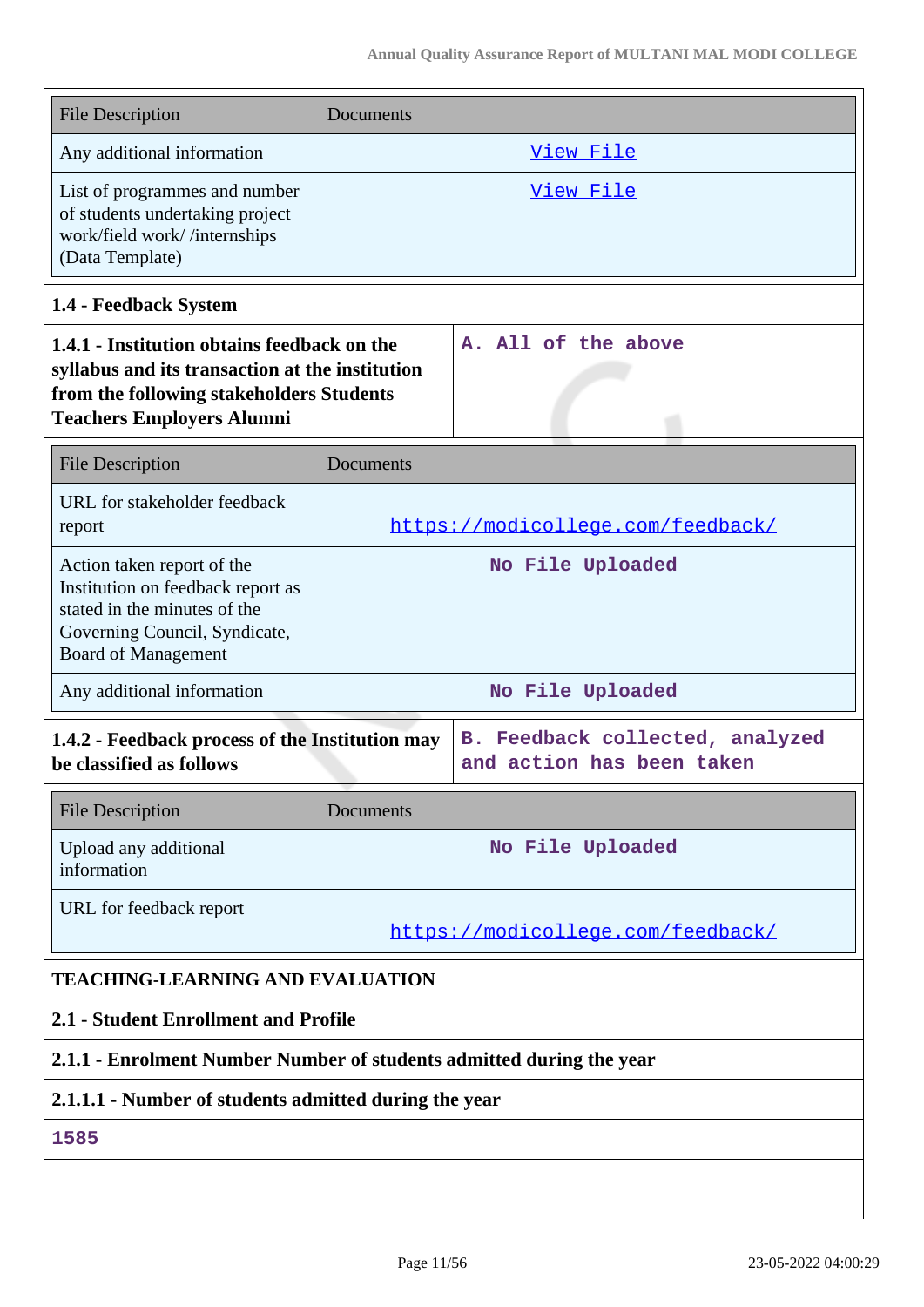| <b>File Description</b>                                                                                                                                                        | Documents                         |                                                              |
|--------------------------------------------------------------------------------------------------------------------------------------------------------------------------------|-----------------------------------|--------------------------------------------------------------|
| Any additional information                                                                                                                                                     | View File                         |                                                              |
| List of programmes and number<br>of students undertaking project<br>work/field work//internships<br>(Data Template)                                                            | <u>View File</u>                  |                                                              |
| 1.4 - Feedback System                                                                                                                                                          |                                   |                                                              |
| 1.4.1 - Institution obtains feedback on the<br>syllabus and its transaction at the institution<br>from the following stakeholders Students<br><b>Teachers Employers Alumni</b> |                                   | A. All of the above                                          |
| <b>File Description</b>                                                                                                                                                        | Documents                         |                                                              |
| URL for stakeholder feedback<br>report                                                                                                                                         | https://modicollege.com/feedback/ |                                                              |
| Action taken report of the<br>Institution on feedback report as<br>stated in the minutes of the<br>Governing Council, Syndicate,<br><b>Board of Management</b>                 | No File Uploaded                  |                                                              |
| Any additional information                                                                                                                                                     | No File Uploaded                  |                                                              |
| 1.4.2 - Feedback process of the Institution may<br>be classified as follows                                                                                                    |                                   | B. Feedback collected, analyzed<br>and action has been taken |
| <b>File Description</b>                                                                                                                                                        | Documents                         |                                                              |
| Upload any additional<br>information                                                                                                                                           | No File Uploaded                  |                                                              |
| URL for feedback report                                                                                                                                                        | https://modicollege.com/feedback/ |                                                              |
| <b>TEACHING-LEARNING AND EVALUATION</b>                                                                                                                                        |                                   |                                                              |
| 2.1 - Student Enrollment and Profile                                                                                                                                           |                                   |                                                              |
| 2.1.1 - Enrolment Number Number of students admitted during the year                                                                                                           |                                   |                                                              |
| 2.1.1.1 - Number of students admitted during the year                                                                                                                          |                                   |                                                              |
| 1585                                                                                                                                                                           |                                   |                                                              |
|                                                                                                                                                                                |                                   |                                                              |
|                                                                                                                                                                                |                                   |                                                              |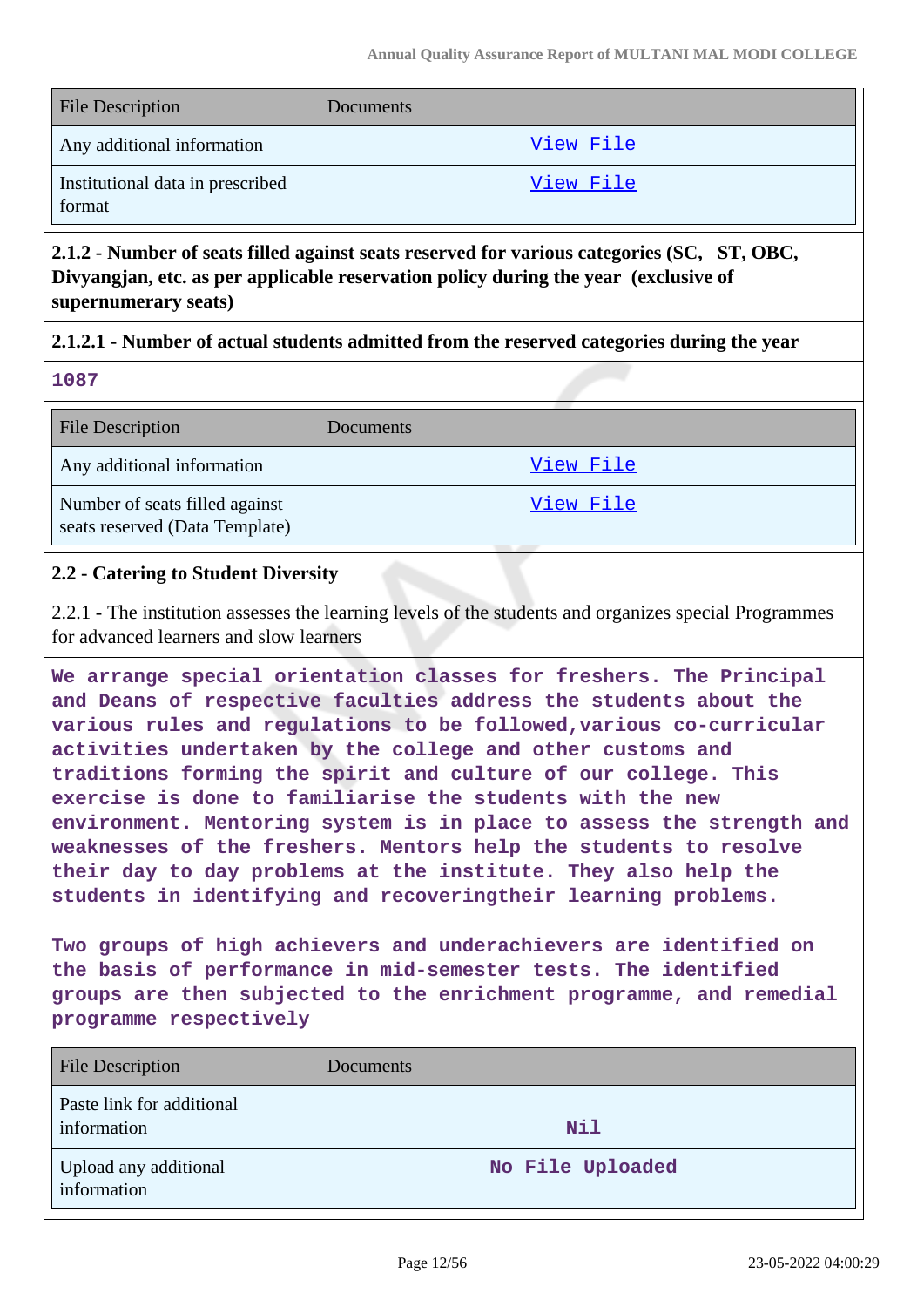| <b>File Description</b>                    | Documents |
|--------------------------------------------|-----------|
| Any additional information                 | View File |
| Institutional data in prescribed<br>format | View File |

**2.1.2 - Number of seats filled against seats reserved for various categories (SC, ST, OBC, Divyangjan, etc. as per applicable reservation policy during the year (exclusive of supernumerary seats)**

## **2.1.2.1 - Number of actual students admitted from the reserved categories during the year**

| ۰.<br>M. | ۰.<br>× | $\sim$ |
|----------|---------|--------|
|          |         |        |

| <b>File Description</b>                                          | <b>Documents</b> |
|------------------------------------------------------------------|------------------|
| Any additional information                                       | View File        |
| Number of seats filled against<br>seats reserved (Data Template) | View File        |

## **2.2 - Catering to Student Diversity**

2.2.1 - The institution assesses the learning levels of the students and organizes special Programmes for advanced learners and slow learners

**We arrange special orientation classes for freshers. The Principal and Deans of respective faculties address the students about the various rules and regulations to be followed,various co-curricular activities undertaken by the college and other customs and traditions forming the spirit and culture of our college. This exercise is done to familiarise the students with the new environment. Mentoring system is in place to assess the strength and weaknesses of the freshers. Mentors help the students to resolve their day to day problems at the institute. They also help the students in identifying and recoveringtheir learning problems.**

**Two groups of high achievers and underachievers are identified on the basis of performance in mid-semester tests. The identified groups are then subjected to the enrichment programme, and remedial programme respectively**

| <b>File Description</b>                  | Documents        |
|------------------------------------------|------------------|
| Paste link for additional<br>information | Nil              |
| Upload any additional<br>information     | No File Uploaded |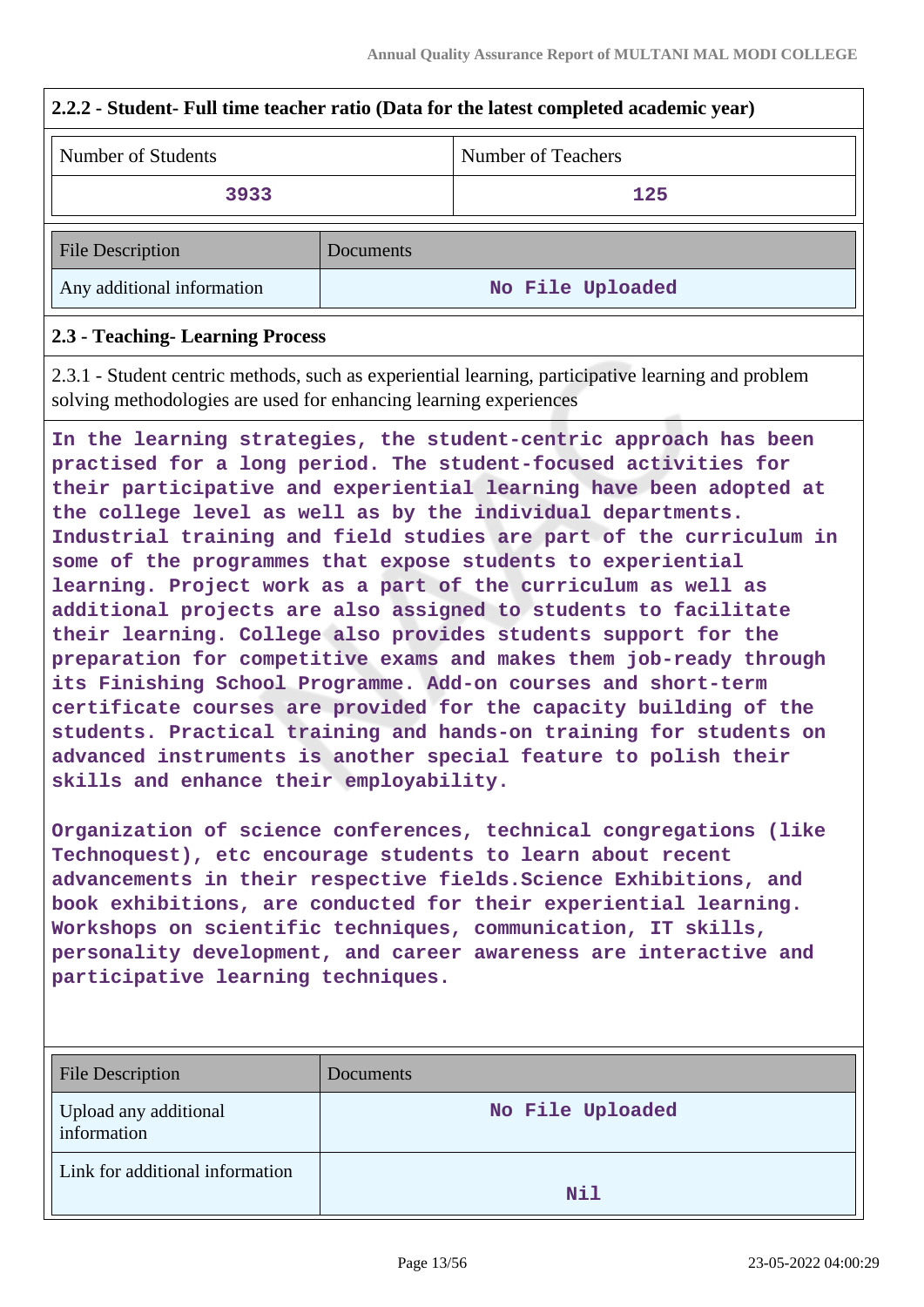| 2.2.2 - Student- Full time teacher ratio (Data for the latest completed academic year) |                                                                                                                                                                                                                                                                                                                                                                                                                                                                                                                                                                                                                                                                                                                                                                                                                                                                                                                                                                                                                                                                                                                                                                                                                                                                                                                                                                                                                                                                                                                                                     |                                                                                                    |  |
|----------------------------------------------------------------------------------------|-----------------------------------------------------------------------------------------------------------------------------------------------------------------------------------------------------------------------------------------------------------------------------------------------------------------------------------------------------------------------------------------------------------------------------------------------------------------------------------------------------------------------------------------------------------------------------------------------------------------------------------------------------------------------------------------------------------------------------------------------------------------------------------------------------------------------------------------------------------------------------------------------------------------------------------------------------------------------------------------------------------------------------------------------------------------------------------------------------------------------------------------------------------------------------------------------------------------------------------------------------------------------------------------------------------------------------------------------------------------------------------------------------------------------------------------------------------------------------------------------------------------------------------------------------|----------------------------------------------------------------------------------------------------|--|
| Number of Students                                                                     |                                                                                                                                                                                                                                                                                                                                                                                                                                                                                                                                                                                                                                                                                                                                                                                                                                                                                                                                                                                                                                                                                                                                                                                                                                                                                                                                                                                                                                                                                                                                                     | <b>Number of Teachers</b>                                                                          |  |
| 3933                                                                                   |                                                                                                                                                                                                                                                                                                                                                                                                                                                                                                                                                                                                                                                                                                                                                                                                                                                                                                                                                                                                                                                                                                                                                                                                                                                                                                                                                                                                                                                                                                                                                     | 125                                                                                                |  |
| <b>File Description</b>                                                                | Documents                                                                                                                                                                                                                                                                                                                                                                                                                                                                                                                                                                                                                                                                                                                                                                                                                                                                                                                                                                                                                                                                                                                                                                                                                                                                                                                                                                                                                                                                                                                                           |                                                                                                    |  |
| Any additional information                                                             |                                                                                                                                                                                                                                                                                                                                                                                                                                                                                                                                                                                                                                                                                                                                                                                                                                                                                                                                                                                                                                                                                                                                                                                                                                                                                                                                                                                                                                                                                                                                                     | No File Uploaded                                                                                   |  |
| 2.3 - Teaching- Learning Process                                                       |                                                                                                                                                                                                                                                                                                                                                                                                                                                                                                                                                                                                                                                                                                                                                                                                                                                                                                                                                                                                                                                                                                                                                                                                                                                                                                                                                                                                                                                                                                                                                     |                                                                                                    |  |
|                                                                                        |                                                                                                                                                                                                                                                                                                                                                                                                                                                                                                                                                                                                                                                                                                                                                                                                                                                                                                                                                                                                                                                                                                                                                                                                                                                                                                                                                                                                                                                                                                                                                     | 2.3.1 - Student centric methods, such as experiential learning, participative learning and problem |  |
|                                                                                        | solving methodologies are used for enhancing learning experiences<br>In the learning strategies, the student-centric approach has been<br>practised for a long period. The student-focused activities for<br>their participative and experiential learning have been adopted at<br>the college level as well as by the individual departments.<br>Industrial training and field studies are part of the curriculum in<br>some of the programmes that expose students to experiential<br>learning. Project work as a part of the curriculum as well as<br>additional projects are also assigned to students to facilitate<br>their learning. College also provides students support for the<br>preparation for competitive exams and makes them job-ready through<br>its Finishing School Programme. Add-on courses and short-term<br>certificate courses are provided for the capacity building of the<br>students. Practical training and hands-on training for students on<br>advanced instruments is another special feature to polish their<br>skills and enhance their employability.<br>Organization of science conferences, technical congregations (like<br>Technoquest), etc encourage students to learn about recent<br>advancements in their respective fields. Science Exhibitions, and<br>book exhibitions, are conducted for their experiential learning.<br>Workshops on scientific techniques, communication, IT skills,<br>personality development, and career awareness are interactive and<br>participative learning techniques. |                                                                                                    |  |
| <b>File Description</b>                                                                | Documents                                                                                                                                                                                                                                                                                                                                                                                                                                                                                                                                                                                                                                                                                                                                                                                                                                                                                                                                                                                                                                                                                                                                                                                                                                                                                                                                                                                                                                                                                                                                           |                                                                                                    |  |
| Upload any additional<br>information                                                   |                                                                                                                                                                                                                                                                                                                                                                                                                                                                                                                                                                                                                                                                                                                                                                                                                                                                                                                                                                                                                                                                                                                                                                                                                                                                                                                                                                                                                                                                                                                                                     | No File Uploaded                                                                                   |  |
| Link for additional information                                                        |                                                                                                                                                                                                                                                                                                                                                                                                                                                                                                                                                                                                                                                                                                                                                                                                                                                                                                                                                                                                                                                                                                                                                                                                                                                                                                                                                                                                                                                                                                                                                     | Nil                                                                                                |  |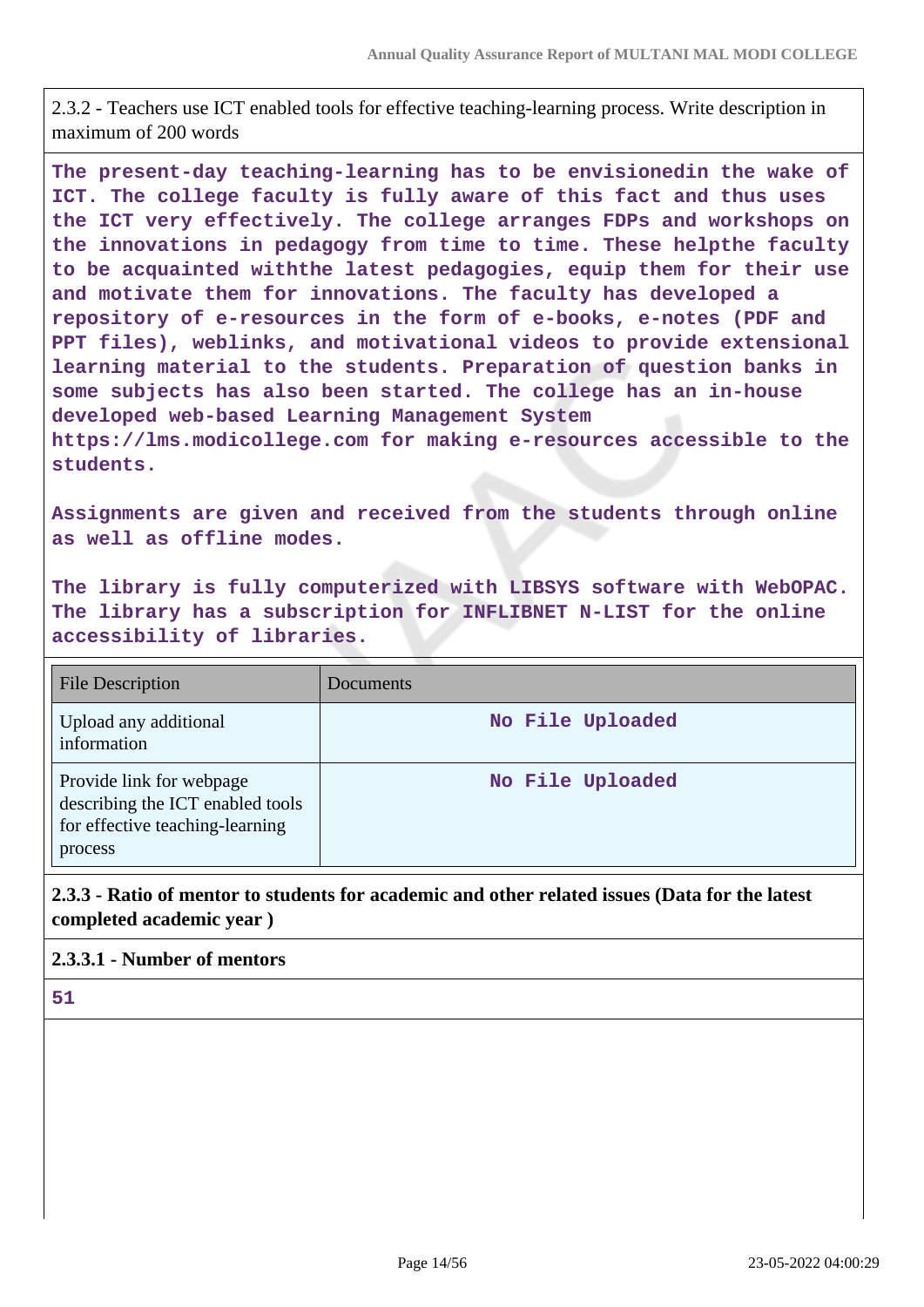2.3.2 - Teachers use ICT enabled tools for effective teaching-learning process. Write description in maximum of 200 words

**The present-day teaching-learning has to be envisionedin the wake of ICT. The college faculty is fully aware of this fact and thus uses the ICT very effectively. The college arranges FDPs and workshops on the innovations in pedagogy from time to time. These helpthe faculty to be acquainted withthe latest pedagogies, equip them for their use and motivate them for innovations. The faculty has developed a repository of e-resources in the form of e-books, e-notes (PDF and PPT files), weblinks, and motivational videos to provide extensional learning material to the students. Preparation of question banks in some subjects has also been started. The college has an in-house developed web-based Learning Management System https://lms.modicollege.com for making e-resources accessible to the students.**

**Assignments are given and received from the students through online as well as offline modes.**

**The library is fully computerized with LIBSYS software with WebOPAC. The library has a subscription for INFLIBNET N-LIST for the online accessibility of libraries.**

| <b>File Description</b>                                                                                    | Documents        |
|------------------------------------------------------------------------------------------------------------|------------------|
| Upload any additional<br>information                                                                       | No File Uploaded |
| Provide link for webpage<br>describing the ICT enabled tools<br>for effective teaching-learning<br>process | No File Uploaded |

**2.3.3 - Ratio of mentor to students for academic and other related issues (Data for the latest completed academic year )**

#### **2.3.3.1 - Number of mentors**

**51**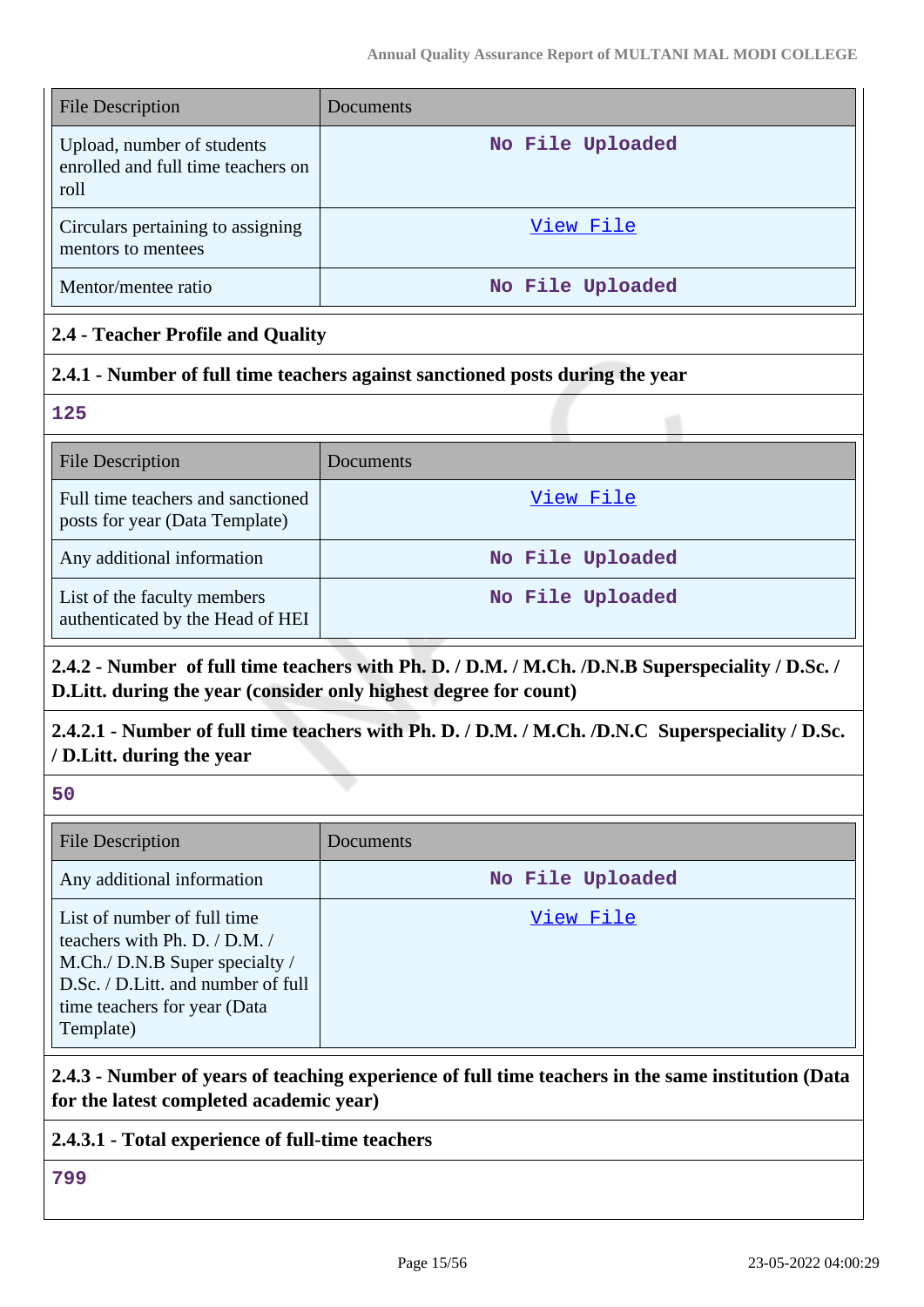| <b>File Description</b>                                                  | Documents        |
|--------------------------------------------------------------------------|------------------|
| Upload, number of students<br>enrolled and full time teachers on<br>roll | No File Uploaded |
| Circulars pertaining to assigning<br>mentors to mentees                  | View File        |
| Mentor/mentee ratio                                                      | No File Uploaded |

## **2.4 - Teacher Profile and Quality**

## **2.4.1 - Number of full time teachers against sanctioned posts during the year**

**125**

| <b>File Description</b>                                             | Documents        |
|---------------------------------------------------------------------|------------------|
| Full time teachers and sanctioned<br>posts for year (Data Template) | View File        |
| Any additional information                                          | No File Uploaded |
| List of the faculty members<br>authenticated by the Head of HEI     | No File Uploaded |

## **2.4.2 - Number of full time teachers with Ph. D. / D.M. / M.Ch. /D.N.B Superspeciality / D.Sc. / D.Litt. during the year (consider only highest degree for count)**

## **2.4.2.1 - Number of full time teachers with Ph. D. / D.M. / M.Ch. /D.N.C Superspeciality / D.Sc. / D.Litt. during the year**

**50**

| <b>File Description</b>                                                                                                                                                               | Documents        |
|---------------------------------------------------------------------------------------------------------------------------------------------------------------------------------------|------------------|
| Any additional information                                                                                                                                                            | No File Uploaded |
| List of number of full time<br>teachers with Ph. D. $/$ D.M. $/$<br>M.Ch./ D.N.B Super specialty /<br>D.Sc. / D.Litt. and number of full<br>time teachers for year (Data<br>Template) | View File        |

## **2.4.3 - Number of years of teaching experience of full time teachers in the same institution (Data for the latest completed academic year)**

## **2.4.3.1 - Total experience of full-time teachers**

**799**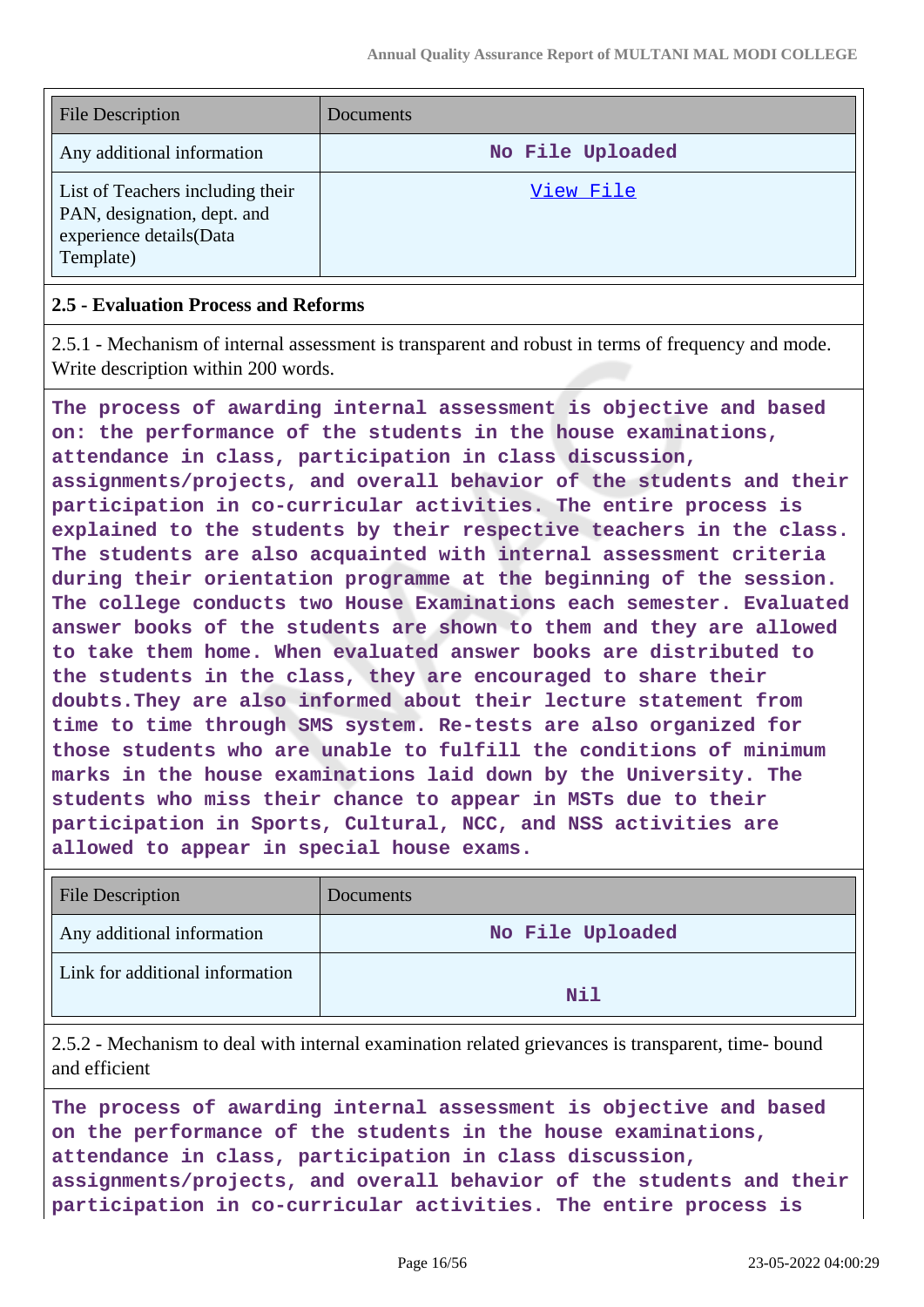| <b>File Description</b>                                                                                 | Documents        |
|---------------------------------------------------------------------------------------------------------|------------------|
| Any additional information                                                                              | No File Uploaded |
| List of Teachers including their<br>PAN, designation, dept. and<br>experience details(Data<br>Template) | View File        |

#### **2.5 - Evaluation Process and Reforms**

2.5.1 - Mechanism of internal assessment is transparent and robust in terms of frequency and mode. Write description within 200 words.

**The process of awarding internal assessment is objective and based on: the performance of the students in the house examinations, attendance in class, participation in class discussion, assignments/projects, and overall behavior of the students and their participation in co-curricular activities. The entire process is explained to the students by their respective teachers in the class. The students are also acquainted with internal assessment criteria during their orientation programme at the beginning of the session. The college conducts two House Examinations each semester. Evaluated answer books of the students are shown to them and they are allowed to take them home. When evaluated answer books are distributed to the students in the class, they are encouraged to share their doubts.They are also informed about their lecture statement from time to time through SMS system. Re-tests are also organized for those students who are unable to fulfill the conditions of minimum marks in the house examinations laid down by the University. The students who miss their chance to appear in MSTs due to their participation in Sports, Cultural, NCC, and NSS activities are allowed to appear in special house exams.**

| <b>File Description</b>         | Documents        |
|---------------------------------|------------------|
| Any additional information      | No File Uploaded |
| Link for additional information | Nil              |

2.5.2 - Mechanism to deal with internal examination related grievances is transparent, time- bound and efficient

**The process of awarding internal assessment is objective and based on the performance of the students in the house examinations, attendance in class, participation in class discussion, assignments/projects, and overall behavior of the students and their participation in co-curricular activities. The entire process is**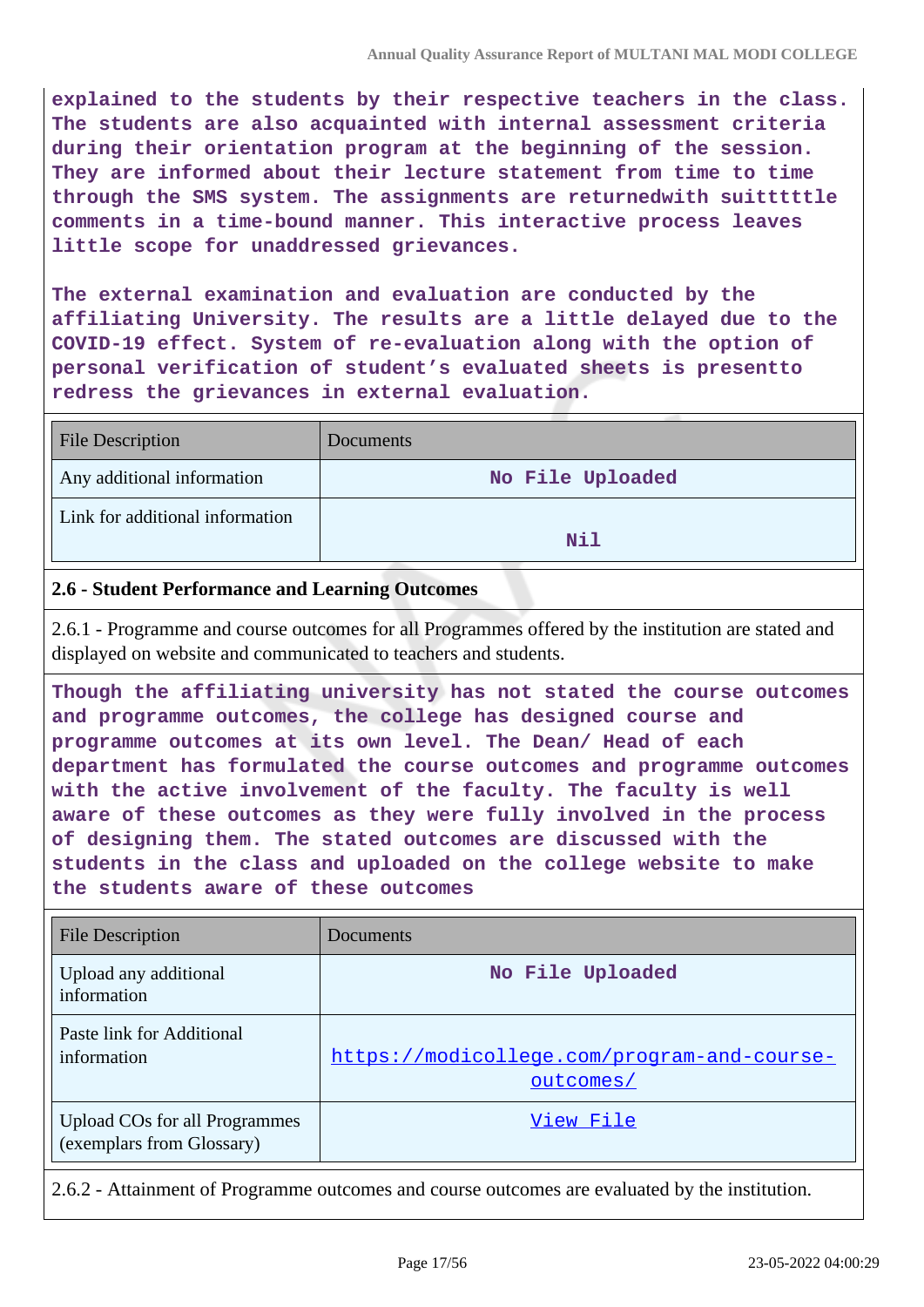**explained to the students by their respective teachers in the class. The students are also acquainted with internal assessment criteria during their orientation program at the beginning of the session. They are informed about their lecture statement from time to time through the SMS system. The assignments are returnedwith suitttttle comments in a time-bound manner. This interactive process leaves little scope for unaddressed grievances.**

**The external examination and evaluation are conducted by the affiliating University. The results are a little delayed due to the COVID-19 effect. System of re-evaluation along with the option of personal verification of student's evaluated sheets is presentto redress the grievances in external evaluation.**

| <b>File Description</b>         | Documents        |
|---------------------------------|------------------|
| Any additional information      | No File Uploaded |
| Link for additional information | Nil              |

### **2.6 - Student Performance and Learning Outcomes**

2.6.1 - Programme and course outcomes for all Programmes offered by the institution are stated and displayed on website and communicated to teachers and students.

**Though the affiliating university has not stated the course outcomes and programme outcomes, the college has designed course and programme outcomes at its own level. The Dean/ Head of each department has formulated the course outcomes and programme outcomes with the active involvement of the faculty. The faculty is well aware of these outcomes as they were fully involved in the process of designing them. The stated outcomes are discussed with the students in the class and uploaded on the college website to make the students aware of these outcomes**

| <b>File Description</b>                                    | Documents                                                |
|------------------------------------------------------------|----------------------------------------------------------|
| Upload any additional<br>information                       | No File Uploaded                                         |
| Paste link for Additional<br>information                   | https://modicollege.com/program-and-course-<br>outcomes/ |
| Upload COs for all Programmes<br>(exemplars from Glossary) | View File                                                |

2.6.2 - Attainment of Programme outcomes and course outcomes are evaluated by the institution.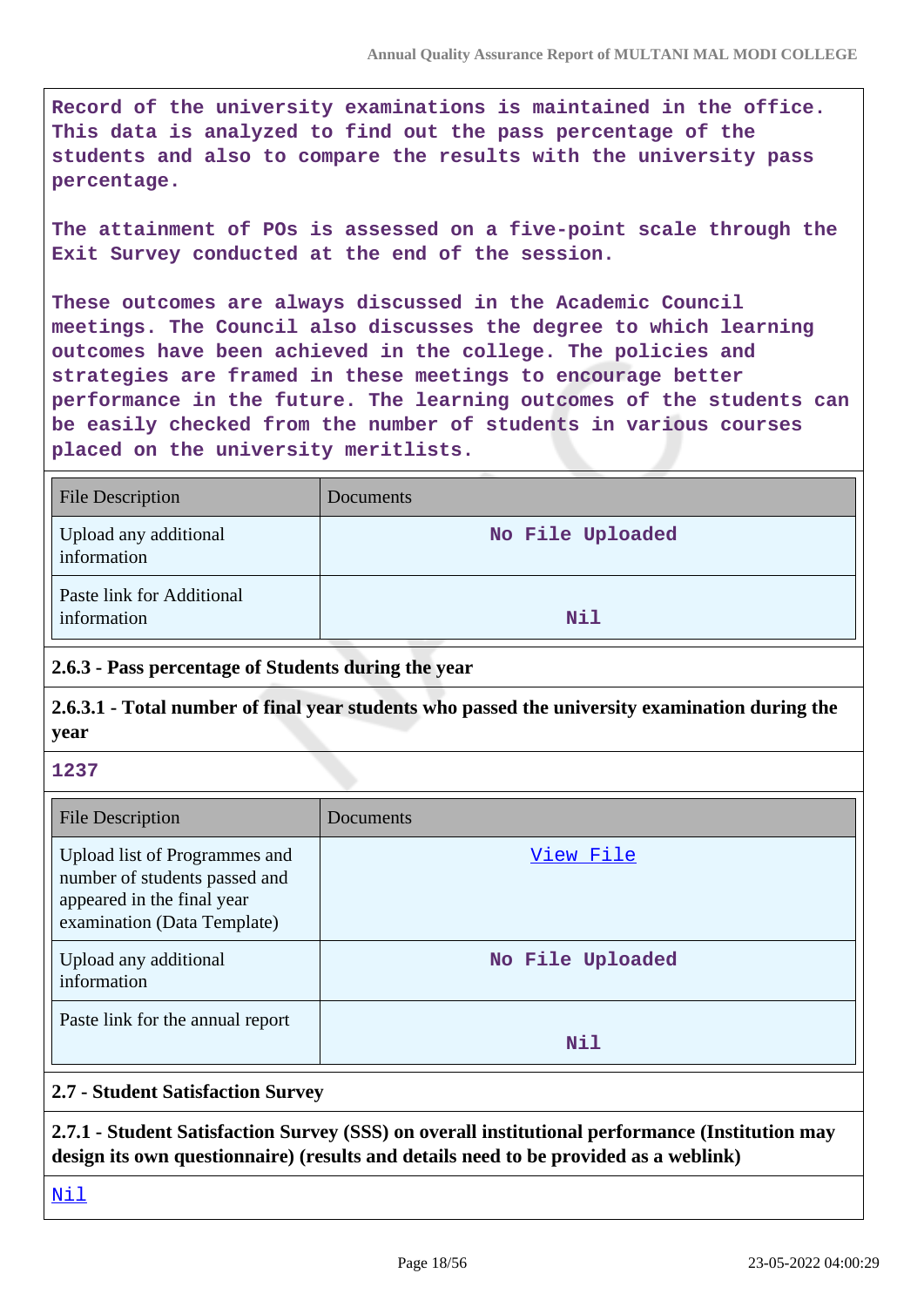**Record of the university examinations is maintained in the office. This data is analyzed to find out the pass percentage of the students and also to compare the results with the university pass percentage.**

**The attainment of POs is assessed on a five-point scale through the Exit Survey conducted at the end of the session.**

**These outcomes are always discussed in the Academic Council meetings. The Council also discusses the degree to which learning outcomes have been achieved in the college. The policies and strategies are framed in these meetings to encourage better performance in the future. The learning outcomes of the students can be easily checked from the number of students in various courses placed on the university meritlists.**

| <b>File Description</b>                  | Documents        |
|------------------------------------------|------------------|
| Upload any additional<br>information     | No File Uploaded |
| Paste link for Additional<br>information | Nil              |

## **2.6.3 - Pass percentage of Students during the year**

**2.6.3.1 - Total number of final year students who passed the university examination during the year**

#### **1237**

| <b>File Description</b>                                                                                                     | Documents        |
|-----------------------------------------------------------------------------------------------------------------------------|------------------|
| Upload list of Programmes and<br>number of students passed and<br>appeared in the final year<br>examination (Data Template) | View File        |
| Upload any additional<br>information                                                                                        | No File Uploaded |
| Paste link for the annual report                                                                                            | Nil              |

## **2.7 - Student Satisfaction Survey**

**2.7.1 - Student Satisfaction Survey (SSS) on overall institutional performance (Institution may design its own questionnaire) (results and details need to be provided as a weblink)**

<Nil>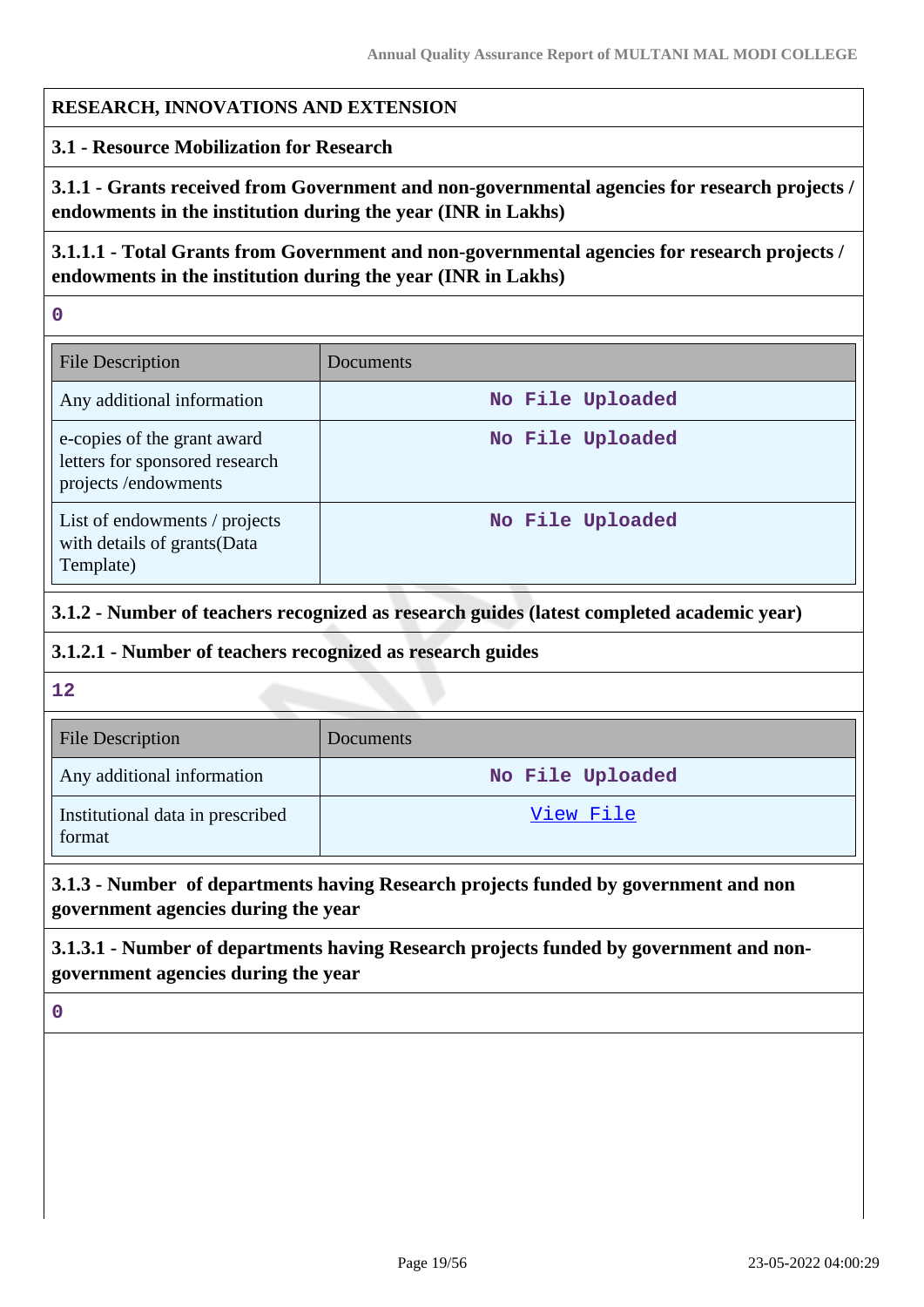### **RESEARCH, INNOVATIONS AND EXTENSION**

#### **3.1 - Resource Mobilization for Research**

**3.1.1 - Grants received from Government and non-governmental agencies for research projects / endowments in the institution during the year (INR in Lakhs)**

**3.1.1.1 - Total Grants from Government and non-governmental agencies for research projects / endowments in the institution during the year (INR in Lakhs)**

**0**

| <b>File Description</b>                                                              | Documents        |
|--------------------------------------------------------------------------------------|------------------|
| Any additional information                                                           | No File Uploaded |
| e-copies of the grant award<br>letters for sponsored research<br>projects/endowments | No File Uploaded |
| List of endowments / projects<br>with details of grants(Data<br>Template)            | No File Uploaded |

### **3.1.2 - Number of teachers recognized as research guides (latest completed academic year)**

#### **3.1.2.1 - Number of teachers recognized as research guides**

**12**

| <b>File Description</b>                    | <b>Documents</b> |
|--------------------------------------------|------------------|
| Any additional information                 | No File Uploaded |
| Institutional data in prescribed<br>format | View File        |

## **3.1.3 - Number of departments having Research projects funded by government and non government agencies during the year**

**3.1.3.1 - Number of departments having Research projects funded by government and nongovernment agencies during the year**

**0**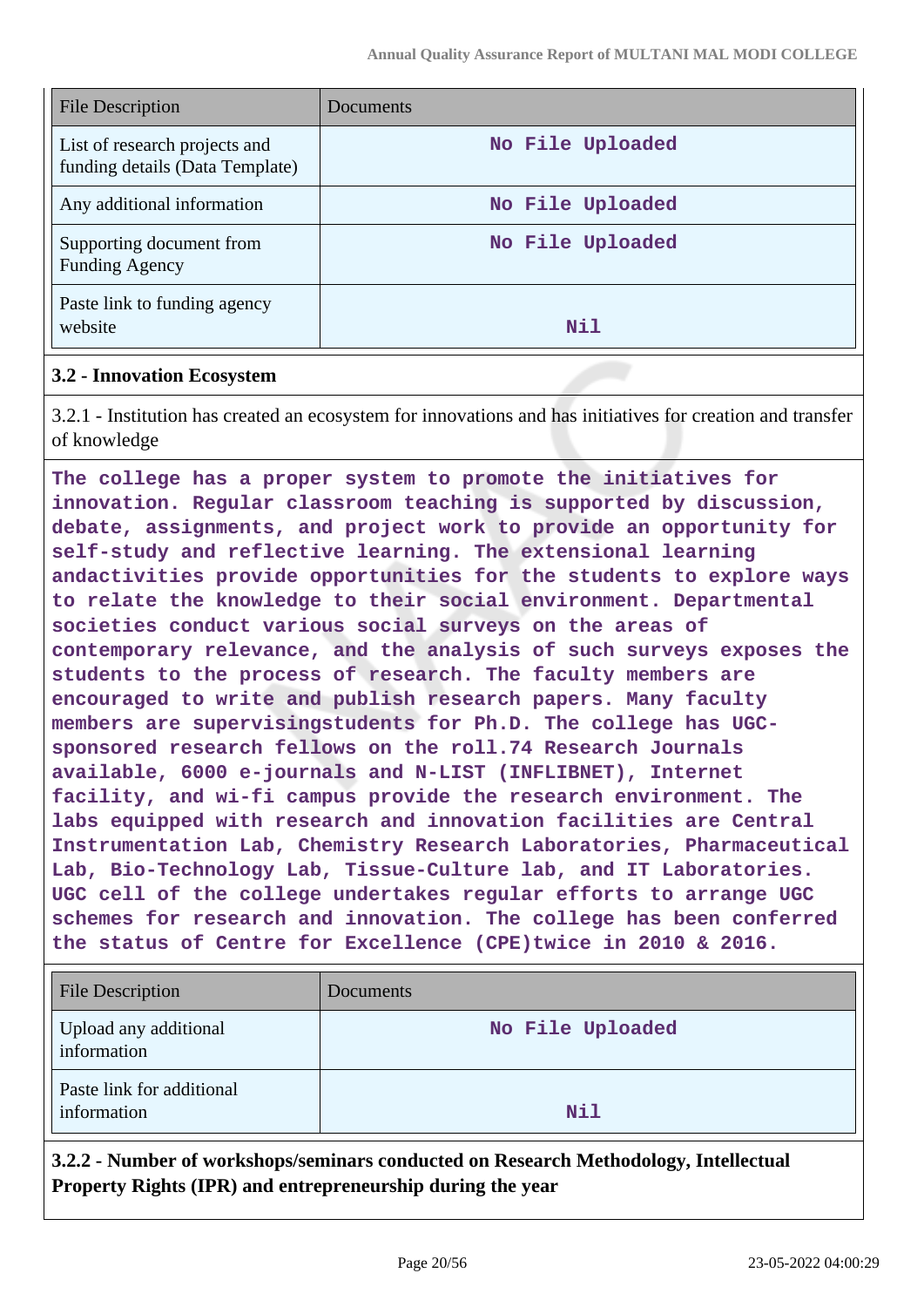| <b>File Description</b>                                          | Documents        |
|------------------------------------------------------------------|------------------|
| List of research projects and<br>funding details (Data Template) | No File Uploaded |
| Any additional information                                       | No File Uploaded |
| Supporting document from<br><b>Funding Agency</b>                | No File Uploaded |
| Paste link to funding agency<br>website                          | Nil              |

#### **3.2 - Innovation Ecosystem**

3.2.1 - Institution has created an ecosystem for innovations and has initiatives for creation and transfer of knowledge

**The college has a proper system to promote the initiatives for innovation. Regular classroom teaching is supported by discussion, debate, assignments, and project work to provide an opportunity for self-study and reflective learning. The extensional learning andactivities provide opportunities for the students to explore ways to relate the knowledge to their social environment. Departmental societies conduct various social surveys on the areas of contemporary relevance, and the analysis of such surveys exposes the students to the process of research. The faculty members are encouraged to write and publish research papers. Many faculty members are supervisingstudents for Ph.D. The college has UGCsponsored research fellows on the roll.74 Research Journals available, 6000 e-journals and N-LIST (INFLIBNET), Internet facility, and wi-fi campus provide the research environment. The labs equipped with research and innovation facilities are Central Instrumentation Lab, Chemistry Research Laboratories, Pharmaceutical Lab, Bio-Technology Lab, Tissue-Culture lab, and IT Laboratories. UGC cell of the college undertakes regular efforts to arrange UGC schemes for research and innovation. The college has been conferred the status of Centre for Excellence (CPE)twice in 2010 & 2016.**

| <b>File Description</b>                  | Documents        |
|------------------------------------------|------------------|
| Upload any additional<br>information     | No File Uploaded |
| Paste link for additional<br>information | Nil              |

**3.2.2 - Number of workshops/seminars conducted on Research Methodology, Intellectual Property Rights (IPR) and entrepreneurship during the year**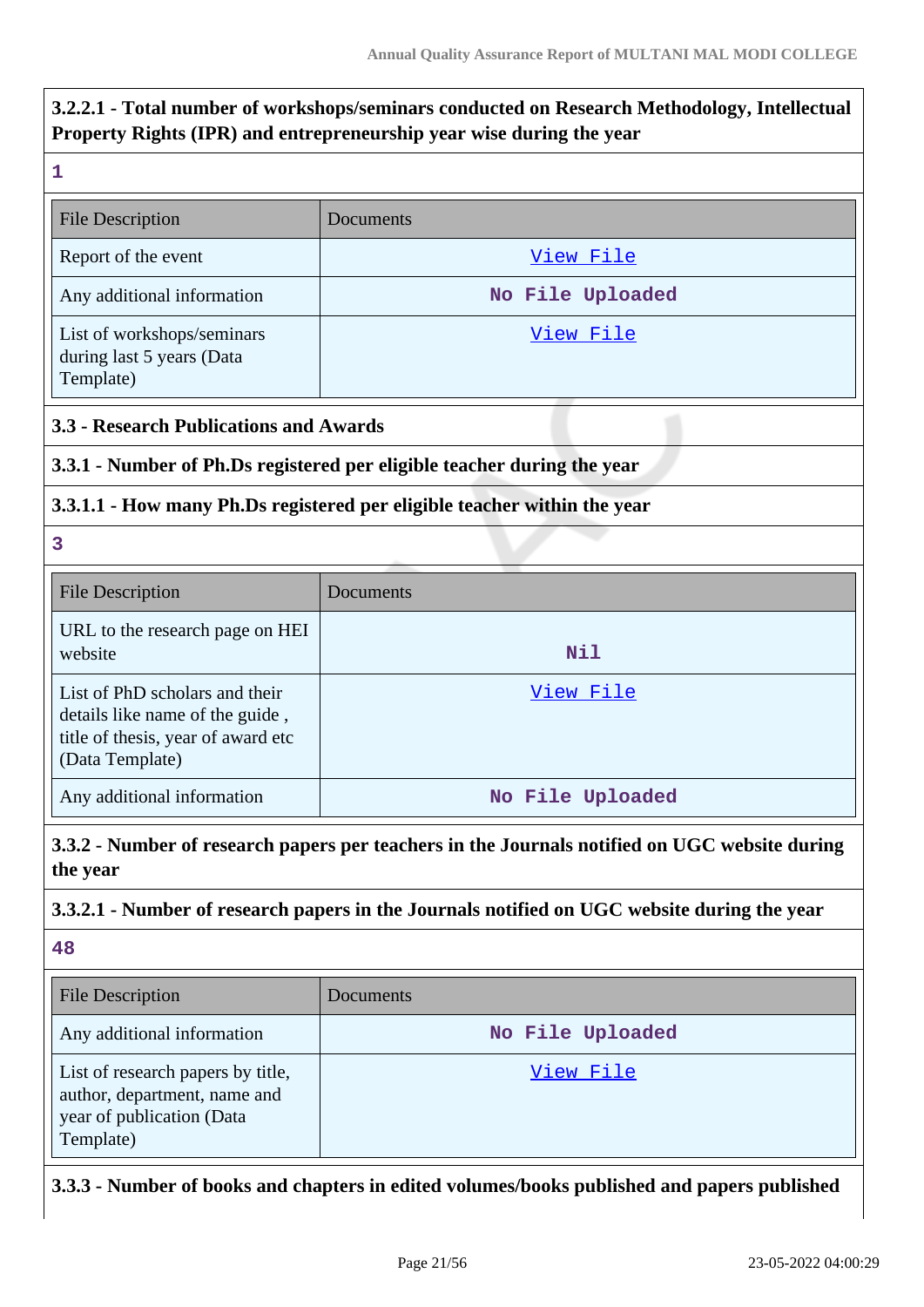## **3.2.2.1 - Total number of workshops/seminars conducted on Research Methodology, Intellectual Property Rights (IPR) and entrepreneurship year wise during the year**

| e e |  |  |
|-----|--|--|
|     |  |  |
|     |  |  |

| <b>File Description</b>                                              | Documents        |
|----------------------------------------------------------------------|------------------|
| Report of the event                                                  | View File        |
| Any additional information                                           | No File Uploaded |
| List of workshops/seminars<br>during last 5 years (Data<br>Template) | View File        |

## **3.3 - Research Publications and Awards**

## **3.3.1 - Number of Ph.Ds registered per eligible teacher during the year**

## **3.3.1.1 - How many Ph.Ds registered per eligible teacher within the year**

**3**

| <b>File Description</b>                                                                                                    | Documents        |
|----------------------------------------------------------------------------------------------------------------------------|------------------|
| URL to the research page on HEI<br>website                                                                                 | <b>Nil</b>       |
| List of PhD scholars and their<br>details like name of the guide,<br>title of thesis, year of award etc<br>(Data Template) | View File        |
| Any additional information                                                                                                 | No File Uploaded |

**3.3.2 - Number of research papers per teachers in the Journals notified on UGC website during the year**

### **3.3.2.1 - Number of research papers in the Journals notified on UGC website during the year**

**48**

| <b>File Description</b>                                                                                     | Documents        |
|-------------------------------------------------------------------------------------------------------------|------------------|
| Any additional information                                                                                  | No File Uploaded |
| List of research papers by title,<br>author, department, name and<br>year of publication (Data<br>Template) | View File        |

**3.3.3 - Number of books and chapters in edited volumes/books published and papers published**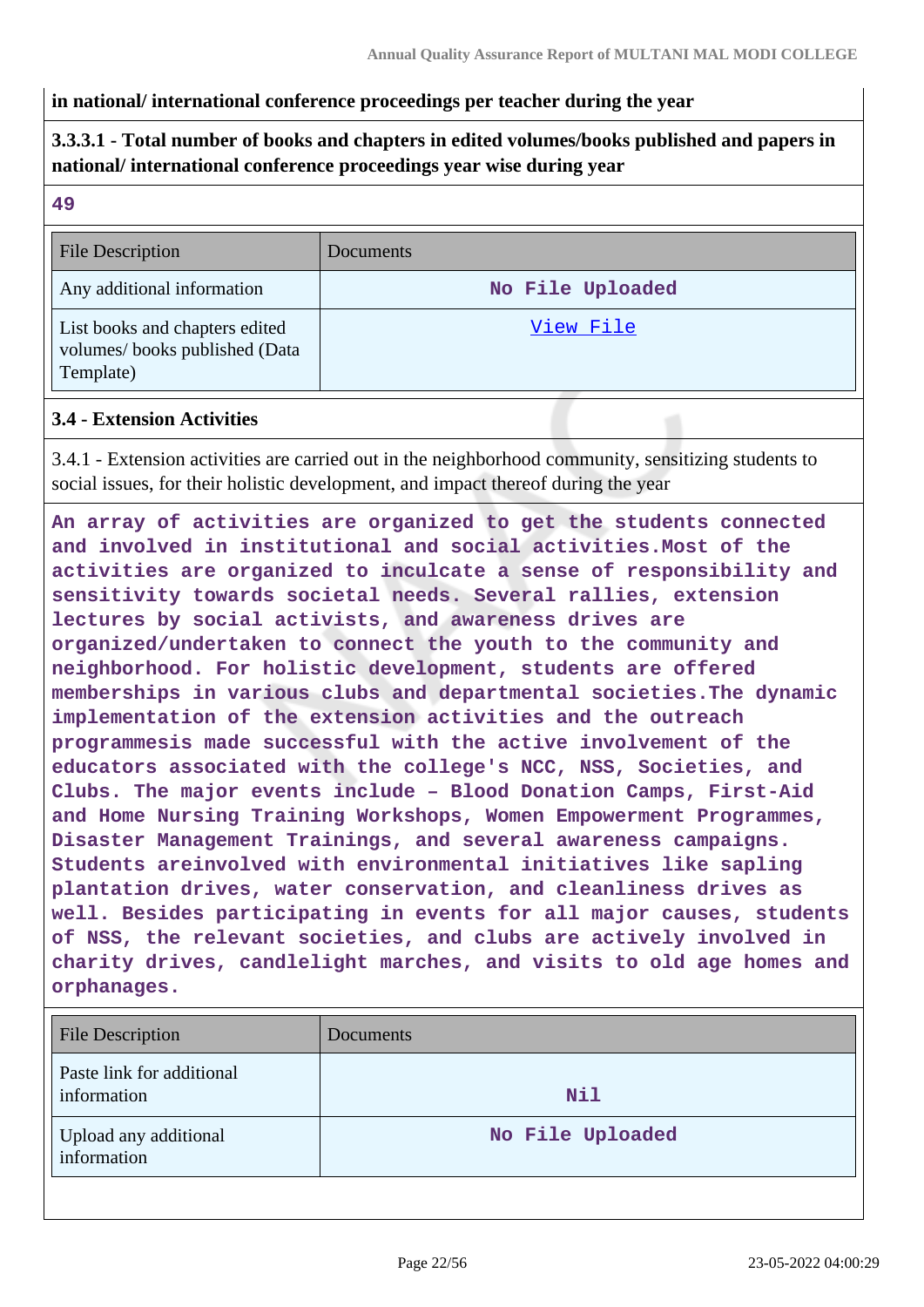#### **in national/ international conference proceedings per teacher during the year**

## **3.3.3.1 - Total number of books and chapters in edited volumes/books published and papers in national/ international conference proceedings year wise during year**

| ×<br>۰,<br>۰.<br>۰. |
|---------------------|
|                     |

| <b>File Description</b>                                                      | Documents        |
|------------------------------------------------------------------------------|------------------|
| Any additional information                                                   | No File Uploaded |
| List books and chapters edited<br>volumes/books published (Data<br>Template) | View File        |

#### **3.4 - Extension Activities**

3.4.1 - Extension activities are carried out in the neighborhood community, sensitizing students to social issues, for their holistic development, and impact thereof during the year

**An array of activities are organized to get the students connected and involved in institutional and social activities.Most of the activities are organized to inculcate a sense of responsibility and sensitivity towards societal needs. Several rallies, extension lectures by social activists, and awareness drives are organized/undertaken to connect the youth to the community and neighborhood. For holistic development, students are offered memberships in various clubs and departmental societies.The dynamic implementation of the extension activities and the outreach programmesis made successful with the active involvement of the educators associated with the college's NCC, NSS, Societies, and Clubs. The major events include – Blood Donation Camps, First-Aid and Home Nursing Training Workshops, Women Empowerment Programmes, Disaster Management Trainings, and several awareness campaigns. Students areinvolved with environmental initiatives like sapling plantation drives, water conservation, and cleanliness drives as well. Besides participating in events for all major causes, students of NSS, the relevant societies, and clubs are actively involved in charity drives, candlelight marches, and visits to old age homes and orphanages.**

| File Description                         | Documents        |
|------------------------------------------|------------------|
| Paste link for additional<br>information | Nil              |
| Upload any additional<br>information     | No File Uploaded |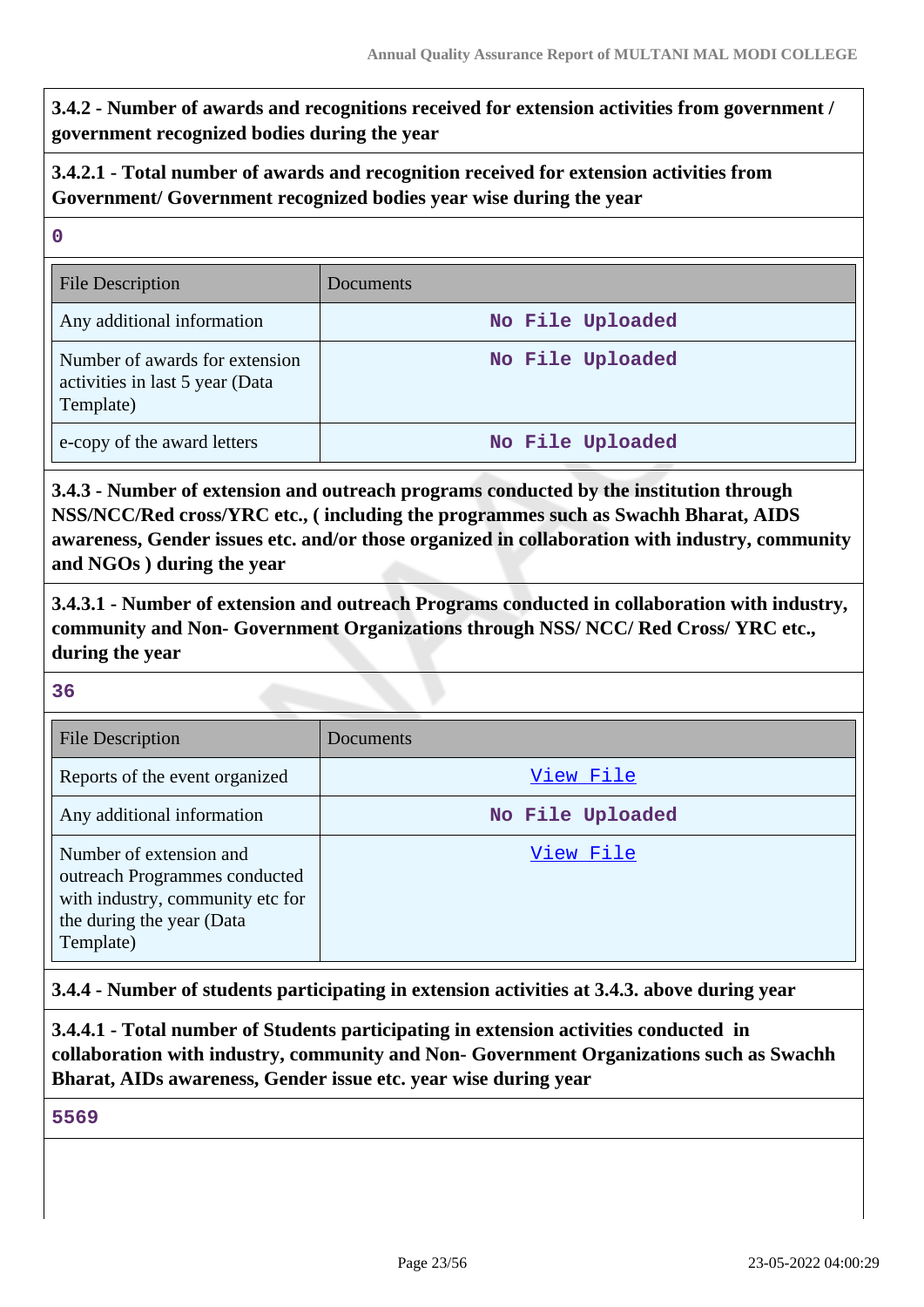**3.4.2 - Number of awards and recognitions received for extension activities from government / government recognized bodies during the year**

**3.4.2.1 - Total number of awards and recognition received for extension activities from Government/ Government recognized bodies year wise during the year**

| $\mathbf 0$                                                                    |                  |
|--------------------------------------------------------------------------------|------------------|
| <b>File Description</b>                                                        | Documents        |
| Any additional information                                                     | No File Uploaded |
| Number of awards for extension<br>activities in last 5 year (Data<br>Template) | No File Uploaded |
| e-copy of the award letters                                                    | No File Uploaded |

**3.4.3 - Number of extension and outreach programs conducted by the institution through NSS/NCC/Red cross/YRC etc., ( including the programmes such as Swachh Bharat, AIDS awareness, Gender issues etc. and/or those organized in collaboration with industry, community and NGOs ) during the year**

**3.4.3.1 - Number of extension and outreach Programs conducted in collaboration with industry, community and Non- Government Organizations through NSS/ NCC/ Red Cross/ YRC etc., during the year**

**36**

| <b>File Description</b>                                                                                                                | Documents        |
|----------------------------------------------------------------------------------------------------------------------------------------|------------------|
| Reports of the event organized                                                                                                         | View File        |
| Any additional information                                                                                                             | No File Uploaded |
| Number of extension and<br>outreach Programmes conducted<br>with industry, community etc for<br>the during the year (Data<br>Template) | View File        |

**3.4.4 - Number of students participating in extension activities at 3.4.3. above during year**

**3.4.4.1 - Total number of Students participating in extension activities conducted in collaboration with industry, community and Non- Government Organizations such as Swachh Bharat, AIDs awareness, Gender issue etc. year wise during year**

**5569**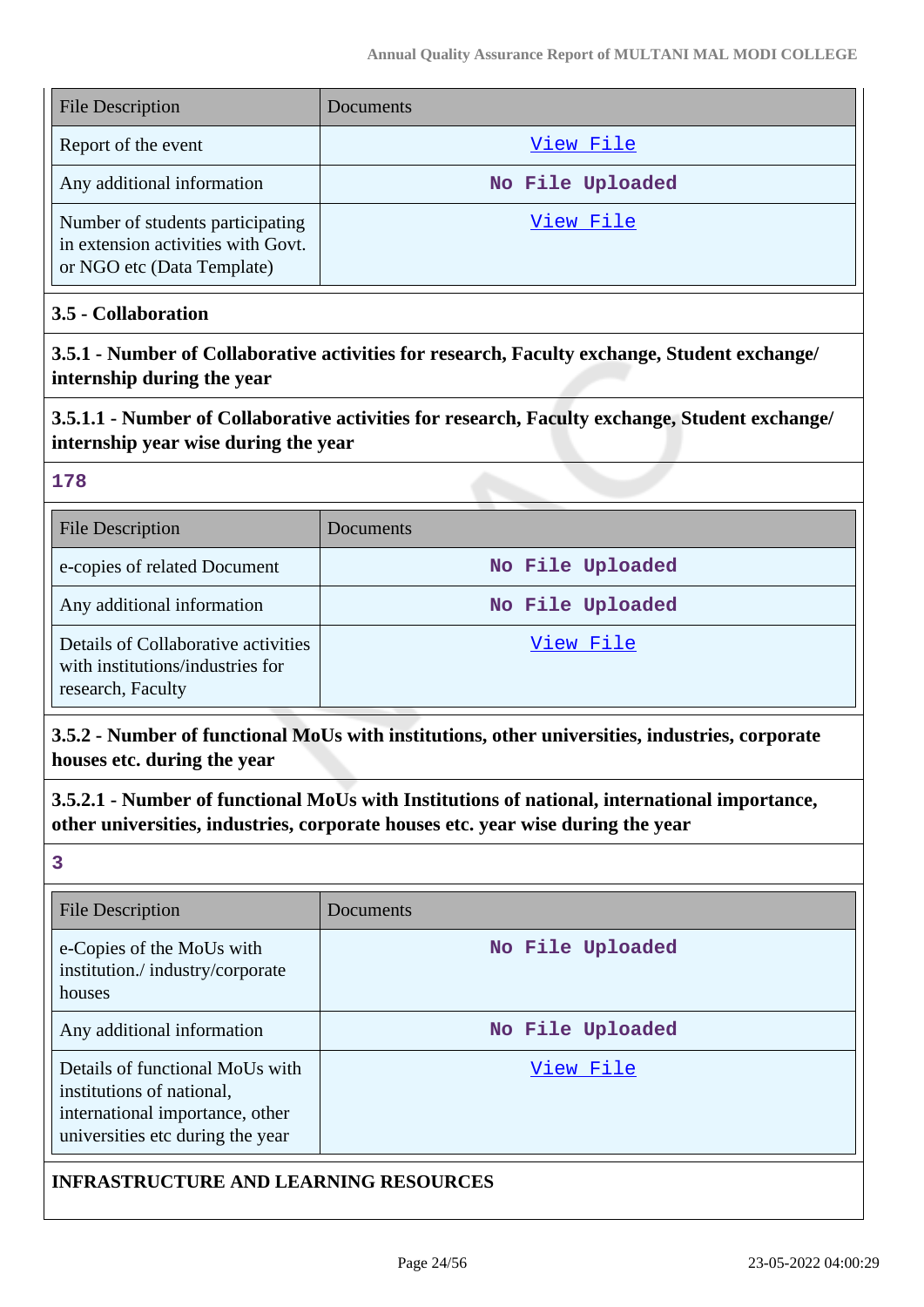| <b>File Description</b>                                                                              | Documents        |
|------------------------------------------------------------------------------------------------------|------------------|
| Report of the event                                                                                  | View File        |
| Any additional information                                                                           | No File Uploaded |
| Number of students participating<br>in extension activities with Govt.<br>or NGO etc (Data Template) | View File        |

#### **3.5 - Collaboration**

**3.5.1 - Number of Collaborative activities for research, Faculty exchange, Student exchange/ internship during the year**

## **3.5.1.1 - Number of Collaborative activities for research, Faculty exchange, Student exchange/ internship year wise during the year**

#### **178**

| <b>File Description</b>                                                                      | Documents        |
|----------------------------------------------------------------------------------------------|------------------|
| e-copies of related Document                                                                 | No File Uploaded |
| Any additional information                                                                   | No File Uploaded |
| Details of Collaborative activities<br>with institutions/industries for<br>research, Faculty | View File        |

**3.5.2 - Number of functional MoUs with institutions, other universities, industries, corporate houses etc. during the year**

**3.5.2.1 - Number of functional MoUs with Institutions of national, international importance, other universities, industries, corporate houses etc. year wise during the year**

**3**

| <b>File Description</b>                                                                                                             | Documents        |
|-------------------------------------------------------------------------------------------------------------------------------------|------------------|
| e-Copies of the MoUs with<br>institution./industry/corporate<br>houses                                                              | No File Uploaded |
| Any additional information                                                                                                          | No File Uploaded |
| Details of functional MoUs with<br>institutions of national,<br>international importance, other<br>universities etc during the year | View File        |

### **INFRASTRUCTURE AND LEARNING RESOURCES**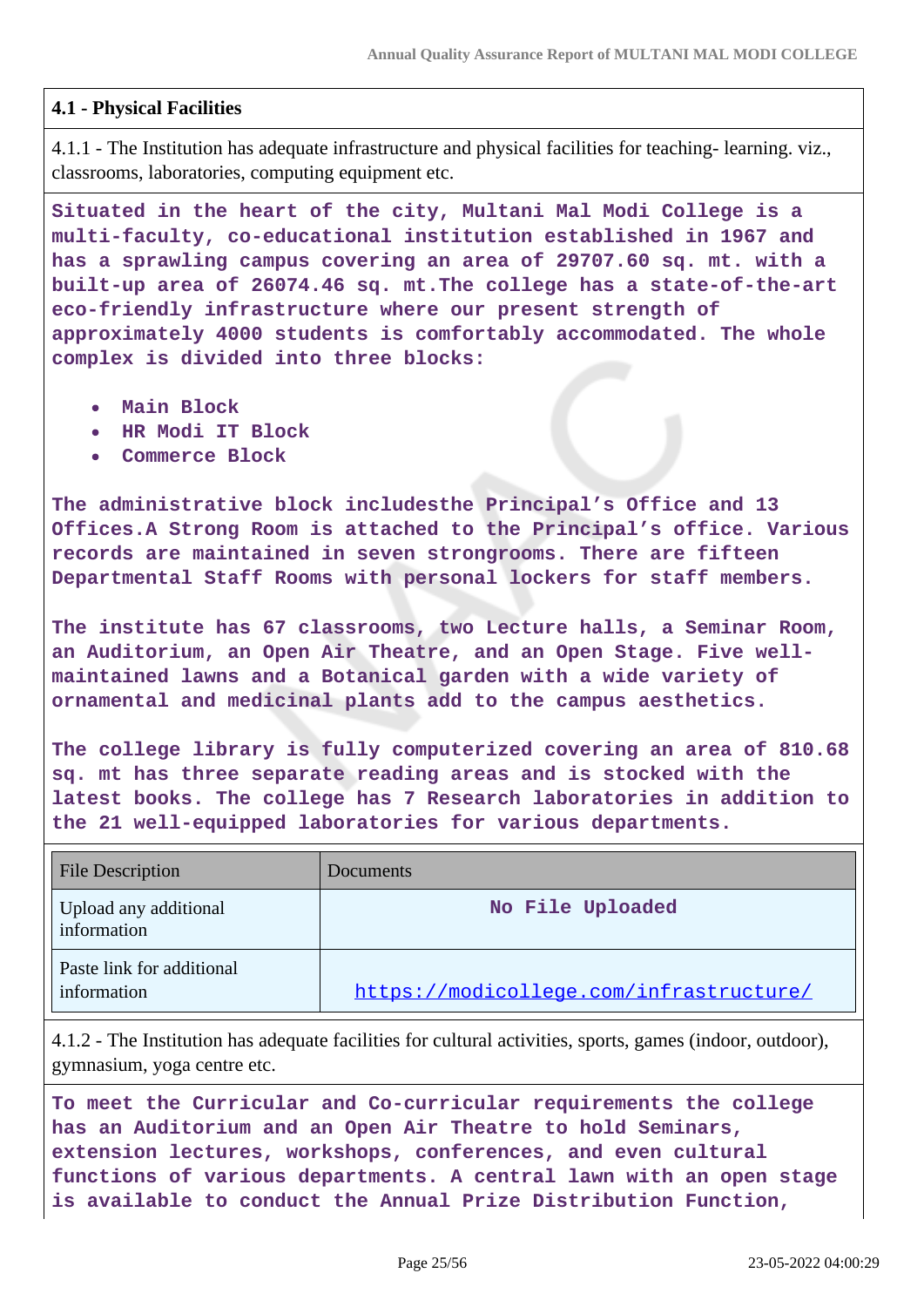### **4.1 - Physical Facilities**

4.1.1 - The Institution has adequate infrastructure and physical facilities for teaching- learning. viz., classrooms, laboratories, computing equipment etc.

**Situated in the heart of the city, Multani Mal Modi College is a multi-faculty, co-educational institution established in 1967 and has a sprawling campus covering an area of 29707.60 sq. mt. with a built-up area of 26074.46 sq. mt.The college has a state-of-the-art eco-friendly infrastructure where our present strength of approximately 4000 students is comfortably accommodated. The whole complex is divided into three blocks:**

- **Main Block**
- **HR Modi IT Block**
- **Commerce Block**

**The administrative block includesthe Principal's Office and 13 Offices.A Strong Room is attached to the Principal's office. Various records are maintained in seven strongrooms. There are fifteen Departmental Staff Rooms with personal lockers for staff members.**

**The institute has 67 classrooms, two Lecture halls, a Seminar Room, an Auditorium, an Open Air Theatre, and an Open Stage. Five wellmaintained lawns and a Botanical garden with a wide variety of ornamental and medicinal plants add to the campus aesthetics.**

**The college library is fully computerized covering an area of 810.68 sq. mt has three separate reading areas and is stocked with the latest books. The college has 7 Research laboratories in addition to the 21 well-equipped laboratories for various departments.**

| <b>File Description</b>                  | Documents                               |
|------------------------------------------|-----------------------------------------|
| Upload any additional<br>information     | No File Uploaded                        |
| Paste link for additional<br>information | https://modicollege.com/infrastructure/ |

4.1.2 - The Institution has adequate facilities for cultural activities, sports, games (indoor, outdoor), gymnasium, yoga centre etc.

**To meet the Curricular and Co-curricular requirements the college has an Auditorium and an Open Air Theatre to hold Seminars, extension lectures, workshops, conferences, and even cultural functions of various departments. A central lawn with an open stage is available to conduct the Annual Prize Distribution Function,**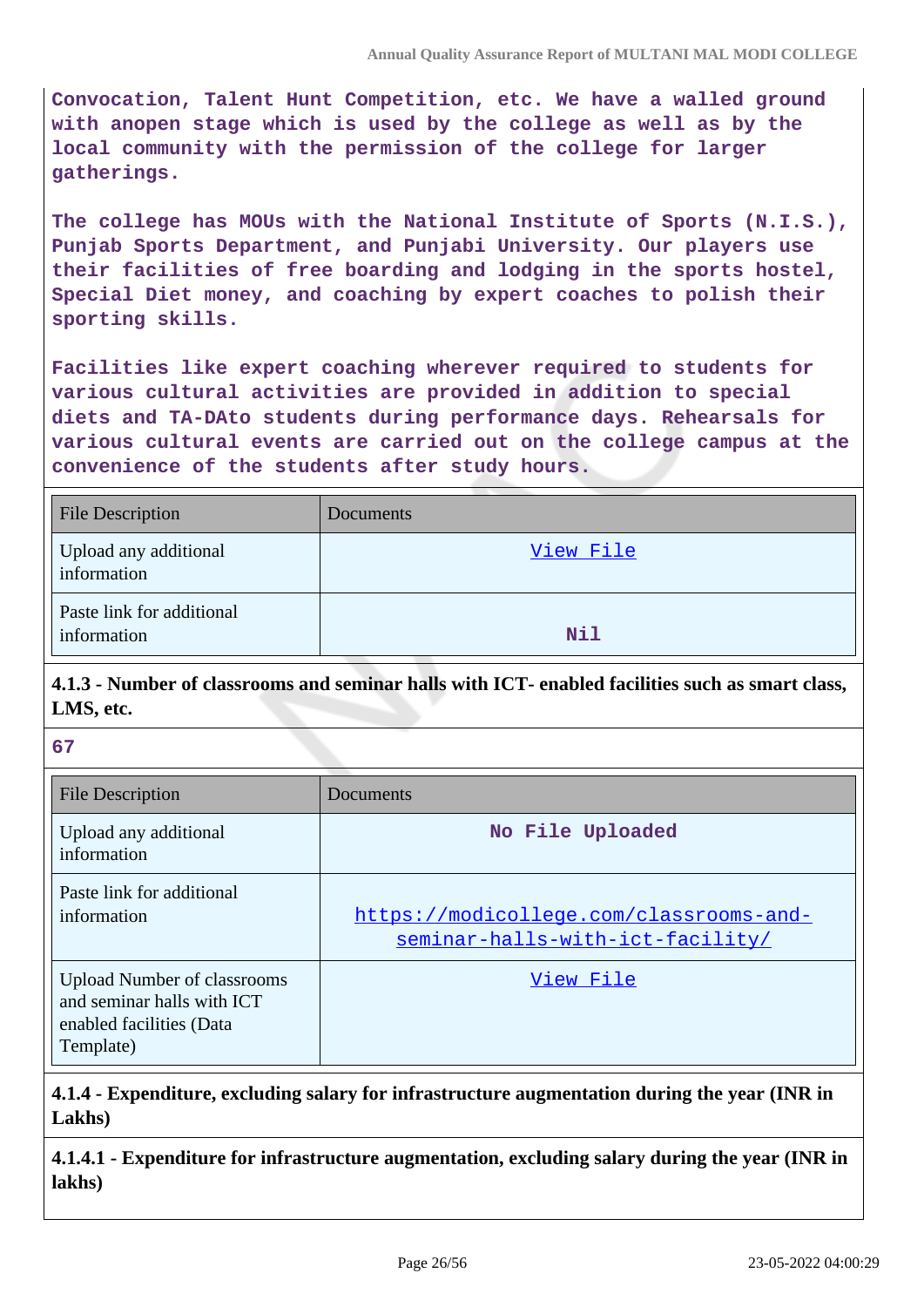**Convocation, Talent Hunt Competition, etc. We have a walled ground with anopen stage which is used by the college as well as by the local community with the permission of the college for larger gatherings.**

**The college has MOUs with the National Institute of Sports (N.I.S.), Punjab Sports Department, and Punjabi University. Our players use their facilities of free boarding and lodging in the sports hostel, Special Diet money, and coaching by expert coaches to polish their sporting skills.**

**Facilities like expert coaching wherever required to students for various cultural activities are provided in addition to special diets and TA-DAto students during performance days. Rehearsals for various cultural events are carried out on the college campus at the convenience of the students after study hours.**

| <b>File Description</b>                  | Documents  |
|------------------------------------------|------------|
| Upload any additional<br>information     | View File  |
| Paste link for additional<br>information | <b>Nil</b> |

## **4.1.3 - Number of classrooms and seminar halls with ICT- enabled facilities such as smart class, LMS, etc.**

**67**

| <b>File Description</b>                                                                                   | Documents                                                                   |
|-----------------------------------------------------------------------------------------------------------|-----------------------------------------------------------------------------|
| Upload any additional<br>information                                                                      | No File Uploaded                                                            |
| Paste link for additional<br>information                                                                  | https://modicollege.com/classrooms-and-<br>seminar-halls-with-ict-facility/ |
| <b>Upload Number of classrooms</b><br>and seminar halls with ICT<br>enabled facilities (Data<br>Template) | View File                                                                   |

**4.1.4 - Expenditure, excluding salary for infrastructure augmentation during the year (INR in Lakhs)**

**4.1.4.1 - Expenditure for infrastructure augmentation, excluding salary during the year (INR in lakhs)**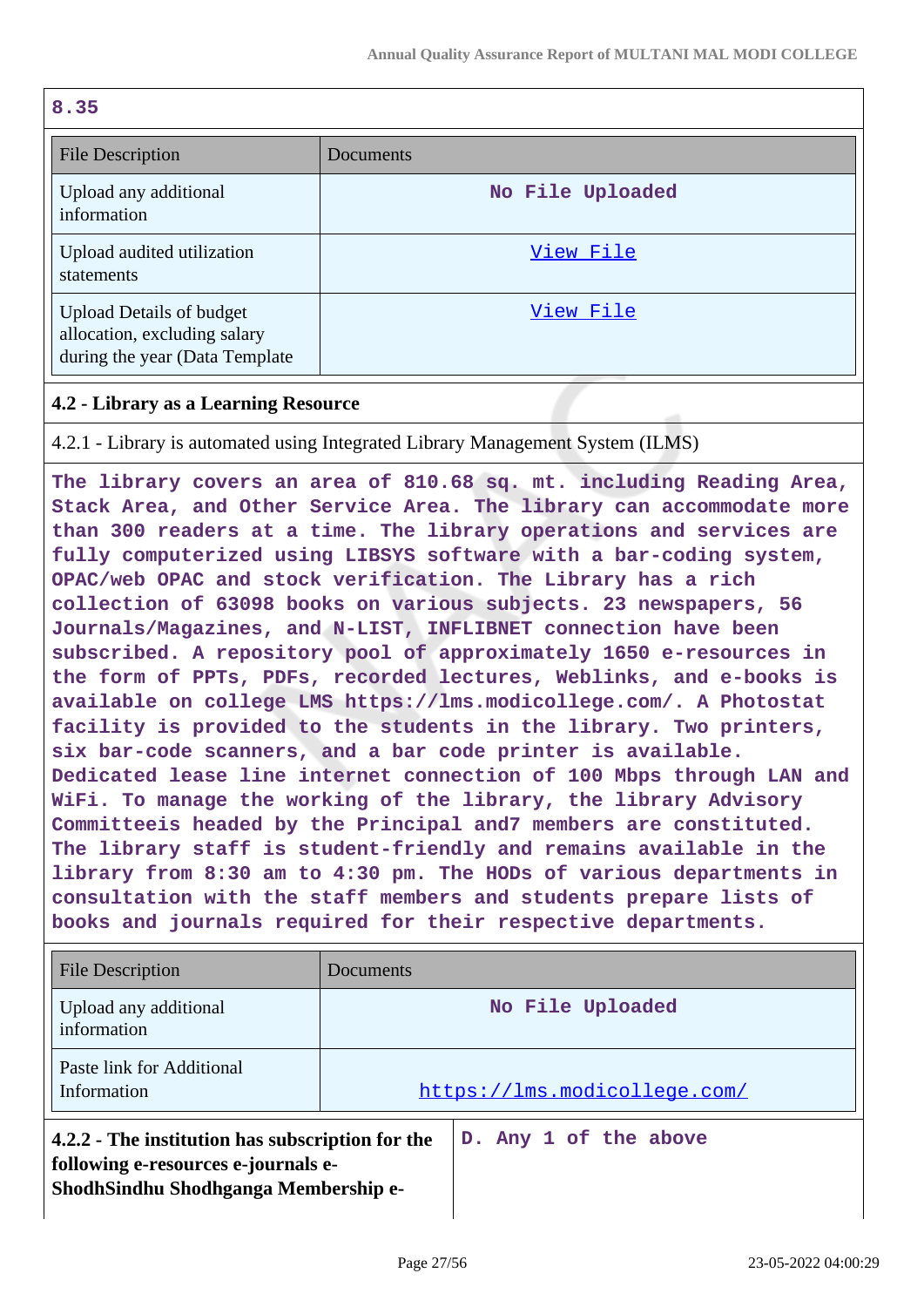| 8.35                                                                                               |                  |
|----------------------------------------------------------------------------------------------------|------------------|
| <b>File Description</b>                                                                            | Documents        |
| Upload any additional<br>information                                                               | No File Uploaded |
| Upload audited utilization<br>statements                                                           | View File        |
| <b>Upload Details of budget</b><br>allocation, excluding salary<br>during the year (Data Template) | View File        |

### **4.2 - Library as a Learning Resource**

4.2.1 - Library is automated using Integrated Library Management System (ILMS)

**The library covers an area of 810.68 sq. mt. including Reading Area, Stack Area, and Other Service Area. The library can accommodate more than 300 readers at a time. The library operations and services are fully computerized using LIBSYS software with a bar-coding system, OPAC/web OPAC and stock verification. The Library has a rich collection of 63098 books on various subjects. 23 newspapers, 56 Journals/Magazines, and N-LIST, INFLIBNET connection have been subscribed. A repository pool of approximately 1650 e-resources in the form of PPTs, PDFs, recorded lectures, Weblinks, and e-books is available on college LMS https://lms.modicollege.com/. A Photostat facility is provided to the students in the library. Two printers, six bar-code scanners, and a bar code printer is available. Dedicated lease line internet connection of 100 Mbps through LAN and WiFi. To manage the working of the library, the library Advisory Committeeis headed by the Principal and7 members are constituted. The library staff is student-friendly and remains available in the library from 8:30 am to 4:30 pm. The HODs of various departments in consultation with the staff members and students prepare lists of books and journals required for their respective departments.**

| File Description                                                                                                                | Documents                    |                       |  |  |
|---------------------------------------------------------------------------------------------------------------------------------|------------------------------|-----------------------|--|--|
| Upload any additional<br>information                                                                                            | No File Uploaded             |                       |  |  |
| Paste link for Additional<br>Information                                                                                        | https://lms.modicollege.com/ |                       |  |  |
| 4.2.2 - The institution has subscription for the<br>following e-resources e-journals e-<br>ShodhSindhu Shodhganga Membership e- |                              | D. Any 1 of the above |  |  |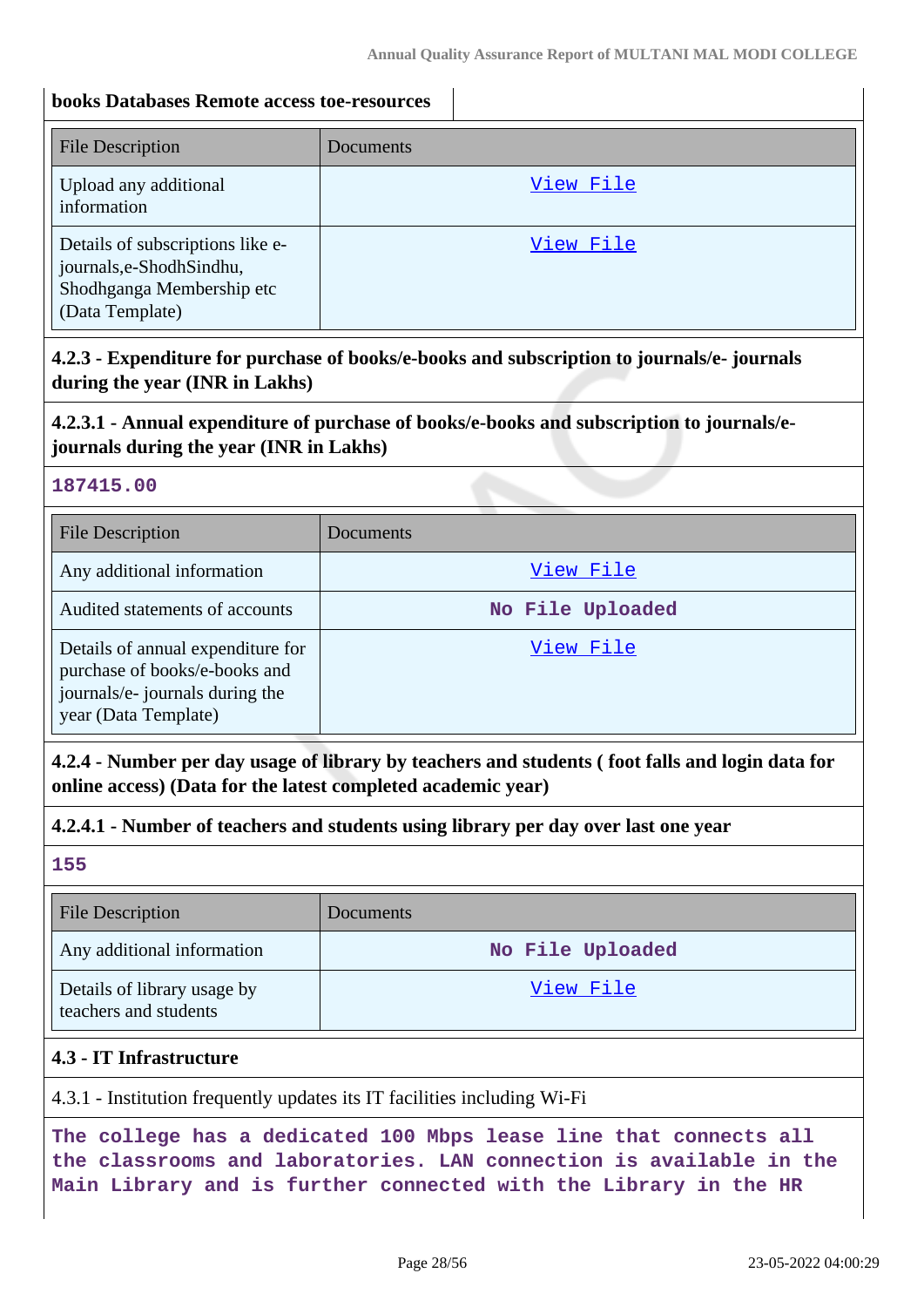### **books Databases Remote access toe-resources**

| <b>File Description</b>                                                                                     | <b>Documents</b> |
|-------------------------------------------------------------------------------------------------------------|------------------|
| Upload any additional<br>information                                                                        | View File        |
| Details of subscriptions like e-<br>journals,e-ShodhSindhu,<br>Shodhganga Membership etc<br>(Data Template) | View File        |

## **4.2.3 - Expenditure for purchase of books/e-books and subscription to journals/e- journals during the year (INR in Lakhs)**

## **4.2.3.1 - Annual expenditure of purchase of books/e-books and subscription to journals/ejournals during the year (INR in Lakhs)**

#### **187415.00**

| <b>File Description</b>                                                                                                       | Documents        |
|-------------------------------------------------------------------------------------------------------------------------------|------------------|
| Any additional information                                                                                                    | View File        |
| Audited statements of accounts                                                                                                | No File Uploaded |
| Details of annual expenditure for<br>purchase of books/e-books and<br>journals/e- journals during the<br>year (Data Template) | View File        |

## **4.2.4 - Number per day usage of library by teachers and students ( foot falls and login data for online access) (Data for the latest completed academic year)**

### **4.2.4.1 - Number of teachers and students using library per day over last one year**

**155**

| <b>File Description</b>                              | Documents        |
|------------------------------------------------------|------------------|
| Any additional information                           | No File Uploaded |
| Details of library usage by<br>teachers and students | View File        |

## **4.3 - IT Infrastructure**

4.3.1 - Institution frequently updates its IT facilities including Wi-Fi

**The college has a dedicated 100 Mbps lease line that connects all the classrooms and laboratories. LAN connection is available in the Main Library and is further connected with the Library in the HR**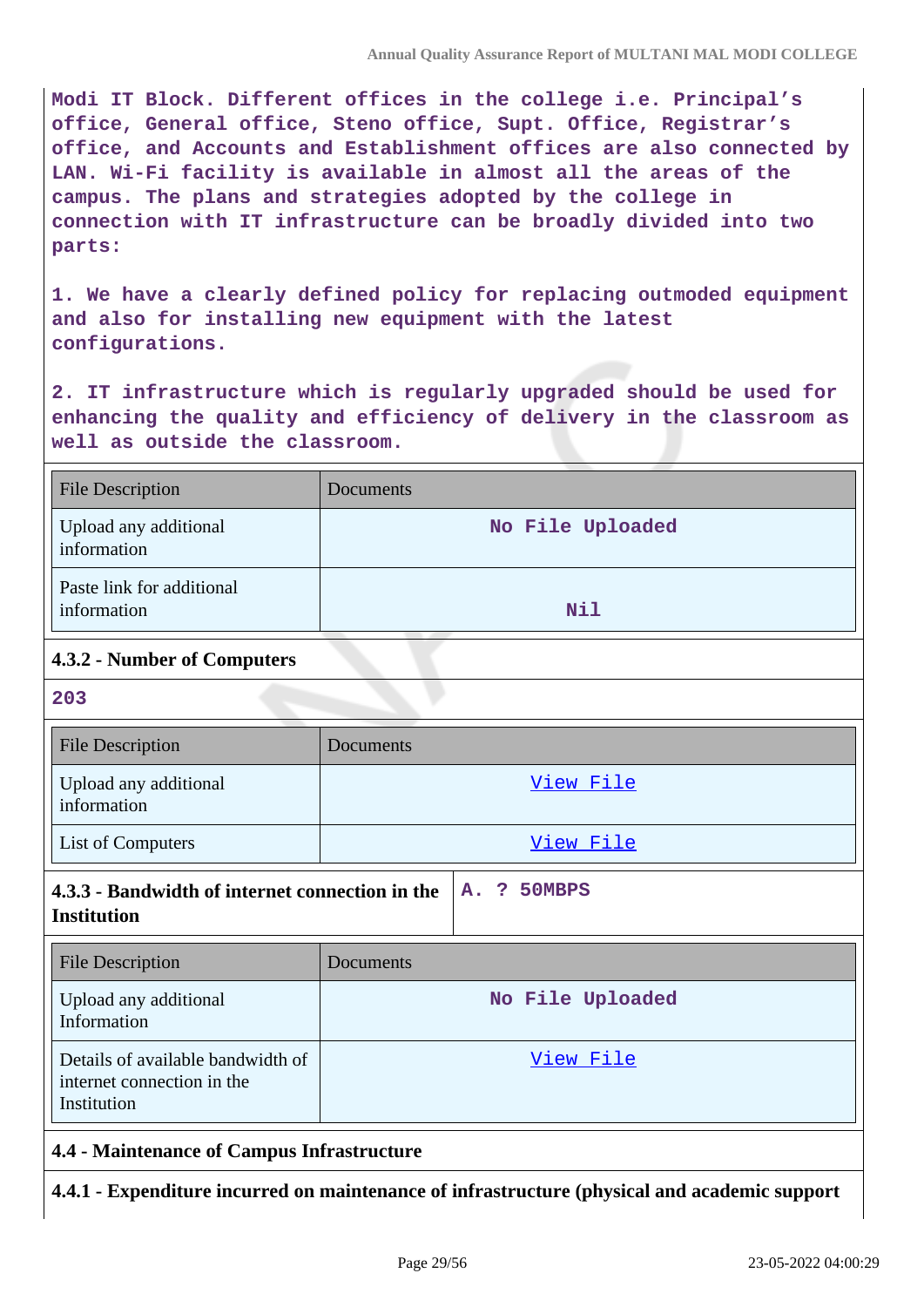**Modi IT Block. Different offices in the college i.e. Principal's office, General office, Steno office, Supt. Office, Registrar's office, and Accounts and Establishment offices are also connected by LAN. Wi-Fi facility is available in almost all the areas of the campus. The plans and strategies adopted by the college in connection with IT infrastructure can be broadly divided into two parts:**

**1. We have a clearly defined policy for replacing outmoded equipment and also for installing new equipment with the latest configurations.**

**2. IT infrastructure which is regularly upgraded should be used for enhancing the quality and efficiency of delivery in the classroom as well as outside the classroom.**

| <b>File Description</b>                  | <b>Documents</b> |
|------------------------------------------|------------------|
| Upload any additional<br>information     | No File Uploaded |
| Paste link for additional<br>information | <b>Nil</b>       |

## **4.3.2 - Number of Computers**

**203**

| <b>File Description</b>              | Documents |
|--------------------------------------|-----------|
| Upload any additional<br>information | View File |
| List of Computers                    | View File |

| 4.3.3 - Bandwidth of internet connection in the $ A.$ ? 50MBPS |  |  |
|----------------------------------------------------------------|--|--|
| <b>Institution</b>                                             |  |  |

| <b>File Description</b>                                                        | Documents        |
|--------------------------------------------------------------------------------|------------------|
| Upload any additional<br>Information                                           | No File Uploaded |
| Details of available bandwidth of<br>internet connection in the<br>Institution | View File        |

### **4.4 - Maintenance of Campus Infrastructure**

**4.4.1 - Expenditure incurred on maintenance of infrastructure (physical and academic support**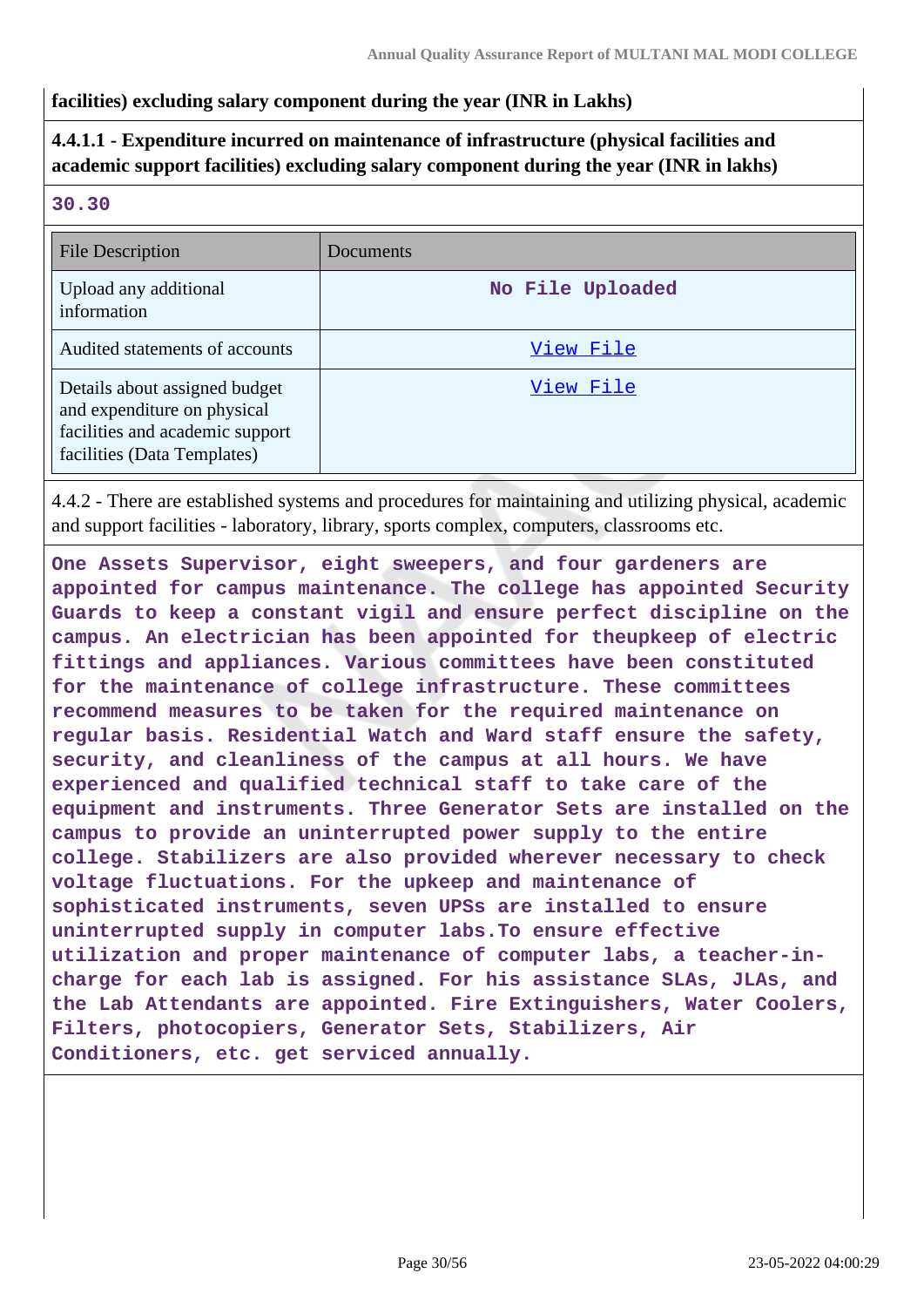### **facilities) excluding salary component during the year (INR in Lakhs)**

## **4.4.1.1 - Expenditure incurred on maintenance of infrastructure (physical facilities and academic support facilities) excluding salary component during the year (INR in lakhs)**

#### **30.30**

| File Description                                                                                                               | Documents        |
|--------------------------------------------------------------------------------------------------------------------------------|------------------|
| Upload any additional<br>information                                                                                           | No File Uploaded |
| Audited statements of accounts                                                                                                 | View File        |
| Details about assigned budget<br>and expenditure on physical<br>facilities and academic support<br>facilities (Data Templates) | View File        |

4.4.2 - There are established systems and procedures for maintaining and utilizing physical, academic and support facilities - laboratory, library, sports complex, computers, classrooms etc.

**One Assets Supervisor, eight sweepers, and four gardeners are appointed for campus maintenance. The college has appointed Security Guards to keep a constant vigil and ensure perfect discipline on the campus. An electrician has been appointed for theupkeep of electric fittings and appliances. Various committees have been constituted for the maintenance of college infrastructure. These committees recommend measures to be taken for the required maintenance on regular basis. Residential Watch and Ward staff ensure the safety, security, and cleanliness of the campus at all hours. We have experienced and qualified technical staff to take care of the equipment and instruments. Three Generator Sets are installed on the campus to provide an uninterrupted power supply to the entire college. Stabilizers are also provided wherever necessary to check voltage fluctuations. For the upkeep and maintenance of sophisticated instruments, seven UPSs are installed to ensure uninterrupted supply in computer labs.To ensure effective utilization and proper maintenance of computer labs, a teacher-incharge for each lab is assigned. For his assistance SLAs, JLAs, and the Lab Attendants are appointed. Fire Extinguishers, Water Coolers, Filters, photocopiers, Generator Sets, Stabilizers, Air Conditioners, etc. get serviced annually.**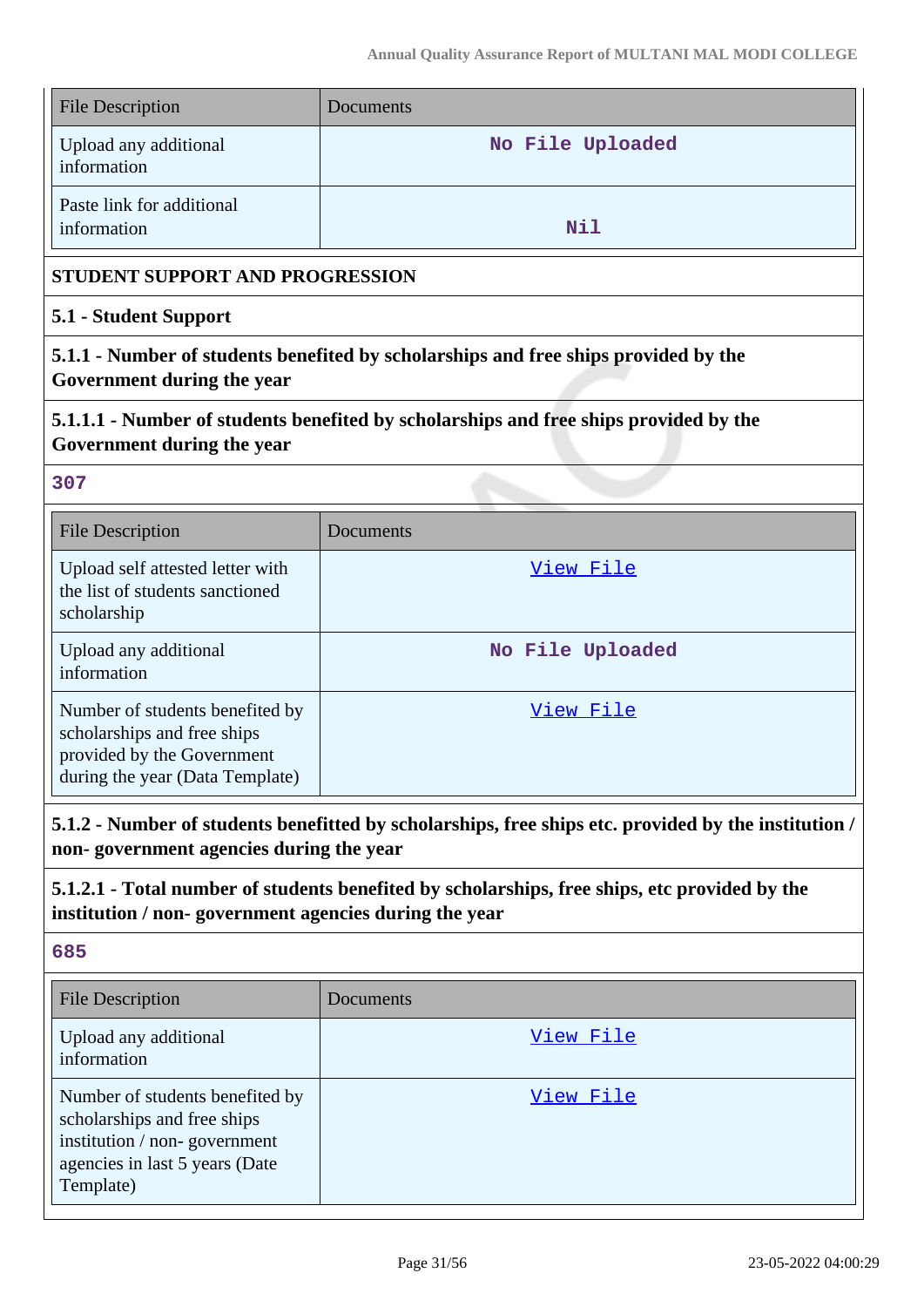| <b>File Description</b>                                                                                                                                | Documents                                                                             |  |  |  |  |
|--------------------------------------------------------------------------------------------------------------------------------------------------------|---------------------------------------------------------------------------------------|--|--|--|--|
| Upload any additional<br>information                                                                                                                   | No File Uploaded                                                                      |  |  |  |  |
| Paste link for additional<br>information                                                                                                               | Nil                                                                                   |  |  |  |  |
| <b>STUDENT SUPPORT AND PROGRESSION</b>                                                                                                                 |                                                                                       |  |  |  |  |
| 5.1 - Student Support                                                                                                                                  |                                                                                       |  |  |  |  |
| 5.1.1 - Number of students benefited by scholarships and free ships provided by the<br>Government during the year                                      |                                                                                       |  |  |  |  |
| Government during the year                                                                                                                             | 5.1.1.1 - Number of students benefited by scholarships and free ships provided by the |  |  |  |  |
| 307                                                                                                                                                    |                                                                                       |  |  |  |  |
| <b>File Description</b>                                                                                                                                | Documents                                                                             |  |  |  |  |
| Upload self attested letter with<br>the list of students sanctioned<br>scholarship                                                                     | View File                                                                             |  |  |  |  |
| Upload any additional<br>information                                                                                                                   | No File Uploaded                                                                      |  |  |  |  |
| Number of students benefited by<br>scholarships and free ships<br>provided by the Government<br>during the year (Data Template)                        | View File                                                                             |  |  |  |  |
| 5.1.2 - Number of students benefitted by scholarships, free ships etc. provided by the institution /<br>non-government agencies during the year        |                                                                                       |  |  |  |  |
| 5.1.2.1 - Total number of students benefited by scholarships, free ships, etc provided by the<br>institution / non-government agencies during the year |                                                                                       |  |  |  |  |
| 685                                                                                                                                                    |                                                                                       |  |  |  |  |
| <b>File Description</b>                                                                                                                                | Documents                                                                             |  |  |  |  |
| Upload any additional<br>information                                                                                                                   | <u>View File</u>                                                                      |  |  |  |  |
| Number of students benefited by                                                                                                                        | <u>View File</u>                                                                      |  |  |  |  |

scholarships and free ships institution / non- government agencies in last 5 years (Date

Template)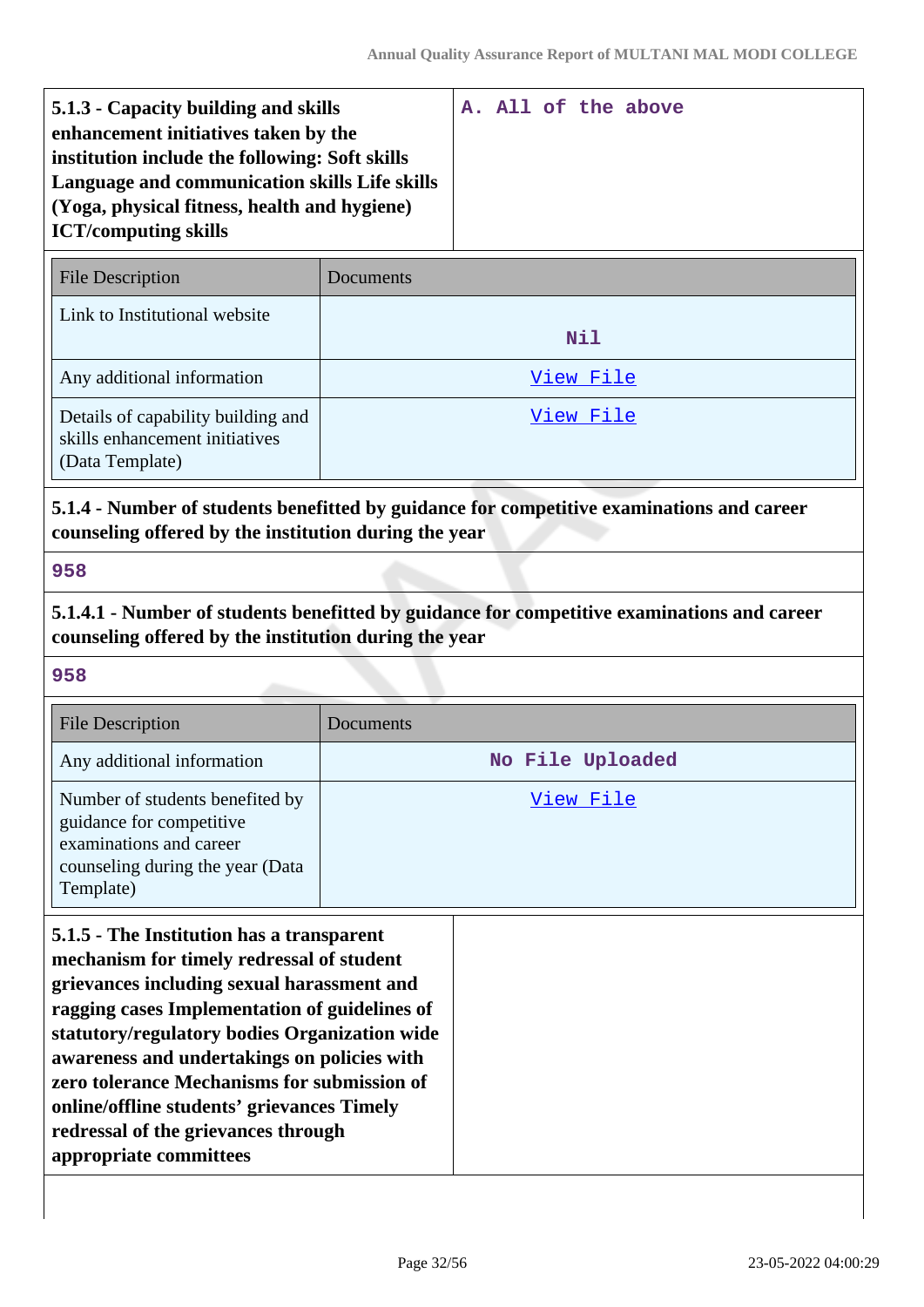| 5.1.3 - Capacity building and skills           |  |  | A. All of the above |
|------------------------------------------------|--|--|---------------------|
| enhancement initiatives taken by the           |  |  |                     |
| institution include the following: Soft skills |  |  |                     |
| Language and communication skills Life skills  |  |  |                     |
| (Yoga, physical fitness, health and hygiene)   |  |  |                     |
| <b>ICT/computing skills</b>                    |  |  |                     |

| <b>File Description</b>                                                                 | Documents |
|-----------------------------------------------------------------------------------------|-----------|
| Link to Institutional website                                                           | Nil       |
| Any additional information                                                              | View File |
| Details of capability building and<br>skills enhancement initiatives<br>(Data Template) | View File |

## **5.1.4 - Number of students benefitted by guidance for competitive examinations and career counseling offered by the institution during the year**

#### **958**

**5.1.4.1 - Number of students benefitted by guidance for competitive examinations and career counseling offered by the institution during the year**

#### **958**

| <b>File Description</b>                                                                                                                 | Documents        |
|-----------------------------------------------------------------------------------------------------------------------------------------|------------------|
| Any additional information                                                                                                              | No File Uploaded |
| Number of students benefited by<br>guidance for competitive<br>examinations and career<br>counseling during the year (Data<br>Template) | View File        |

**5.1.5 - The Institution has a transparent mechanism for timely redressal of student grievances including sexual harassment and ragging cases Implementation of guidelines of statutory/regulatory bodies Organization wide awareness and undertakings on policies with zero tolerance Mechanisms for submission of online/offline students' grievances Timely redressal of the grievances through appropriate committees**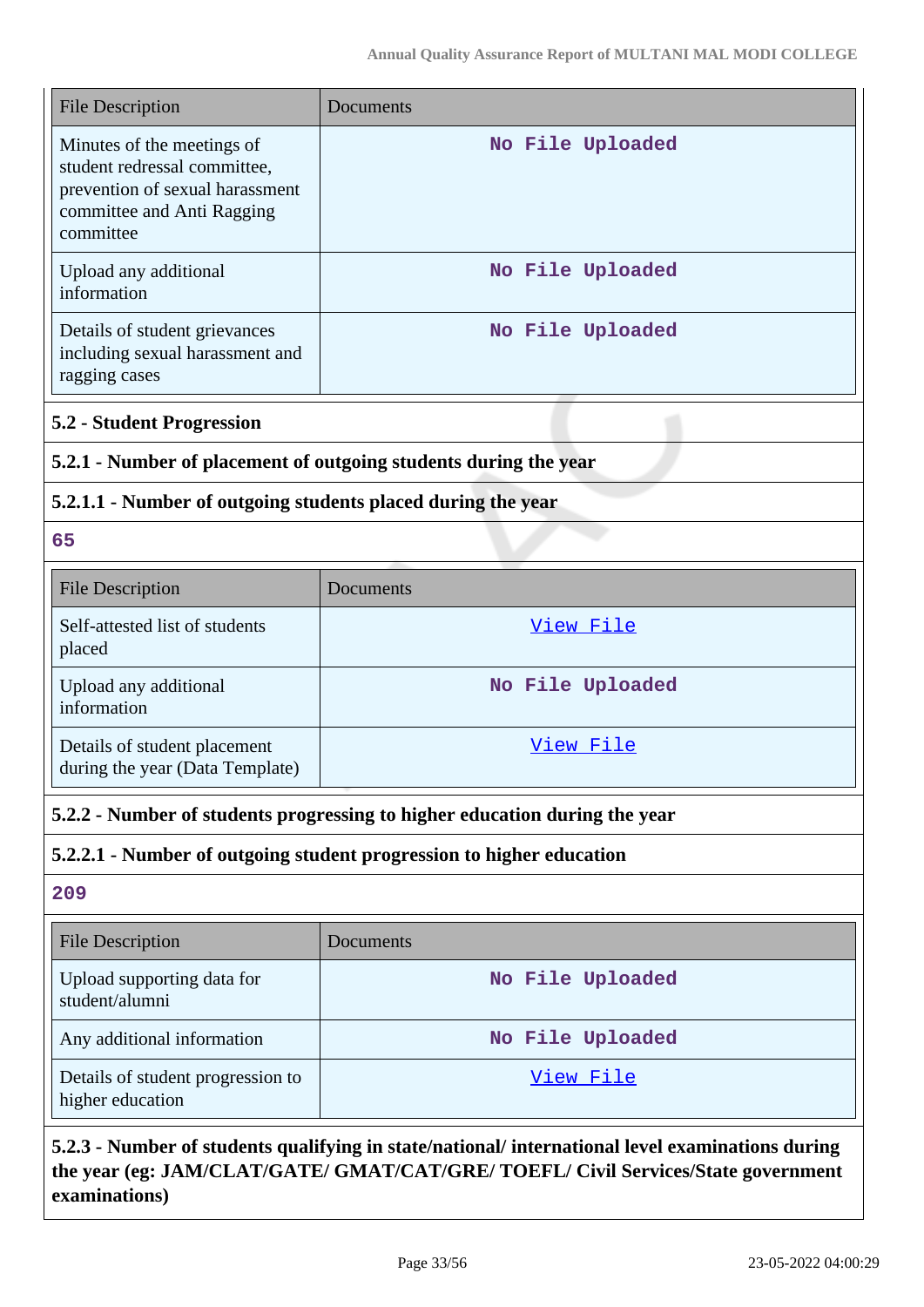| <b>File Description</b>                                                                                                                  | Documents                                                                                        |  |
|------------------------------------------------------------------------------------------------------------------------------------------|--------------------------------------------------------------------------------------------------|--|
| Minutes of the meetings of<br>student redressal committee,<br>prevention of sexual harassment<br>committee and Anti Ragging<br>committee | No File Uploaded                                                                                 |  |
| Upload any additional<br>information                                                                                                     | No File Uploaded                                                                                 |  |
| Details of student grievances<br>including sexual harassment and<br>ragging cases                                                        | No File Uploaded                                                                                 |  |
| <b>5.2 - Student Progression</b>                                                                                                         |                                                                                                  |  |
| 5.2.1 - Number of placement of outgoing students during the year                                                                         |                                                                                                  |  |
| 5.2.1.1 - Number of outgoing students placed during the year                                                                             |                                                                                                  |  |
| 65                                                                                                                                       |                                                                                                  |  |
| <b>File Description</b>                                                                                                                  | Documents                                                                                        |  |
| Self-attested list of students<br>placed                                                                                                 | View File                                                                                        |  |
| Upload any additional<br>information                                                                                                     | No File Uploaded                                                                                 |  |
| Details of student placement<br>during the year (Data Template)                                                                          | View File                                                                                        |  |
|                                                                                                                                          | 5.2.2 - Number of students progressing to higher education during the year                       |  |
|                                                                                                                                          | 5.2.2.1 - Number of outgoing student progression to higher education                             |  |
| 209                                                                                                                                      |                                                                                                  |  |
| <b>File Description</b>                                                                                                                  | Documents                                                                                        |  |
| Upload supporting data for<br>student/alumni                                                                                             | No File Uploaded                                                                                 |  |
| Any additional information                                                                                                               | No File Uploaded                                                                                 |  |
| Details of student progression to<br>higher education                                                                                    | <u>View File</u>                                                                                 |  |
|                                                                                                                                          | 5.2.3 - Number of students qualifying in state/national/ international level examinations during |  |

## **5.2.3 - Number of students qualifying in state/national/ international level examinations during the year (eg: JAM/CLAT/GATE/ GMAT/CAT/GRE/ TOEFL/ Civil Services/State government examinations)**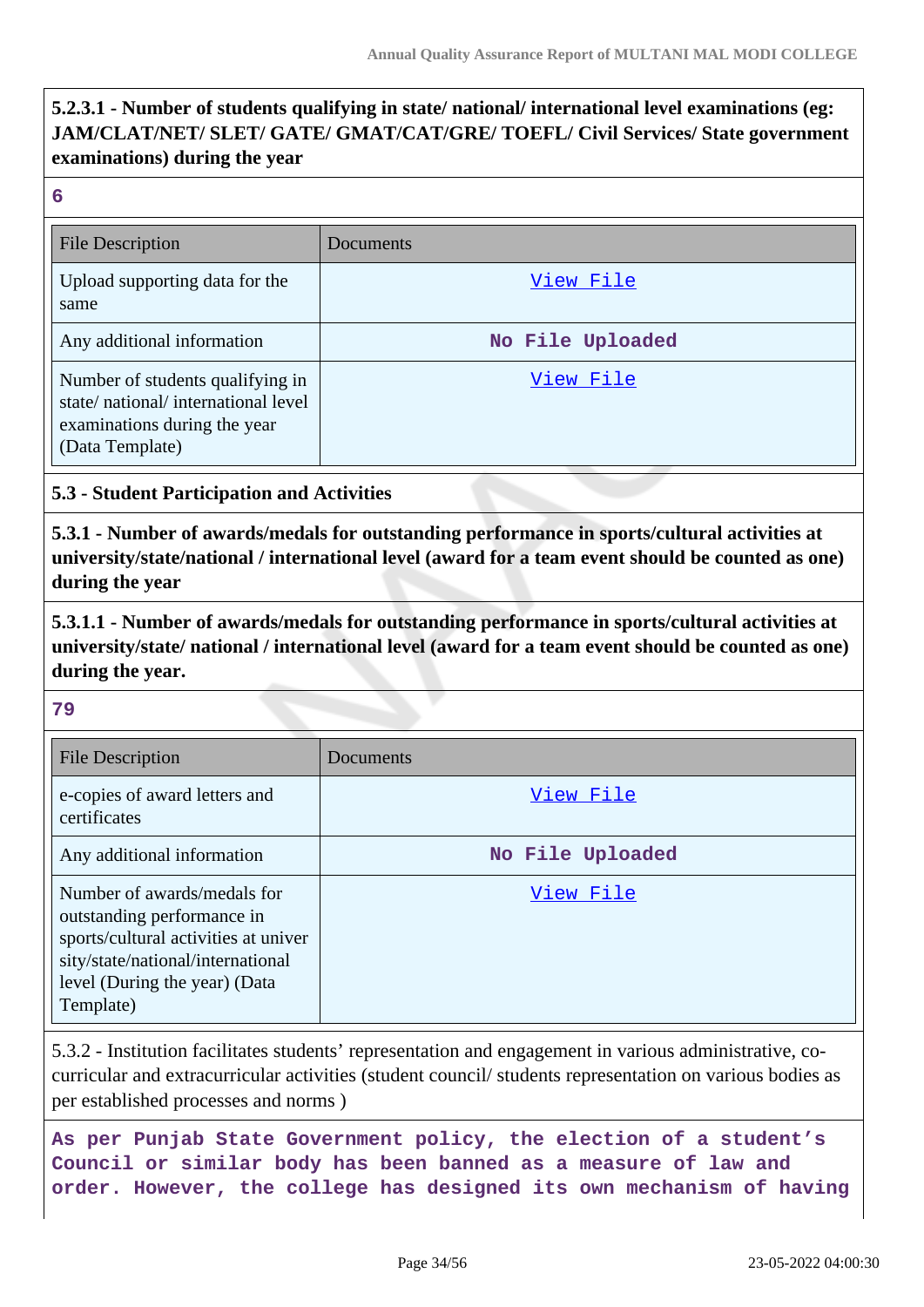## **5.2.3.1 - Number of students qualifying in state/ national/ international level examinations (eg: JAM/CLAT/NET/ SLET/ GATE/ GMAT/CAT/GRE/ TOEFL/ Civil Services/ State government examinations) during the year**

#### **6**

| <b>File Description</b>                                                                                                   | Documents        |
|---------------------------------------------------------------------------------------------------------------------------|------------------|
| Upload supporting data for the<br>same                                                                                    | View File        |
| Any additional information                                                                                                | No File Uploaded |
| Number of students qualifying in<br>state/national/international level<br>examinations during the year<br>(Data Template) | View File        |

#### **5.3 - Student Participation and Activities**

**5.3.1 - Number of awards/medals for outstanding performance in sports/cultural activities at university/state/national / international level (award for a team event should be counted as one) during the year**

**5.3.1.1 - Number of awards/medals for outstanding performance in sports/cultural activities at university/state/ national / international level (award for a team event should be counted as one) during the year.**

#### **79**

| <b>File Description</b>                                                                                                                                                              | Documents        |
|--------------------------------------------------------------------------------------------------------------------------------------------------------------------------------------|------------------|
| e-copies of award letters and<br>certificates                                                                                                                                        | View File        |
| Any additional information                                                                                                                                                           | No File Uploaded |
| Number of awards/medals for<br>outstanding performance in<br>sports/cultural activities at univer<br>sity/state/national/international<br>level (During the year) (Data<br>Template) | View File        |

5.3.2 - Institution facilitates students' representation and engagement in various administrative, cocurricular and extracurricular activities (student council/ students representation on various bodies as per established processes and norms )

**As per Punjab State Government policy, the election of a student's Council or similar body has been banned as a measure of law and order. However, the college has designed its own mechanism of having**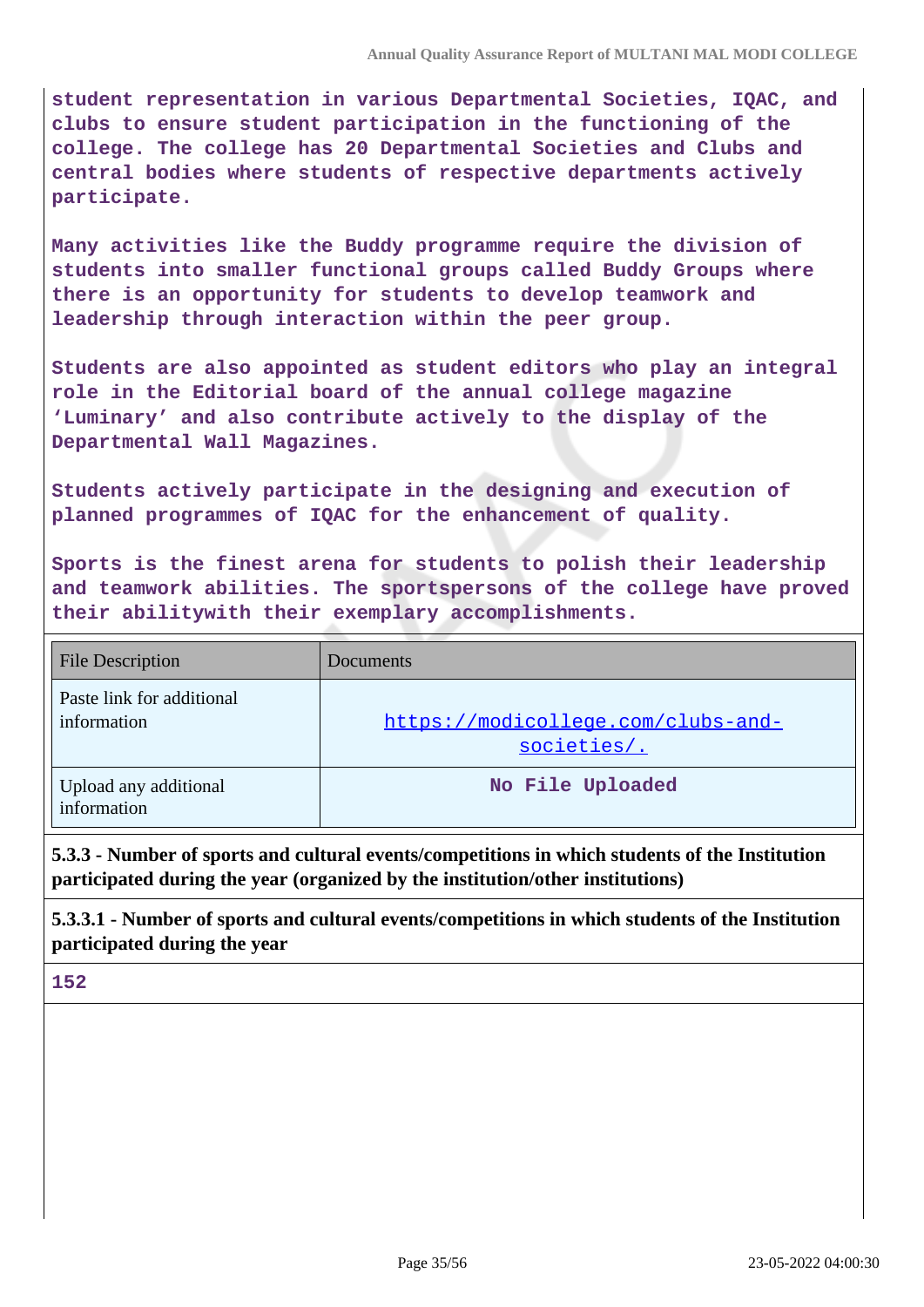**student representation in various Departmental Societies, IQAC, and clubs to ensure student participation in the functioning of the college. The college has 20 Departmental Societies and Clubs and central bodies where students of respective departments actively participate.**

**Many activities like the Buddy programme require the division of students into smaller functional groups called Buddy Groups where there is an opportunity for students to develop teamwork and leadership through interaction within the peer group.**

**Students are also appointed as student editors who play an integral role in the Editorial board of the annual college magazine 'Luminary' and also contribute actively to the display of the Departmental Wall Magazines.**

**Students actively participate in the designing and execution of planned programmes of IQAC for the enhancement of quality.**

**Sports is the finest arena for students to polish their leadership and teamwork abilities. The sportspersons of the college have proved their abilitywith their exemplary accomplishments.**

| <b>File Description</b>                  | <b>Documents</b>                                     |
|------------------------------------------|------------------------------------------------------|
| Paste link for additional<br>information | https://modicollege.com/clubs-and-<br>$societies/$ . |
| Upload any additional<br>information     | No File Uploaded                                     |

**5.3.3 - Number of sports and cultural events/competitions in which students of the Institution participated during the year (organized by the institution/other institutions)**

**5.3.3.1 - Number of sports and cultural events/competitions in which students of the Institution participated during the year**

**152**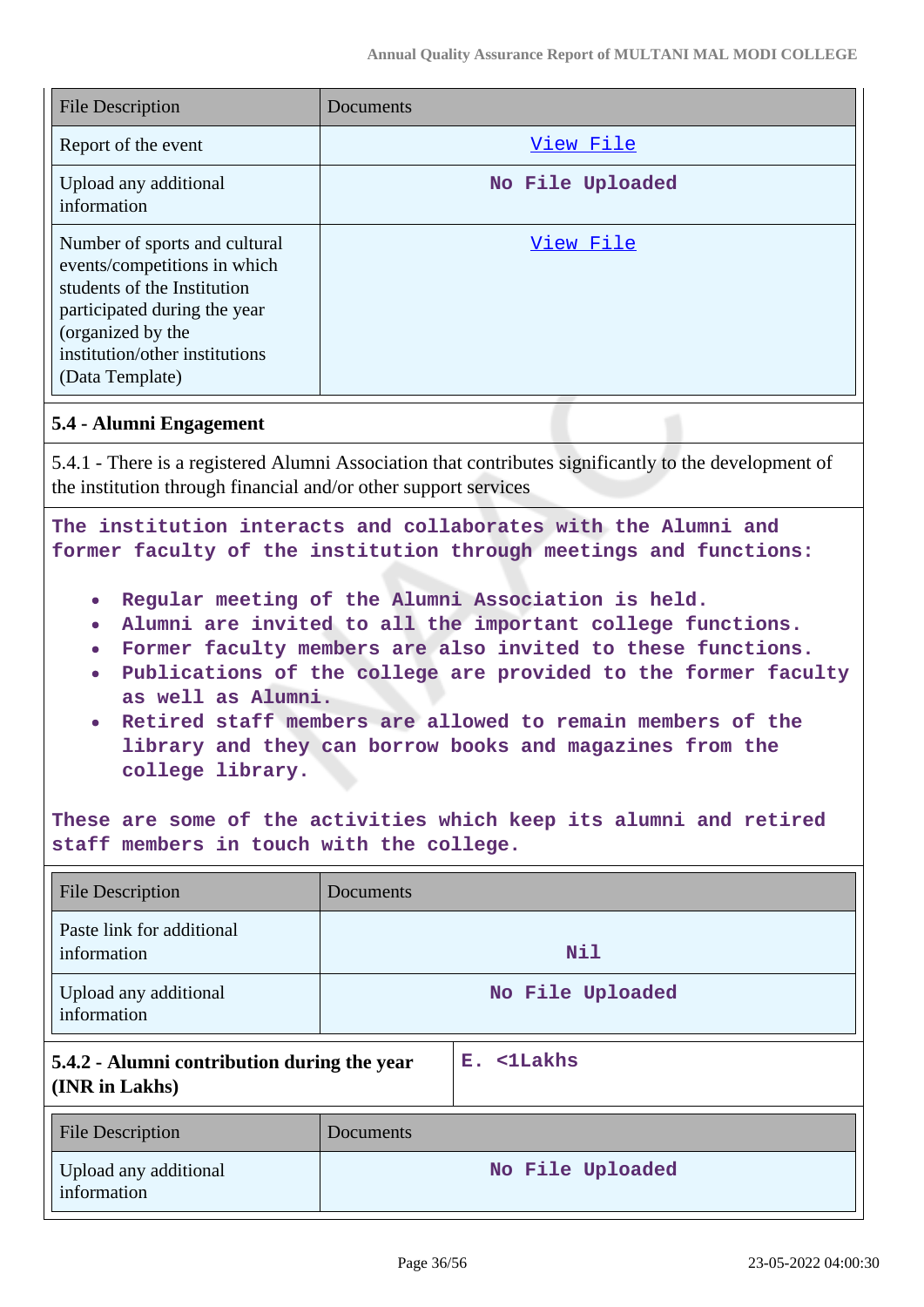| <b>File Description</b>                                                                                                                                                                                | Documents        |
|--------------------------------------------------------------------------------------------------------------------------------------------------------------------------------------------------------|------------------|
| Report of the event                                                                                                                                                                                    | View File        |
| Upload any additional<br>information                                                                                                                                                                   | No File Uploaded |
| Number of sports and cultural<br>events/competitions in which<br>students of the Institution<br>participated during the year<br>(organized by the<br>institution/other institutions<br>(Data Template) | View File        |

#### **5.4 - Alumni Engagement**

5.4.1 - There is a registered Alumni Association that contributes significantly to the development of the institution through financial and/or other support services

**The institution interacts and collaborates with the Alumni and former faculty of the institution through meetings and functions:**

- $\bullet$ **Regular meeting of the Alumni Association is held.**
- **Alumni are invited to all the important college functions.**
- **Former faculty members are also invited to these functions.**
- **Publications of the college are provided to the former faculty**  $\bullet$ **as well as Alumni.**
- **Retired staff members are allowed to remain members of the**  $\bullet$ **library and they can borrow books and magazines from the college library.**

**These are some of the activities which keep its alumni and retired staff members in touch with the college.**

| <b>File Description</b>                                       | Documents |                  |
|---------------------------------------------------------------|-----------|------------------|
| Paste link for additional<br>information                      |           | <b>Nil</b>       |
| Upload any additional<br>information                          |           | No File Uploaded |
| 5.4.2 - Alumni contribution during the year<br>(INR in Lakhs) |           | E. <1Lakhs       |
| File Description                                              | Documents |                  |
| Upload any additional<br>information                          |           | No File Uploaded |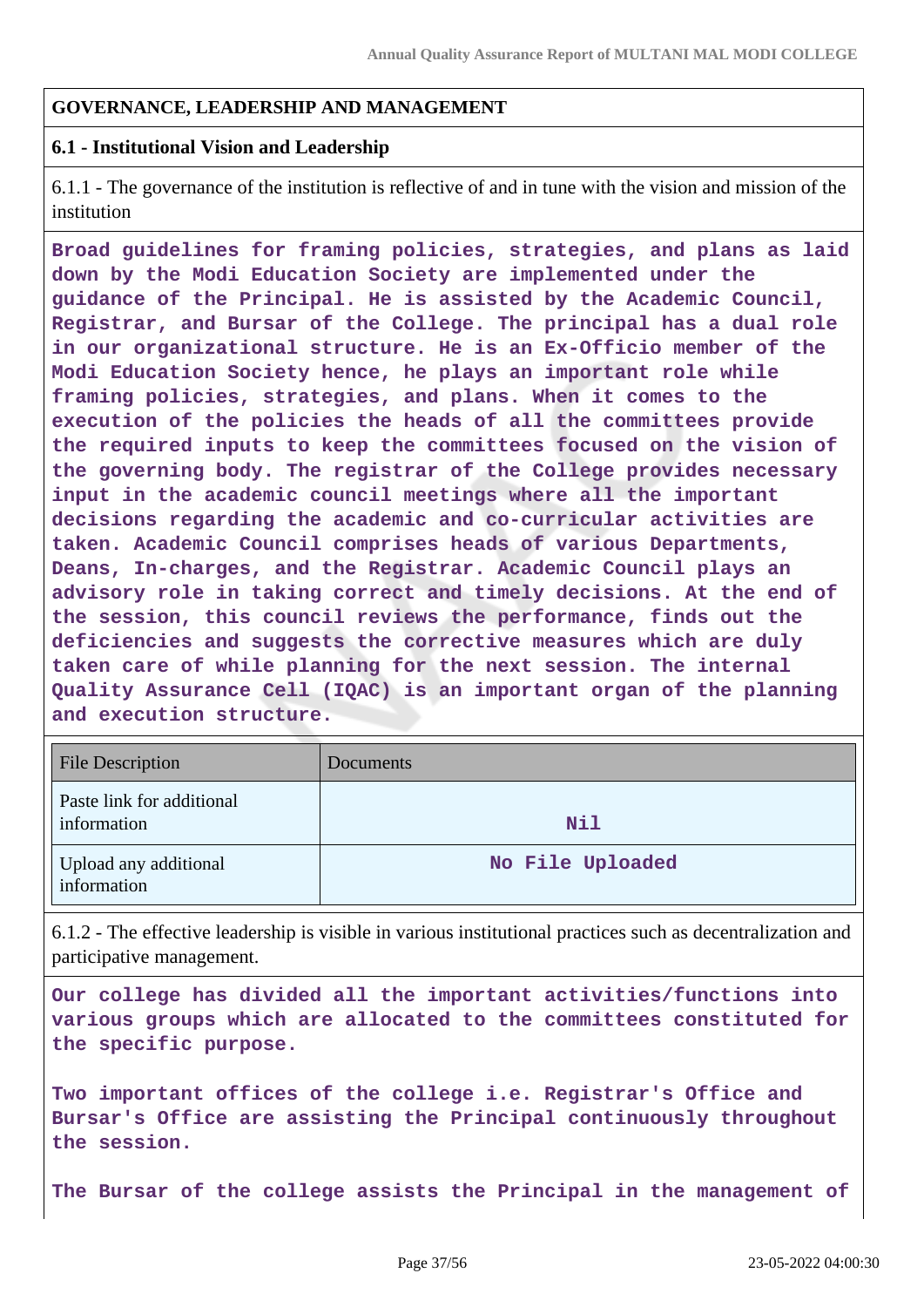## **GOVERNANCE, LEADERSHIP AND MANAGEMENT**

#### **6.1 - Institutional Vision and Leadership**

6.1.1 - The governance of the institution is reflective of and in tune with the vision and mission of the institution

**Broad guidelines for framing policies, strategies, and plans as laid down by the Modi Education Society are implemented under the guidance of the Principal. He is assisted by the Academic Council, Registrar, and Bursar of the College. The principal has a dual role in our organizational structure. He is an Ex-Officio member of the Modi Education Society hence, he plays an important role while framing policies, strategies, and plans. When it comes to the execution of the policies the heads of all the committees provide the required inputs to keep the committees focused on the vision of the governing body. The registrar of the College provides necessary input in the academic council meetings where all the important decisions regarding the academic and co-curricular activities are taken. Academic Council comprises heads of various Departments, Deans, In-charges, and the Registrar. Academic Council plays an advisory role in taking correct and timely decisions. At the end of the session, this council reviews the performance, finds out the deficiencies and suggests the corrective measures which are duly taken care of while planning for the next session. The internal Quality Assurance Cell (IQAC) is an important organ of the planning and execution structure.**

| <b>File Description</b>                  | Documents        |
|------------------------------------------|------------------|
| Paste link for additional<br>information | Nil              |
| Upload any additional<br>information     | No File Uploaded |

6.1.2 - The effective leadership is visible in various institutional practices such as decentralization and participative management.

**Our college has divided all the important activities/functions into various groups which are allocated to the committees constituted for the specific purpose.**

**Two important offices of the college i.e. Registrar's Office and Bursar's Office are assisting the Principal continuously throughout the session.**

**The Bursar of the college assists the Principal in the management of**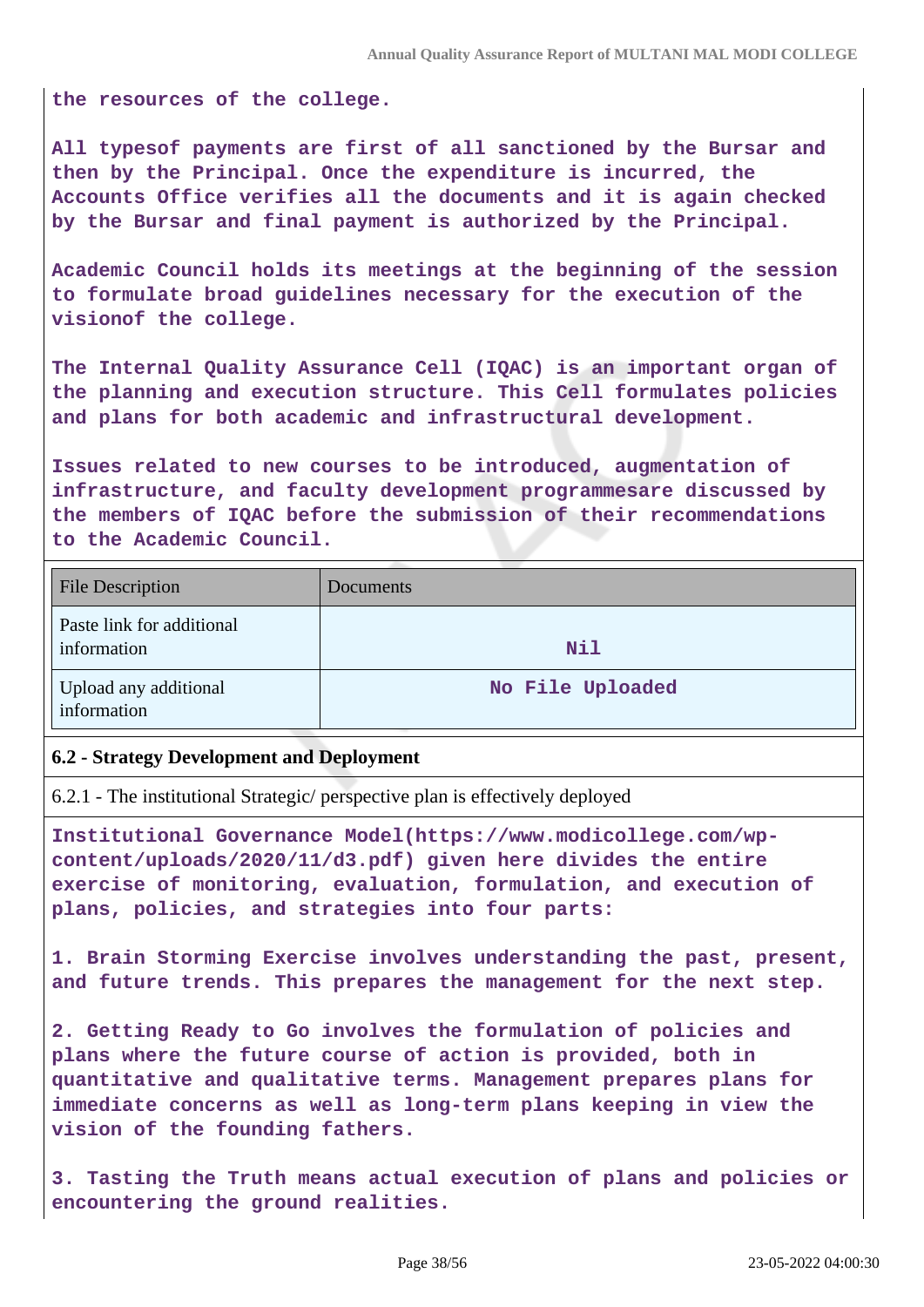**the resources of the college.**

**All typesof payments are first of all sanctioned by the Bursar and then by the Principal. Once the expenditure is incurred, the Accounts Office verifies all the documents and it is again checked by the Bursar and final payment is authorized by the Principal.**

**Academic Council holds its meetings at the beginning of the session to formulate broad guidelines necessary for the execution of the visionof the college.**

**The Internal Quality Assurance Cell (IQAC) is an important organ of the planning and execution structure. This Cell formulates policies and plans for both academic and infrastructural development.**

**Issues related to new courses to be introduced, augmentation of infrastructure, and faculty development programmesare discussed by the members of IQAC before the submission of their recommendations to the Academic Council.**

| <b>File Description</b>                  | Documents        |
|------------------------------------------|------------------|
| Paste link for additional<br>information | Nil              |
| Upload any additional<br>information     | No File Uploaded |

#### **6.2 - Strategy Development and Deployment**

6.2.1 - The institutional Strategic/ perspective plan is effectively deployed

**Institutional Governance Model(https://www.modicollege.com/wpcontent/uploads/2020/11/d3.pdf) given here divides the entire exercise of monitoring, evaluation, formulation, and execution of plans, policies, and strategies into four parts:**

**1. Brain Storming Exercise involves understanding the past, present, and future trends. This prepares the management for the next step.**

**2. Getting Ready to Go involves the formulation of policies and plans where the future course of action is provided, both in quantitative and qualitative terms. Management prepares plans for immediate concerns as well as long-term plans keeping in view the vision of the founding fathers.**

**3. Tasting the Truth means actual execution of plans and policies or encountering the ground realities.**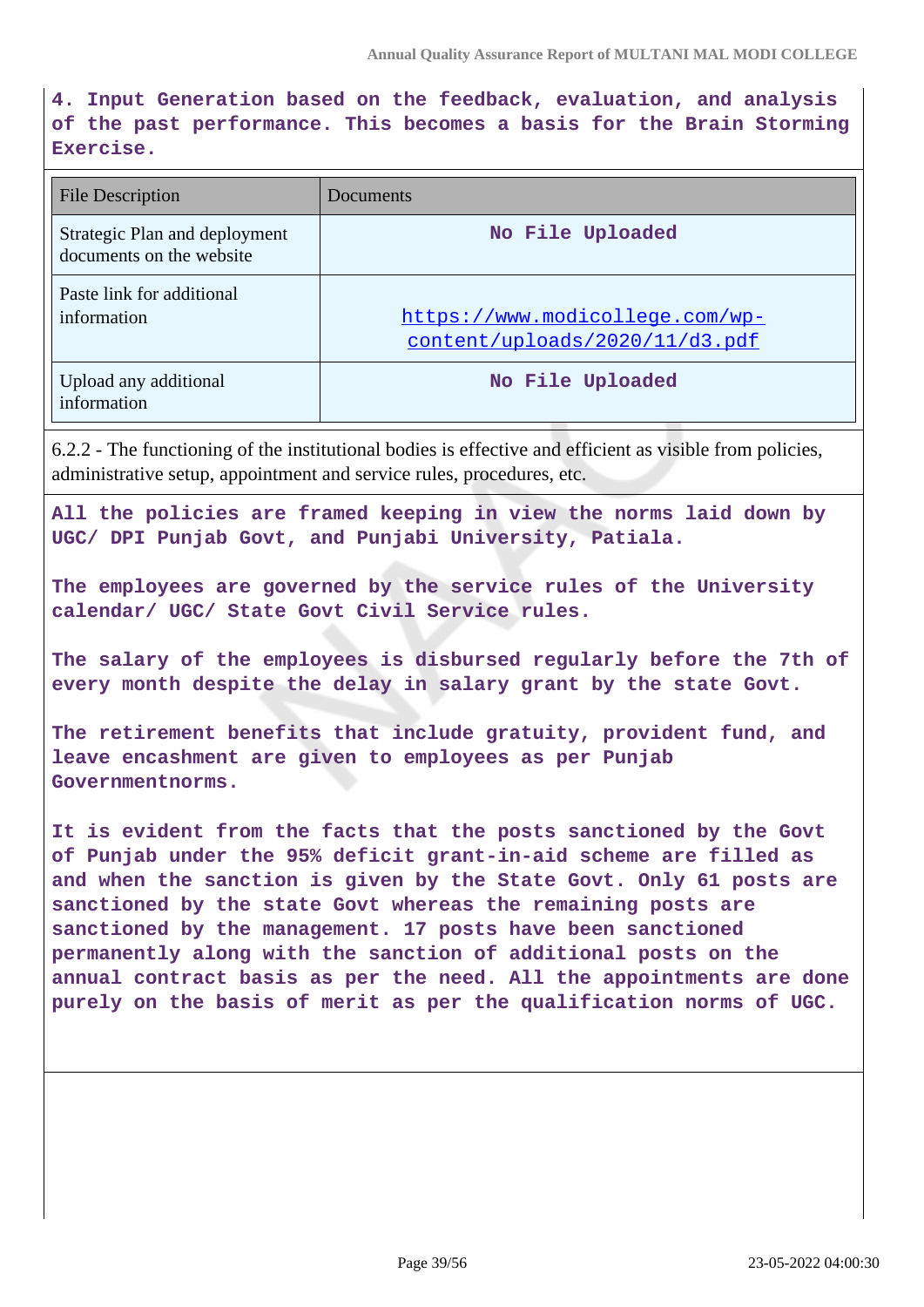**4. Input Generation based on the feedback, evaluation, and analysis of the past performance. This becomes a basis for the Brain Storming Exercise.**

| <b>File Description</b>                                   | Documents                                                         |
|-----------------------------------------------------------|-------------------------------------------------------------------|
| Strategic Plan and deployment<br>documents on the website | No File Uploaded                                                  |
| Paste link for additional<br>information                  | https://www.modicollege.com/wp-<br>content/uploads/2020/11/d3.pdf |
| Upload any additional<br>information                      | No File Uploaded                                                  |

6.2.2 - The functioning of the institutional bodies is effective and efficient as visible from policies, administrative setup, appointment and service rules, procedures, etc.

**All the policies are framed keeping in view the norms laid down by UGC/ DPI Punjab Govt, and Punjabi University, Patiala.**

**The employees are governed by the service rules of the University calendar/ UGC/ State Govt Civil Service rules.**

**The salary of the employees is disbursed regularly before the 7th of every month despite the delay in salary grant by the state Govt.**

**The retirement benefits that include gratuity, provident fund, and leave encashment are given to employees as per Punjab Governmentnorms.**

**It is evident from the facts that the posts sanctioned by the Govt of Punjab under the 95% deficit grant-in-aid scheme are filled as and when the sanction is given by the State Govt. Only 61 posts are sanctioned by the state Govt whereas the remaining posts are sanctioned by the management. 17 posts have been sanctioned permanently along with the sanction of additional posts on the annual contract basis as per the need. All the appointments are done purely on the basis of merit as per the qualification norms of UGC.**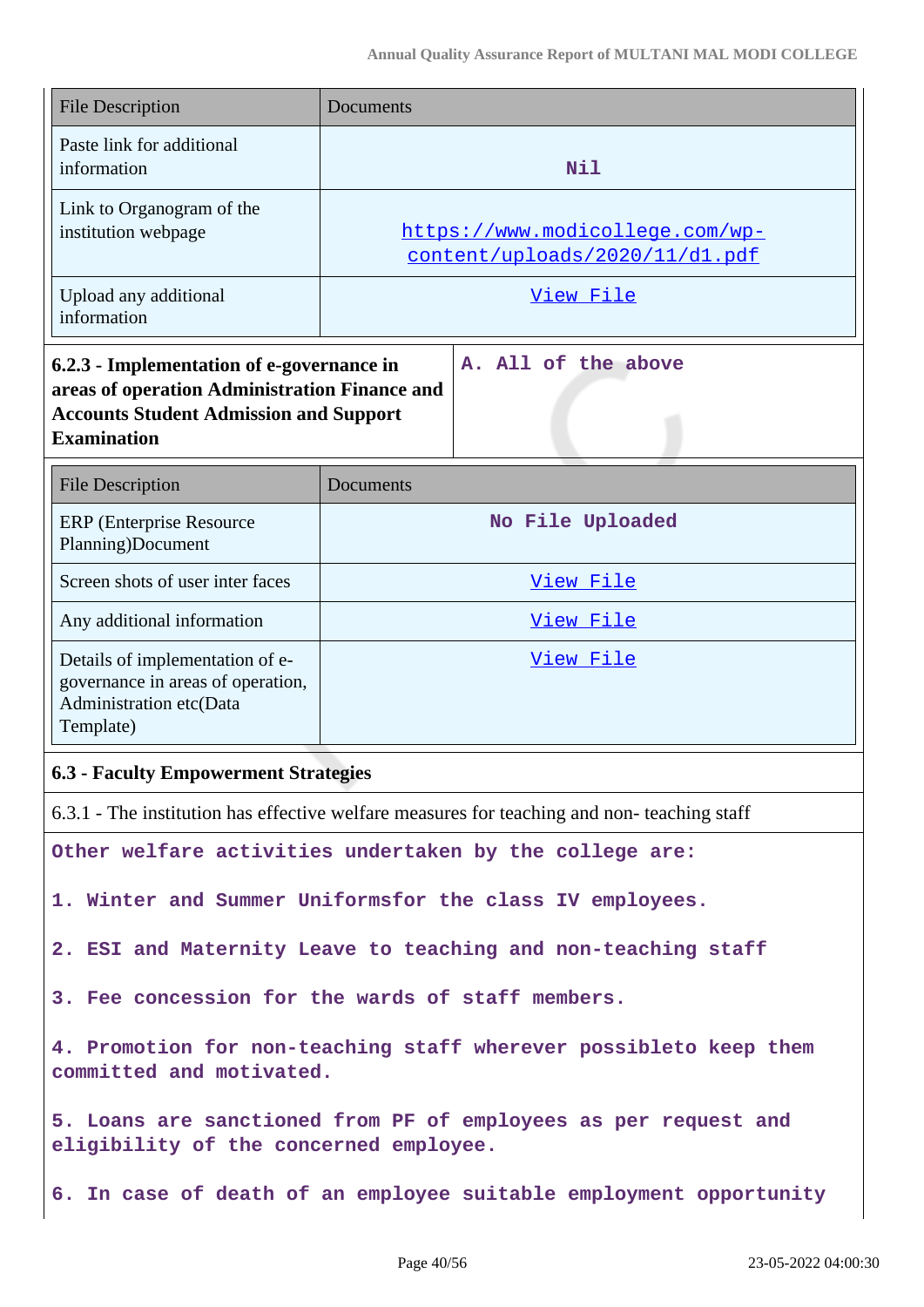| <b>File Description</b>                                                                                                                                           | Documents                                                         |  |
|-------------------------------------------------------------------------------------------------------------------------------------------------------------------|-------------------------------------------------------------------|--|
| Paste link for additional<br>information                                                                                                                          | Nil                                                               |  |
| Link to Organogram of the<br>institution webpage                                                                                                                  | https://www.modicollege.com/wp-<br>content/uploads/2020/11/d1.pdf |  |
| Upload any additional<br>information                                                                                                                              | View File                                                         |  |
| 6.2.3 - Implementation of e-governance in<br>areas of operation Administration Finance and<br><b>Accounts Student Admission and Support</b><br><b>Examination</b> | A. All of the above                                               |  |
| <b>File Description</b>                                                                                                                                           | Documents                                                         |  |
| <b>ERP</b> (Enterprise Resource<br>Planning)Document                                                                                                              | No File Uploaded                                                  |  |
| Screen shots of user inter faces                                                                                                                                  | View File                                                         |  |
| Any additional information                                                                                                                                        | View File                                                         |  |
| Details of implementation of e-<br>governance in areas of operation,<br>Administration etc(Data<br>Template)                                                      | View File                                                         |  |
| <b>6.3 - Faculty Empowerment Strategies</b>                                                                                                                       |                                                                   |  |
| 6.3.1 - The institution has effective welfare measures for teaching and non-teaching staff                                                                        |                                                                   |  |
|                                                                                                                                                                   | Other welfare activities undertaken by the college are:           |  |
| 1. Winter and Summer Uniformsfor the class IV employees.                                                                                                          |                                                                   |  |
| 2. ESI and Maternity Leave to teaching and non-teaching staff                                                                                                     |                                                                   |  |
| 3. Fee concession for the wards of staff members.                                                                                                                 |                                                                   |  |
| 4. Promotion for non-teaching staff wherever possibleto keep them<br>committed and motivated.                                                                     |                                                                   |  |
| 5. Loans are sanctioned from PF of employees as per request and<br>eligibility of the concerned employee.                                                         |                                                                   |  |
| 6. In case of death of an employee suitable employment opportunity                                                                                                |                                                                   |  |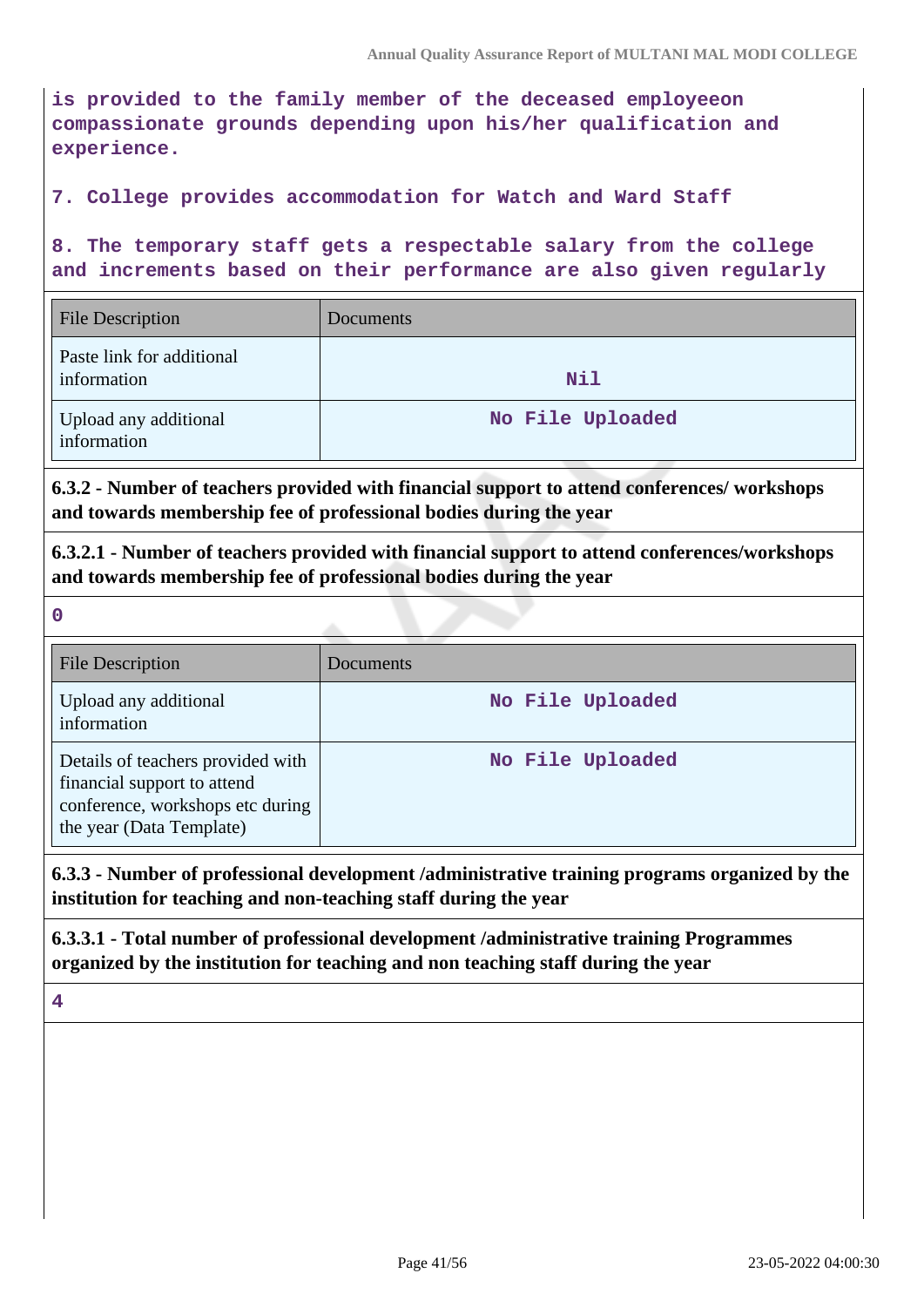**is provided to the family member of the deceased employeeon compassionate grounds depending upon his/her qualification and experience.**

#### **7. College provides accommodation for Watch and Ward Staff**

**8. The temporary staff gets a respectable salary from the college and increments based on their performance are also given regularly**

| <b>File Description</b>                  | Documents        |
|------------------------------------------|------------------|
| Paste link for additional<br>information | Nil              |
| Upload any additional<br>information     | No File Uploaded |

**6.3.2 - Number of teachers provided with financial support to attend conferences/ workshops and towards membership fee of professional bodies during the year**

**6.3.2.1 - Number of teachers provided with financial support to attend conferences/workshops and towards membership fee of professional bodies during the year**

**0**

| <b>File Description</b>                                                                                                          | <b>Documents</b> |
|----------------------------------------------------------------------------------------------------------------------------------|------------------|
| Upload any additional<br>information                                                                                             | No File Uploaded |
| Details of teachers provided with<br>financial support to attend<br>conference, workshops etc during<br>the year (Data Template) | No File Uploaded |

## **6.3.3 - Number of professional development /administrative training programs organized by the institution for teaching and non-teaching staff during the year**

**6.3.3.1 - Total number of professional development /administrative training Programmes organized by the institution for teaching and non teaching staff during the year**

**4**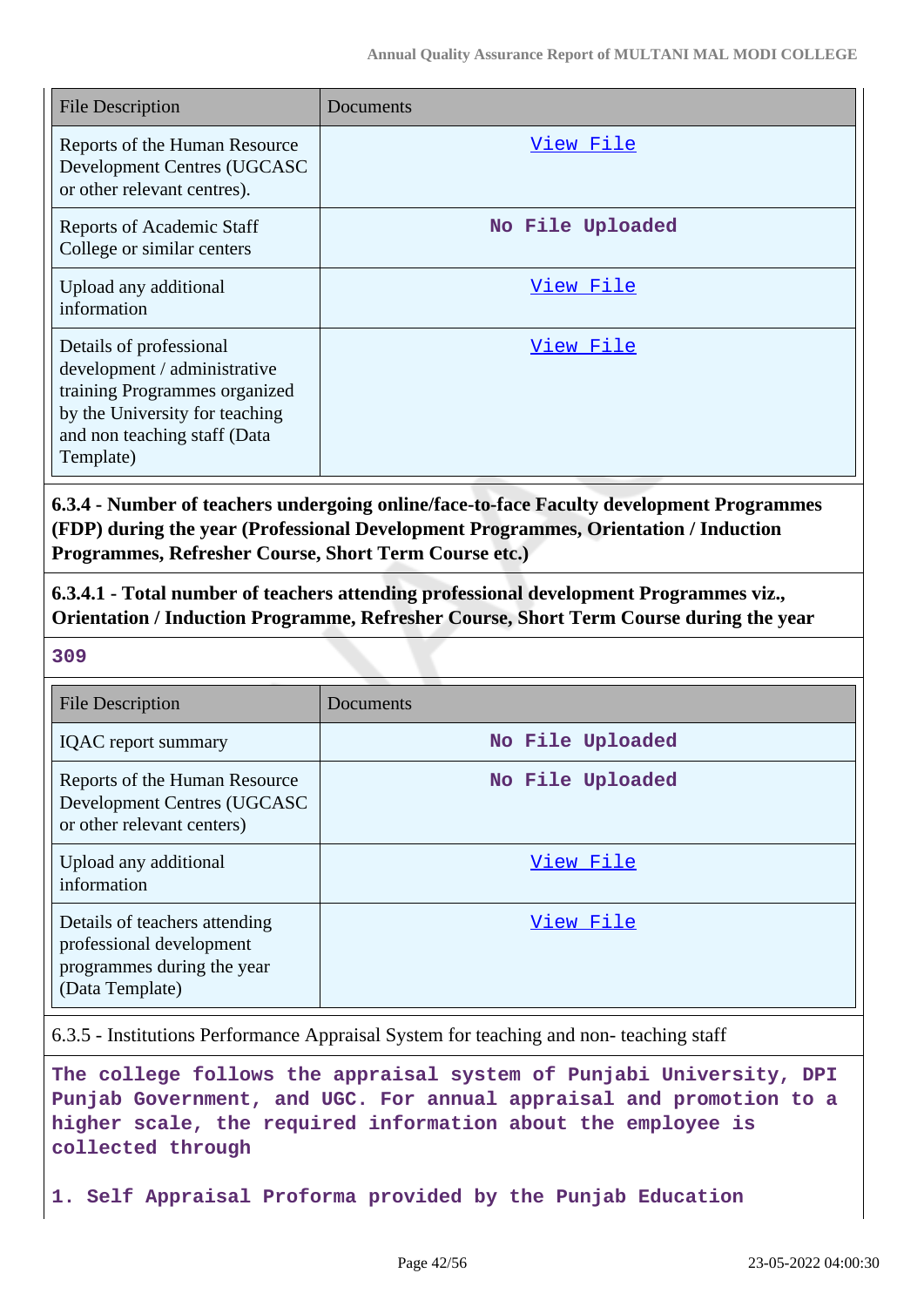| <b>File Description</b>                                                                                                                                                 | Documents        |
|-------------------------------------------------------------------------------------------------------------------------------------------------------------------------|------------------|
| Reports of the Human Resource<br>Development Centres (UGCASC<br>or other relevant centres).                                                                             | View File        |
| <b>Reports of Academic Staff</b><br>College or similar centers                                                                                                          | No File Uploaded |
| Upload any additional<br>information                                                                                                                                    | View File        |
| Details of professional<br>development / administrative<br>training Programmes organized<br>by the University for teaching<br>and non teaching staff (Data<br>Template) | View File        |

**6.3.4 - Number of teachers undergoing online/face-to-face Faculty development Programmes (FDP) during the year (Professional Development Programmes, Orientation / Induction Programmes, Refresher Course, Short Term Course etc.)**

**6.3.4.1 - Total number of teachers attending professional development Programmes viz., Orientation / Induction Programme, Refresher Course, Short Term Course during the year**

**309**

| <b>File Description</b>                                                                                    | Documents        |
|------------------------------------------------------------------------------------------------------------|------------------|
| <b>IQAC</b> report summary                                                                                 | No File Uploaded |
| Reports of the Human Resource<br>Development Centres (UGCASC<br>or other relevant centers)                 | No File Uploaded |
| Upload any additional<br>information                                                                       | View File        |
| Details of teachers attending<br>professional development<br>programmes during the year<br>(Data Template) | View File        |

6.3.5 - Institutions Performance Appraisal System for teaching and non- teaching staff

**The college follows the appraisal system of Punjabi University, DPI Punjab Government, and UGC. For annual appraisal and promotion to a higher scale, the required information about the employee is collected through**

**1. Self Appraisal Proforma provided by the Punjab Education**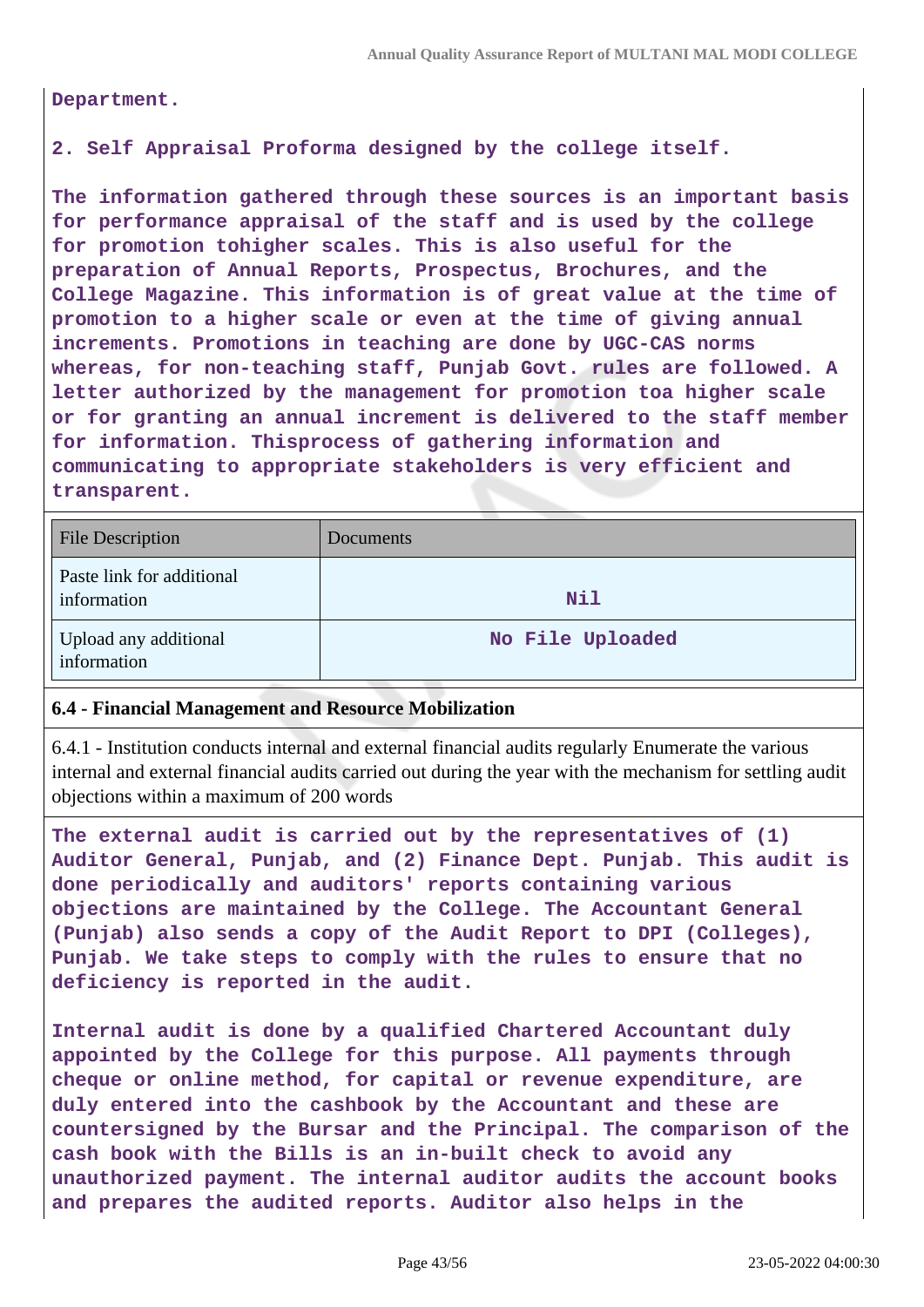**Department.**

#### **2. Self Appraisal Proforma designed by the college itself.**

**The information gathered through these sources is an important basis for performance appraisal of the staff and is used by the college for promotion tohigher scales. This is also useful for the preparation of Annual Reports, Prospectus, Brochures, and the College Magazine. This information is of great value at the time of promotion to a higher scale or even at the time of giving annual increments. Promotions in teaching are done by UGC-CAS norms whereas, for non-teaching staff, Punjab Govt. rules are followed. A letter authorized by the management for promotion toa higher scale or for granting an annual increment is delivered to the staff member for information. Thisprocess of gathering information and communicating to appropriate stakeholders is very efficient and transparent.**

| <b>File Description</b>                  | Documents        |
|------------------------------------------|------------------|
| Paste link for additional<br>information | Nil              |
| Upload any additional<br>information     | No File Uploaded |

#### **6.4 - Financial Management and Resource Mobilization**

6.4.1 - Institution conducts internal and external financial audits regularly Enumerate the various internal and external financial audits carried out during the year with the mechanism for settling audit objections within a maximum of 200 words

**The external audit is carried out by the representatives of (1) Auditor General, Punjab, and (2) Finance Dept. Punjab. This audit is done periodically and auditors' reports containing various objections are maintained by the College. The Accountant General (Punjab) also sends a copy of the Audit Report to DPI (Colleges), Punjab. We take steps to comply with the rules to ensure that no deficiency is reported in the audit.**

**Internal audit is done by a qualified Chartered Accountant duly appointed by the College for this purpose. All payments through cheque or online method, for capital or revenue expenditure, are duly entered into the cashbook by the Accountant and these are countersigned by the Bursar and the Principal. The comparison of the cash book with the Bills is an in-built check to avoid any unauthorized payment. The internal auditor audits the account books and prepares the audited reports. Auditor also helps in the**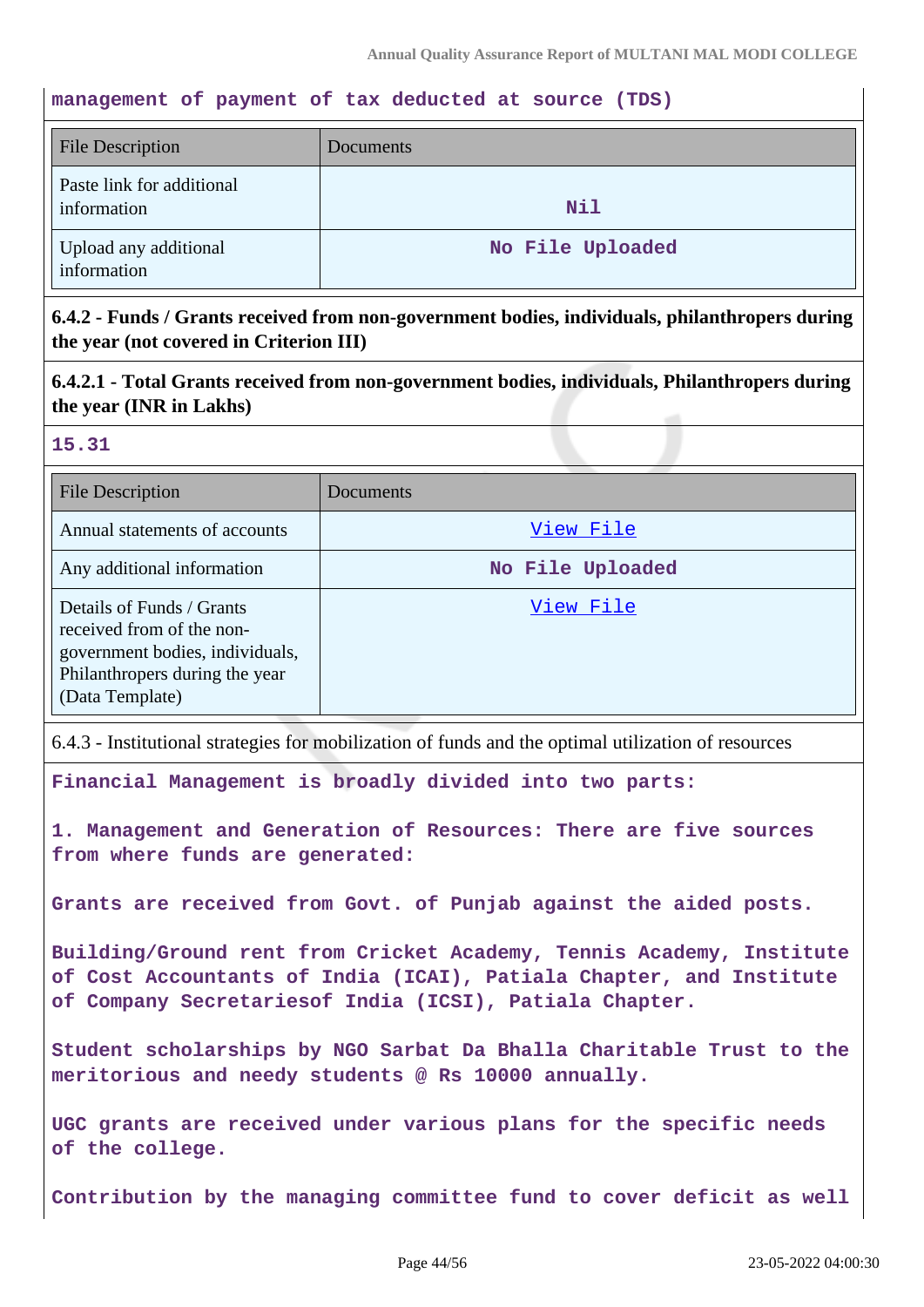#### **management of payment of tax deducted at source (TDS)**

| File Description                         | Documents        |
|------------------------------------------|------------------|
| Paste link for additional<br>information | Nil              |
| Upload any additional<br>information     | No File Uploaded |

## **6.4.2 - Funds / Grants received from non-government bodies, individuals, philanthropers during the year (not covered in Criterion III)**

**6.4.2.1 - Total Grants received from non-government bodies, individuals, Philanthropers during the year (INR in Lakhs)**

#### **15.31**

| <b>File Description</b>                                                                                                                        | Documents        |
|------------------------------------------------------------------------------------------------------------------------------------------------|------------------|
| Annual statements of accounts                                                                                                                  | View File        |
| Any additional information                                                                                                                     | No File Uploaded |
| Details of Funds / Grants<br>received from of the non-<br>government bodies, individuals,<br>Philanthropers during the year<br>(Data Template) | View File        |

6.4.3 - Institutional strategies for mobilization of funds and the optimal utilization of resources

**Financial Management is broadly divided into two parts:**

**1. Management and Generation of Resources: There are five sources from where funds are generated:**

**Grants are received from Govt. of Punjab against the aided posts.**

**Building/Ground rent from Cricket Academy, Tennis Academy, Institute of Cost Accountants of India (ICAI), Patiala Chapter, and Institute of Company Secretariesof India (ICSI), Patiala Chapter.**

**Student scholarships by NGO Sarbat Da Bhalla Charitable Trust to the meritorious and needy students @ Rs 10000 annually.**

**UGC grants are received under various plans for the specific needs of the college.**

**Contribution by the managing committee fund to cover deficit as well**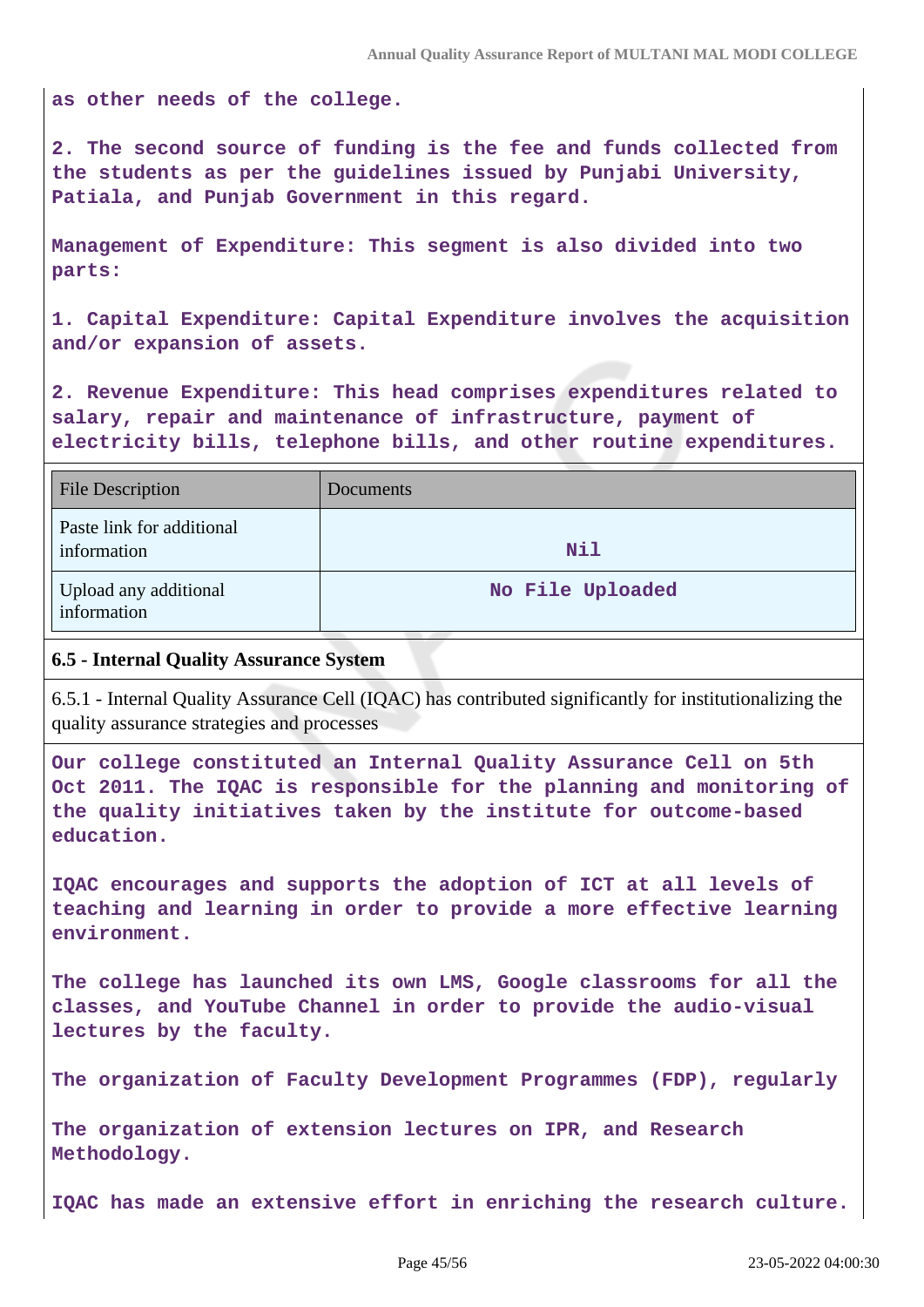**as other needs of the college.**

**2. The second source of funding is the fee and funds collected from the students as per the guidelines issued by Punjabi University, Patiala, and Punjab Government in this regard.**

**Management of Expenditure: This segment is also divided into two parts:**

**1. Capital Expenditure: Capital Expenditure involves the acquisition and/or expansion of assets.**

**2. Revenue Expenditure: This head comprises expenditures related to salary, repair and maintenance of infrastructure, payment of electricity bills, telephone bills, and other routine expenditures.**

| <b>File Description</b>                  | Documents        |
|------------------------------------------|------------------|
| Paste link for additional<br>information | Nil              |
| Upload any additional<br>information     | No File Uploaded |

#### **6.5 - Internal Quality Assurance System**

6.5.1 - Internal Quality Assurance Cell (IQAC) has contributed significantly for institutionalizing the quality assurance strategies and processes

**Our college constituted an Internal Quality Assurance Cell on 5th Oct 2011. The IQAC is responsible for the planning and monitoring of the quality initiatives taken by the institute for outcome-based education.**

**IQAC encourages and supports the adoption of ICT at all levels of teaching and learning in order to provide a more effective learning environment.**

**The college has launched its own LMS, Google classrooms for all the classes, and YouTube Channel in order to provide the audio-visual lectures by the faculty.**

**The organization of Faculty Development Programmes (FDP), regularly**

**The organization of extension lectures on IPR, and Research Methodology.**

**IQAC has made an extensive effort in enriching the research culture.**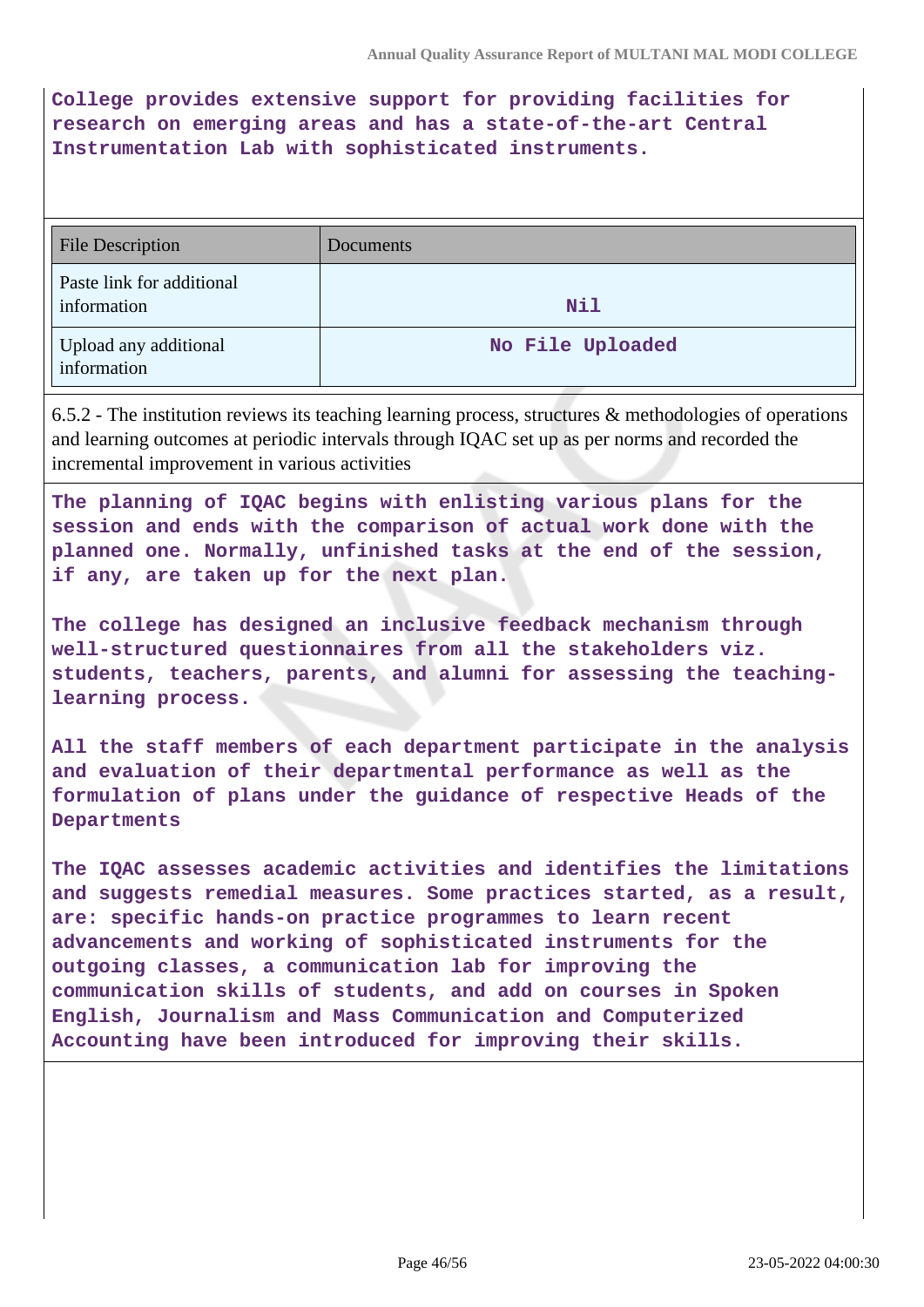**College provides extensive support for providing facilities for research on emerging areas and has a state-of-the-art Central Instrumentation Lab with sophisticated instruments.**

| <b>File Description</b>                  | Documents        |
|------------------------------------------|------------------|
| Paste link for additional<br>information | Nil              |
| Upload any additional<br>information     | No File Uploaded |

6.5.2 - The institution reviews its teaching learning process, structures & methodologies of operations and learning outcomes at periodic intervals through IQAC set up as per norms and recorded the incremental improvement in various activities

**The planning of IQAC begins with enlisting various plans for the session and ends with the comparison of actual work done with the planned one. Normally, unfinished tasks at the end of the session, if any, are taken up for the next plan.**

**The college has designed an inclusive feedback mechanism through well-structured questionnaires from all the stakeholders viz. students, teachers, parents, and alumni for assessing the teachinglearning process.**

**All the staff members of each department participate in the analysis and evaluation of their departmental performance as well as the formulation of plans under the guidance of respective Heads of the Departments**

**The IQAC assesses academic activities and identifies the limitations and suggests remedial measures. Some practices started, as a result, are: specific hands-on practice programmes to learn recent advancements and working of sophisticated instruments for the outgoing classes, a communication lab for improving the communication skills of students, and add on courses in Spoken English, Journalism and Mass Communication and Computerized Accounting have been introduced for improving their skills.**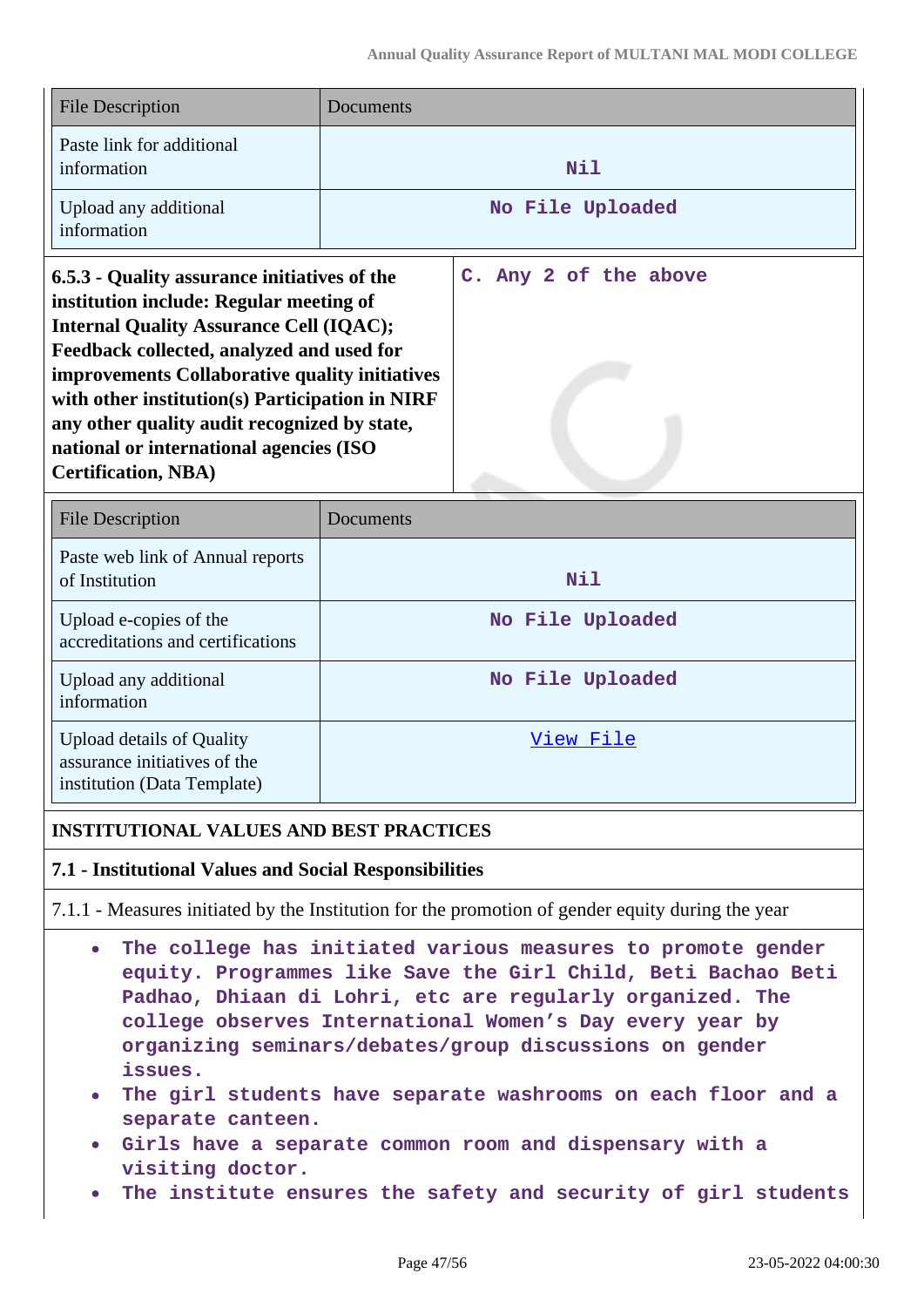| <b>File Description</b>                      | Documents             |  |  |  |  |
|----------------------------------------------|-----------------------|--|--|--|--|
| Paste link for additional<br>information     | Nil                   |  |  |  |  |
| Upload any additional<br>information         | No File Uploaded      |  |  |  |  |
| 6.5.3 - Quality assurance initiatives of the | C. Any 2 of the above |  |  |  |  |

**institution include: Regular meeting of Internal Quality Assurance Cell (IQAC); Feedback collected, analyzed and used for improvements Collaborative quality initiatives with other institution(s) Participation in NIRF any other quality audit recognized by state, national or international agencies (ISO Certification, NBA)**

| <b>File Description</b>                                                                         | Documents        |
|-------------------------------------------------------------------------------------------------|------------------|
| Paste web link of Annual reports<br>of Institution                                              | Nil              |
| Upload e-copies of the<br>accreditations and certifications                                     | No File Uploaded |
| Upload any additional<br>information                                                            | No File Uploaded |
| <b>Upload details of Quality</b><br>assurance initiatives of the<br>institution (Data Template) | View File        |

### **INSTITUTIONAL VALUES AND BEST PRACTICES**

#### **7.1 - Institutional Values and Social Responsibilities**

7.1.1 - Measures initiated by the Institution for the promotion of gender equity during the year

- **The college has initiated various measures to promote gender**  $\bullet$ **equity. Programmes like Save the Girl Child, Beti Bachao Beti Padhao, Dhiaan di Lohri, etc are regularly organized. The college observes International Women's Day every year by organizing seminars/debates/group discussions on gender issues.**
- **The girl students have separate washrooms on each floor and a separate canteen.**
- **Girls have a separate common room and dispensary with a visiting doctor.**
- **The institute ensures the safety and security of girl students**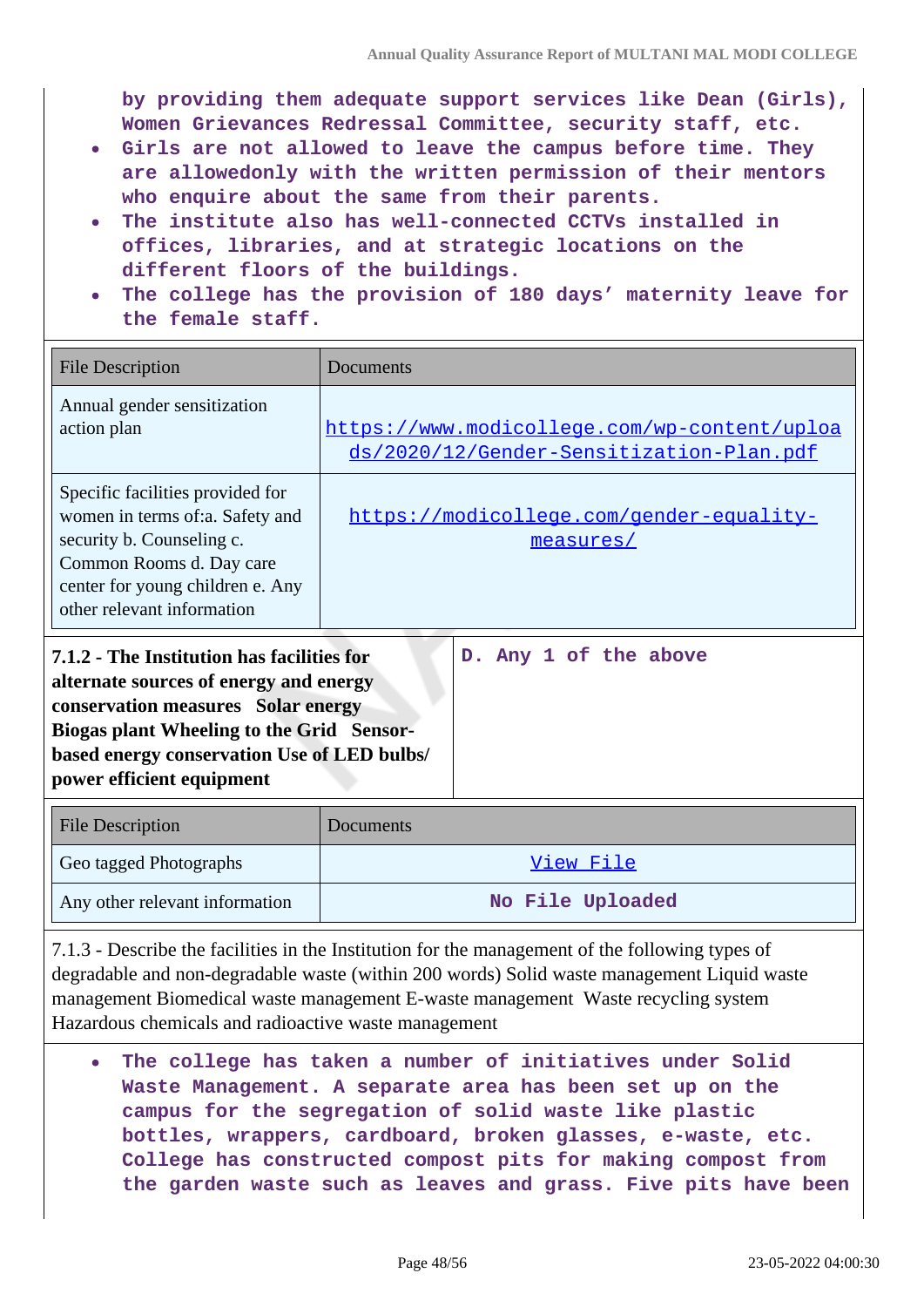**by providing them adequate support services like Dean (Girls), Women Grievances Redressal Committee, security staff, etc.**

- **Girls are not allowed to leave the campus before time. They are allowedonly with the written permission of their mentors who enquire about the same from their parents.**
- **The institute also has well-connected CCTVs installed in offices, libraries, and at strategic locations on the different floors of the buildings.**
- **The college has the provision of 180 days' maternity leave for the female staff.**

| <b>File Description</b>                                                                                                                                                                        | Documents                                                                                |
|------------------------------------------------------------------------------------------------------------------------------------------------------------------------------------------------|------------------------------------------------------------------------------------------|
| Annual gender sensitization<br>action plan                                                                                                                                                     | https://www.modicollege.com/wp-content/uploa<br>ds/2020/12/Gender-Sensitization-Plan.pdf |
| Specific facilities provided for<br>women in terms of:a. Safety and<br>security b. Counseling c.<br>Common Rooms d. Day care<br>center for young children e. Any<br>other relevant information | https://modicollege.com/gender-equality-<br>measures/                                    |

| 7.1.2 - The Institution has facilities for  |  |  | D. Any 1 of the above |
|---------------------------------------------|--|--|-----------------------|
| alternate sources of energy and energy      |  |  |                       |
| conservation measures Solar energy          |  |  |                       |
| Biogas plant Wheeling to the Grid Sensor-   |  |  |                       |
| based energy conservation Use of LED bulbs/ |  |  |                       |
| power efficient equipment                   |  |  |                       |

| <b>File Description</b>        | <b>Documents</b> |
|--------------------------------|------------------|
| Geo tagged Photographs         | View File        |
| Any other relevant information | No File Uploaded |

7.1.3 - Describe the facilities in the Institution for the management of the following types of degradable and non-degradable waste (within 200 words) Solid waste management Liquid waste management Biomedical waste management E-waste management Waste recycling system Hazardous chemicals and radioactive waste management

**The college has taken a number of initiatives under Solid Waste Management. A separate area has been set up on the campus for the segregation of solid waste like plastic bottles, wrappers, cardboard, broken glasses, e-waste, etc. College has constructed compost pits for making compost from the garden waste such as leaves and grass. Five pits have been**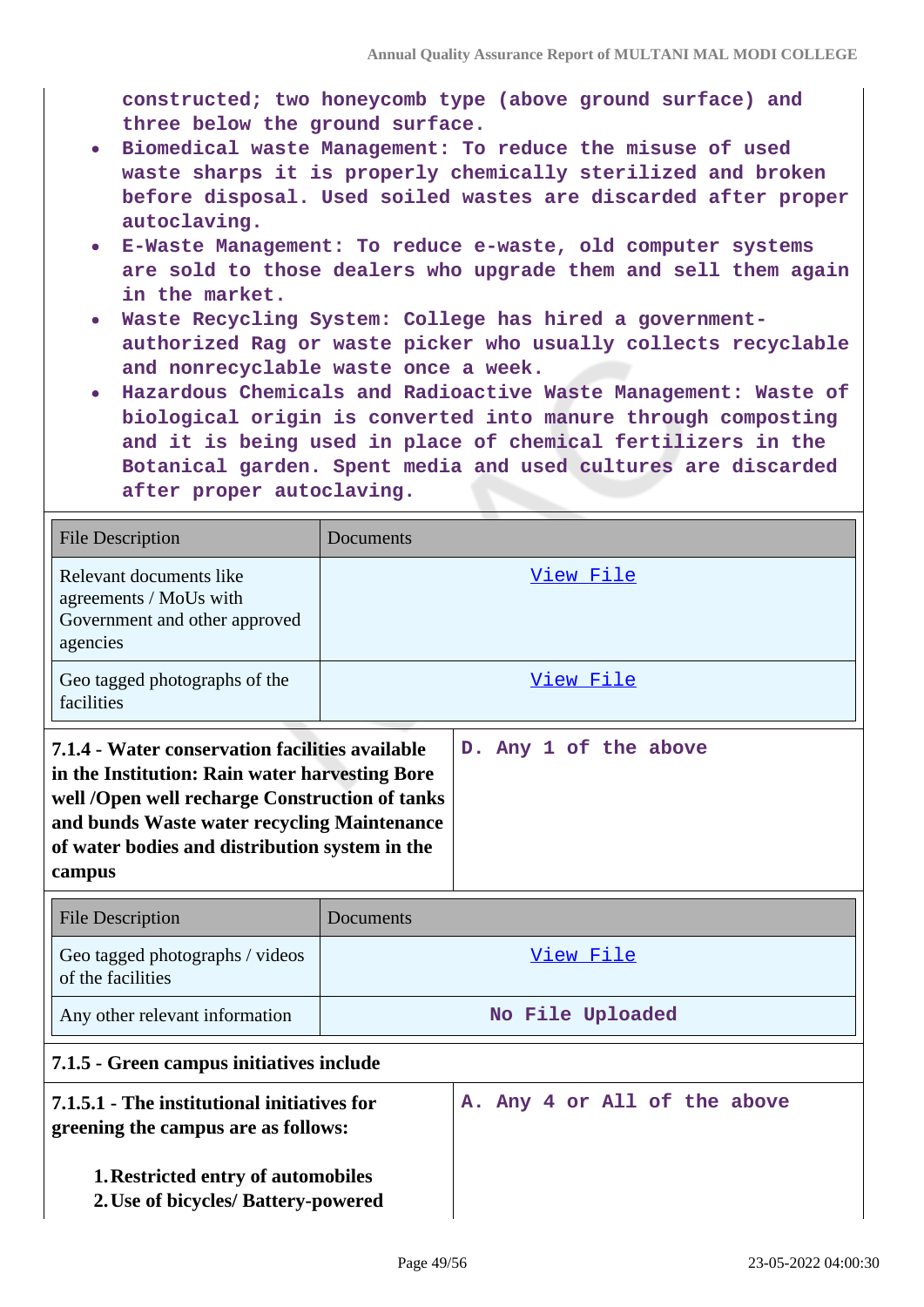**constructed; two honeycomb type (above ground surface) and three below the ground surface.**

- **Biomedical waste Management: To reduce the misuse of used waste sharps it is properly chemically sterilized and broken before disposal. Used soiled wastes are discarded after proper autoclaving.**
- **E-Waste Management: To reduce e-waste, old computer systems are sold to those dealers who upgrade them and sell them again in the market.**
- **Waste Recycling System: College has hired a governmentauthorized Rag or waste picker who usually collects recyclable and nonrecyclable waste once a week.**
- **Hazardous Chemicals and Radioactive Waste Management: Waste of biological origin is converted into manure through composting and it is being used in place of chemical fertilizers in the Botanical garden. Spent media and used cultures are discarded after proper autoclaving.**

| <b>File Description</b>                                                                                                                                                                                                                                        | Documents        |                              |  |  |  |  |
|----------------------------------------------------------------------------------------------------------------------------------------------------------------------------------------------------------------------------------------------------------------|------------------|------------------------------|--|--|--|--|
| Relevant documents like<br>agreements / MoUs with<br>Government and other approved<br>agencies                                                                                                                                                                 | View File        |                              |  |  |  |  |
| Geo tagged photographs of the<br>facilities                                                                                                                                                                                                                    | View File        |                              |  |  |  |  |
| 7.1.4 - Water conservation facilities available<br>in the Institution: Rain water harvesting Bore<br>well /Open well recharge Construction of tanks<br>and bunds Waste water recycling Maintenance<br>of water bodies and distribution system in the<br>campus |                  | D. Any 1 of the above        |  |  |  |  |
| <b>File Description</b>                                                                                                                                                                                                                                        | Documents        |                              |  |  |  |  |
| Geo tagged photographs / videos<br>of the facilities                                                                                                                                                                                                           | View File        |                              |  |  |  |  |
| Any other relevant information                                                                                                                                                                                                                                 | No File Uploaded |                              |  |  |  |  |
| 7.1.5 - Green campus initiatives include                                                                                                                                                                                                                       |                  |                              |  |  |  |  |
| 7.1.5.1 - The institutional initiatives for<br>greening the campus are as follows:                                                                                                                                                                             |                  | A. Any 4 or All of the above |  |  |  |  |
| <b>1. Restricted entry of automobiles</b><br>2. Use of bicycles/ Battery-powered                                                                                                                                                                               |                  |                              |  |  |  |  |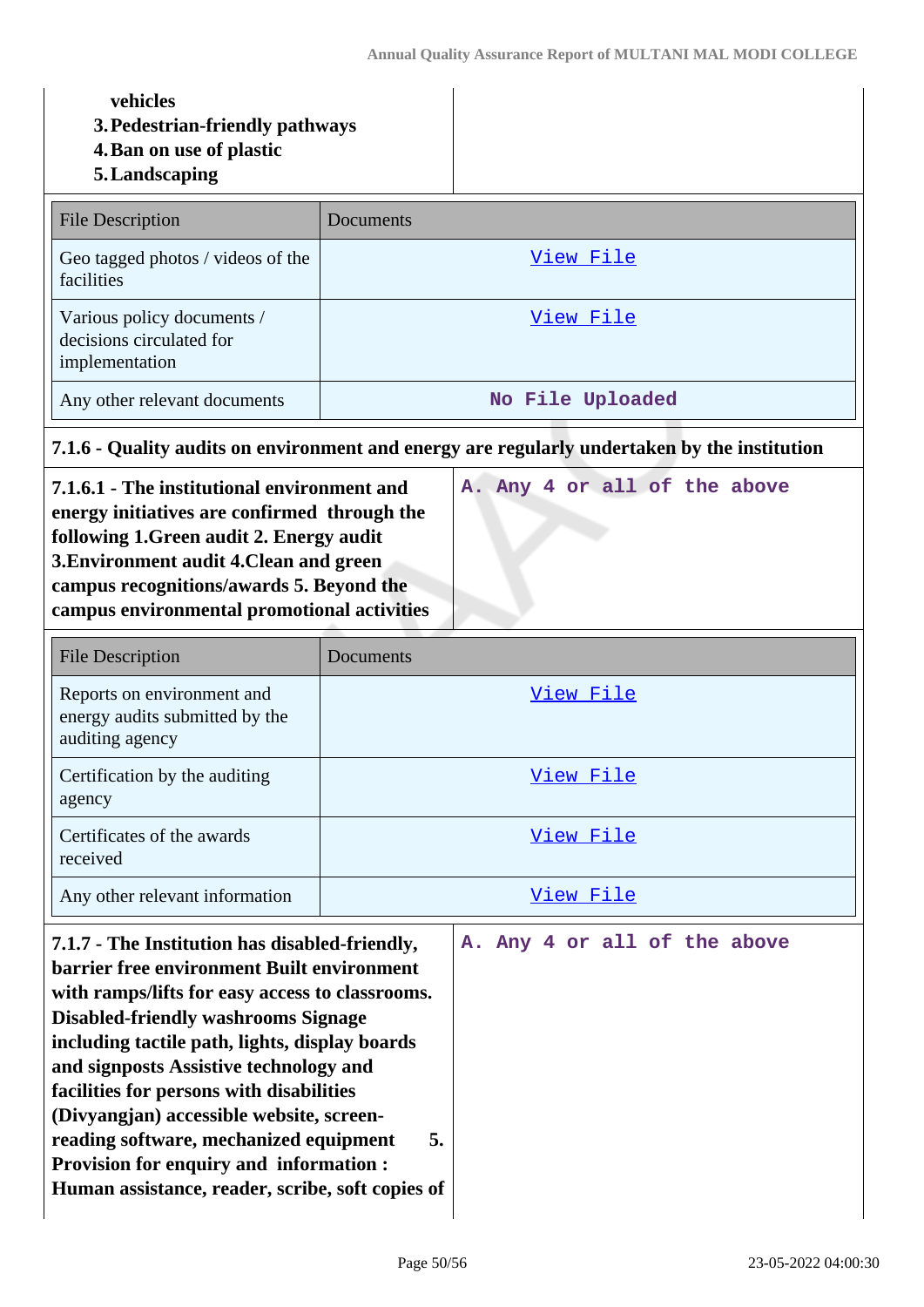## **vehicles**

- **3.Pedestrian-friendly pathways**
- **4.Ban on use of plastic**
- **5.Landscaping**

| <b>File Description</b>                                                  | Documents        |
|--------------------------------------------------------------------------|------------------|
| Geo tagged photos / videos of the<br>facilities                          | View File        |
| Various policy documents /<br>decisions circulated for<br>implementation | View File        |
| Any other relevant documents                                             | No File Uploaded |

**7.1.6 - Quality audits on environment and energy are regularly undertaken by the institution**

| 7.1.6.1 - The institutional environment and  |  |  |  | A. Any 4 or all of the above |
|----------------------------------------------|--|--|--|------------------------------|
| energy initiatives are confirmed through the |  |  |  |                              |
| following 1. Green audit 2. Energy audit     |  |  |  |                              |
| 3. Environment audit 4. Clean and green      |  |  |  |                              |
| campus recognitions/awards 5. Beyond the     |  |  |  |                              |
| campus environmental promotional activities  |  |  |  |                              |
|                                              |  |  |  |                              |

| File Description                                                                | Documents |
|---------------------------------------------------------------------------------|-----------|
| Reports on environment and<br>energy audits submitted by the<br>auditing agency | View File |
| Certification by the auditing<br>agency                                         | View File |
| Certificates of the awards<br>received                                          | View File |
| Any other relevant information                                                  | View File |

| 7.1.7 - The Institution has disabled-friendly,    |  |  |  | A. Any 4 or all of the above |
|---------------------------------------------------|--|--|--|------------------------------|
| <b>barrier free environment Built environment</b> |  |  |  |                              |
| with ramps/lifts for easy access to classrooms.   |  |  |  |                              |
| <b>Disabled-friendly washrooms Signage</b>        |  |  |  |                              |
| including tactile path, lights, display boards    |  |  |  |                              |
| and signposts Assistive technology and            |  |  |  |                              |
| facilities for persons with disabilities          |  |  |  |                              |
| (Divyangjan) accessible website, screen-          |  |  |  |                              |
| reading software, mechanized equipment<br>5.      |  |  |  |                              |
| Provision for enquiry and information :           |  |  |  |                              |
| Human assistance, reader, scribe, soft copies of  |  |  |  |                              |
|                                                   |  |  |  |                              |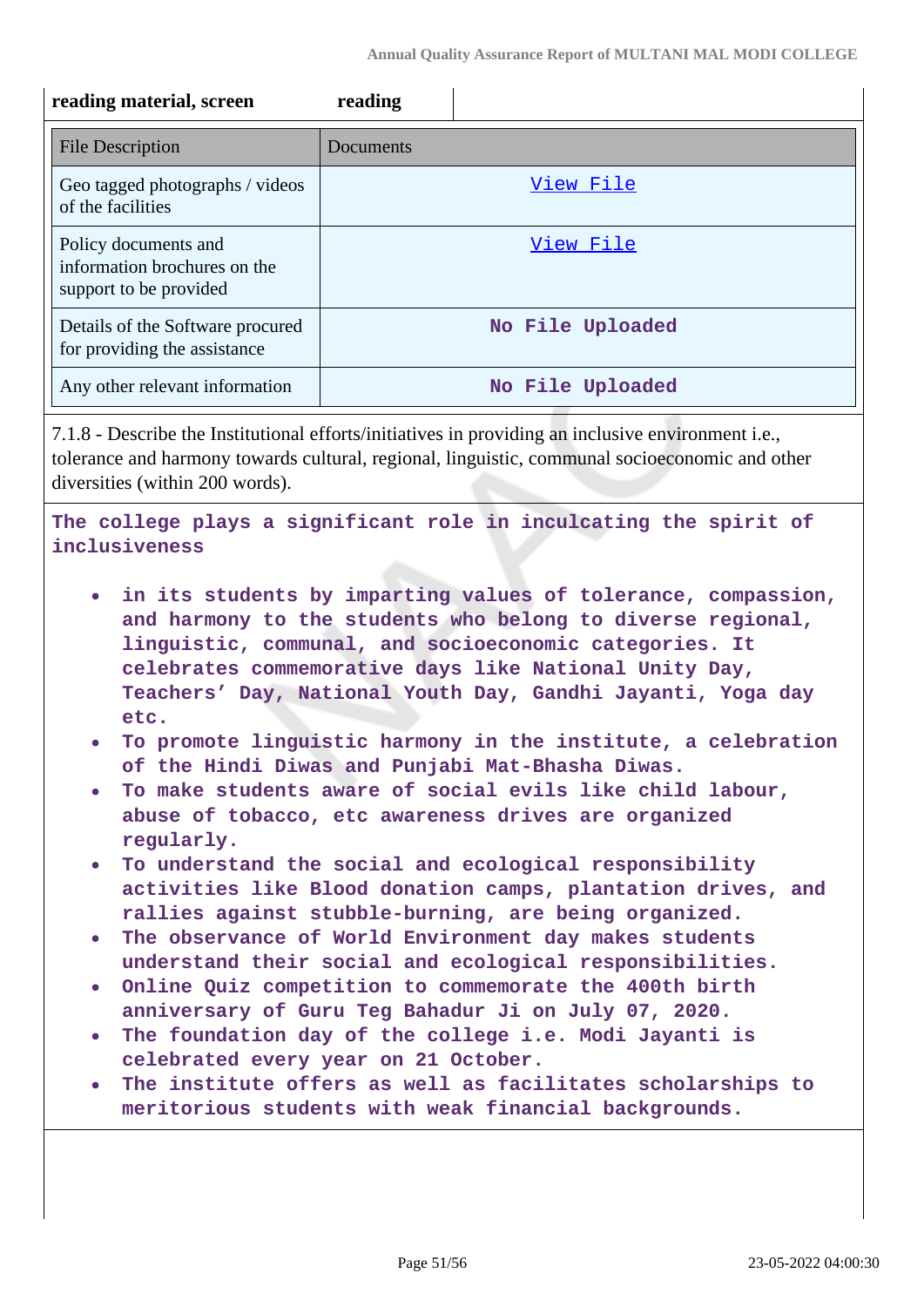| reading material, screen                                                                                      | reading                                                                                                                                                                                                                                                                                                                                                                                                                                                                                                                                                                                                                                                                                                                                                                                                                                                                                                                                                                                                                                                                                                                                               |
|---------------------------------------------------------------------------------------------------------------|-------------------------------------------------------------------------------------------------------------------------------------------------------------------------------------------------------------------------------------------------------------------------------------------------------------------------------------------------------------------------------------------------------------------------------------------------------------------------------------------------------------------------------------------------------------------------------------------------------------------------------------------------------------------------------------------------------------------------------------------------------------------------------------------------------------------------------------------------------------------------------------------------------------------------------------------------------------------------------------------------------------------------------------------------------------------------------------------------------------------------------------------------------|
| <b>File Description</b>                                                                                       | Documents                                                                                                                                                                                                                                                                                                                                                                                                                                                                                                                                                                                                                                                                                                                                                                                                                                                                                                                                                                                                                                                                                                                                             |
| Geo tagged photographs / videos<br>of the facilities                                                          | View File                                                                                                                                                                                                                                                                                                                                                                                                                                                                                                                                                                                                                                                                                                                                                                                                                                                                                                                                                                                                                                                                                                                                             |
| Policy documents and<br>information brochures on the<br>support to be provided                                | View File                                                                                                                                                                                                                                                                                                                                                                                                                                                                                                                                                                                                                                                                                                                                                                                                                                                                                                                                                                                                                                                                                                                                             |
| Details of the Software procured<br>for providing the assistance                                              | No File Uploaded                                                                                                                                                                                                                                                                                                                                                                                                                                                                                                                                                                                                                                                                                                                                                                                                                                                                                                                                                                                                                                                                                                                                      |
| Any other relevant information                                                                                | No File Uploaded                                                                                                                                                                                                                                                                                                                                                                                                                                                                                                                                                                                                                                                                                                                                                                                                                                                                                                                                                                                                                                                                                                                                      |
| diversities (within 200 words).                                                                               | 7.1.8 - Describe the Institutional efforts/initiatives in providing an inclusive environment i.e.,<br>tolerance and harmony towards cultural, regional, linguistic, communal socioeconomic and other                                                                                                                                                                                                                                                                                                                                                                                                                                                                                                                                                                                                                                                                                                                                                                                                                                                                                                                                                  |
| inclusiveness                                                                                                 | The college plays a significant role in inculcating the spirit of                                                                                                                                                                                                                                                                                                                                                                                                                                                                                                                                                                                                                                                                                                                                                                                                                                                                                                                                                                                                                                                                                     |
| $\bullet$<br>etc.<br>$\bullet$<br>regularly.<br>$\bullet$<br>$\bullet$<br>$\bullet$<br>$\bullet$<br>$\bullet$ | in its students by imparting values of tolerance, compassion,<br>and harmony to the students who belong to diverse regional,<br>linguistic, communal, and socioeconomic categories. It<br>celebrates commemorative days like National Unity Day,<br>Teachers' Day, National Youth Day, Gandhi Jayanti, Yoga day<br>To promote linguistic harmony in the institute, a celebration<br>of the Hindi Diwas and Punjabi Mat-Bhasha Diwas.<br>To make students aware of social evils like child labour,<br>abuse of tobacco, etc awareness drives are organized<br>To understand the social and ecological responsibility<br>activities like Blood donation camps, plantation drives, and<br>rallies against stubble-burning, are being organized.<br>The observance of World Environment day makes students<br>understand their social and ecological responsibilities.<br>Online Quiz competition to commemorate the 400th birth<br>anniversary of Guru Teg Bahadur Ji on July 07, 2020.<br>The foundation day of the college i.e. Modi Jayanti is<br>celebrated every year on 21 October.<br>The institute offers as well as facilitates scholarships to |
|                                                                                                               | meritorious students with weak financial backgrounds.                                                                                                                                                                                                                                                                                                                                                                                                                                                                                                                                                                                                                                                                                                                                                                                                                                                                                                                                                                                                                                                                                                 |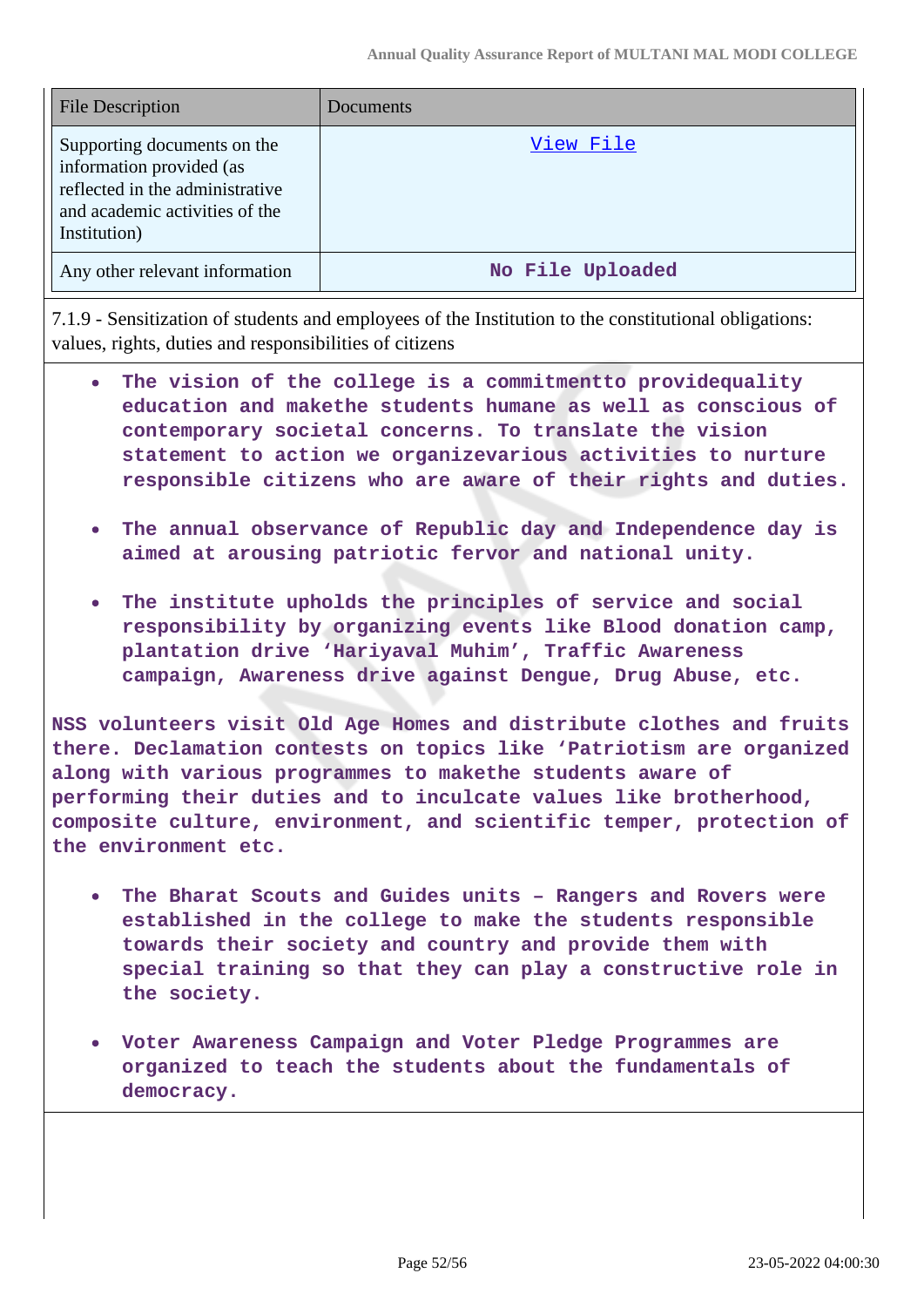| <b>File Description</b>                                                                                                                      | Documents        |
|----------------------------------------------------------------------------------------------------------------------------------------------|------------------|
| Supporting documents on the<br>information provided (as<br>reflected in the administrative<br>and academic activities of the<br>Institution) | View File        |
| Any other relevant information                                                                                                               | No File Uploaded |

7.1.9 - Sensitization of students and employees of the Institution to the constitutional obligations: values, rights, duties and responsibilities of citizens

- **The vision of the college is a commitmentto providequality education and makethe students humane as well as conscious of contemporary societal concerns. To translate the vision statement to action we organizevarious activities to nurture responsible citizens who are aware of their rights and duties.**
- **The annual observance of Republic day and Independence day is**  $\bullet$ **aimed at arousing patriotic fervor and national unity.**
- **The institute upholds the principles of service and social responsibility by organizing events like Blood donation camp, plantation drive 'Hariyaval Muhim', Traffic Awareness campaign, Awareness drive against Dengue, Drug Abuse, etc.**

**NSS volunteers visit Old Age Homes and distribute clothes and fruits there. Declamation contests on topics like 'Patriotism are organized along with various programmes to makethe students aware of performing their duties and to inculcate values like brotherhood, composite culture, environment, and scientific temper, protection of the environment etc.**

- **The Bharat Scouts and Guides units Rangers and Rovers were established in the college to make the students responsible towards their society and country and provide them with special training so that they can play a constructive role in the society.**
- **Voter Awareness Campaign and Voter Pledge Programmes are organized to teach the students about the fundamentals of democracy.**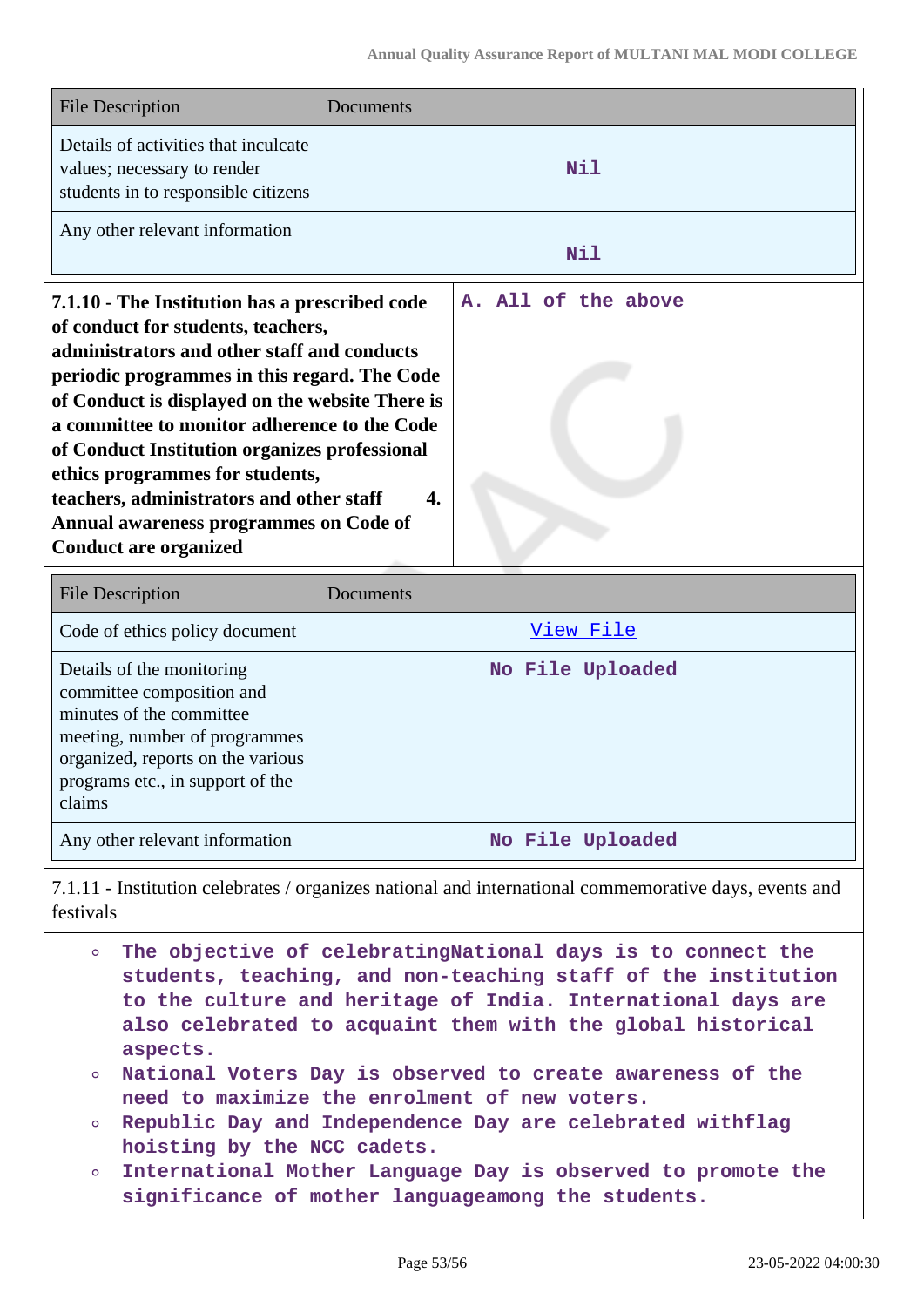| <b>File Description</b>                                                                                                                                                                                                                                                                                                                                                                                                                                                                          | Documents                 |  |  |  |  |  |
|--------------------------------------------------------------------------------------------------------------------------------------------------------------------------------------------------------------------------------------------------------------------------------------------------------------------------------------------------------------------------------------------------------------------------------------------------------------------------------------------------|---------------------------|--|--|--|--|--|
| Details of activities that inculcate<br>values; necessary to render<br>students in to responsible citizens                                                                                                                                                                                                                                                                                                                                                                                       | Nil                       |  |  |  |  |  |
| Any other relevant information                                                                                                                                                                                                                                                                                                                                                                                                                                                                   | Nil                       |  |  |  |  |  |
| 7.1.10 - The Institution has a prescribed code<br>of conduct for students, teachers,<br>administrators and other staff and conducts<br>periodic programmes in this regard. The Code<br>of Conduct is displayed on the website There is<br>a committee to monitor adherence to the Code<br>of Conduct Institution organizes professional<br>ethics programmes for students,<br>teachers, administrators and other staff<br>Annual awareness programmes on Code of<br><b>Conduct are organized</b> | A. All of the above<br>4. |  |  |  |  |  |
| <b>File Description</b>                                                                                                                                                                                                                                                                                                                                                                                                                                                                          | Documents                 |  |  |  |  |  |
| Code of ethics policy document                                                                                                                                                                                                                                                                                                                                                                                                                                                                   | View File                 |  |  |  |  |  |
| Details of the monitoring<br>committee composition and<br>minutes of the committee<br>meeting, number of programmes<br>organized, reports on the various                                                                                                                                                                                                                                                                                                                                         | No File Uploaded          |  |  |  |  |  |

Any other relevant information **No File Uploaded** 

programs etc., in support of the

claims

7.1.11 - Institution celebrates / organizes national and international commemorative days, events and festivals

- **The objective of celebratingNational days is to connect the**  $\sim$ **students, teaching, and non-teaching staff of the institution to the culture and heritage of India. International days are also celebrated to acquaint them with the global historical aspects.**
- **National Voters Day is observed to create awareness of the need to maximize the enrolment of new voters.**
- **Republic Day and Independence Day are celebrated withflag hoisting by the NCC cadets.**
- **International Mother Language Day is observed to promote the**  $\circ$ **significance of mother languageamong the students.**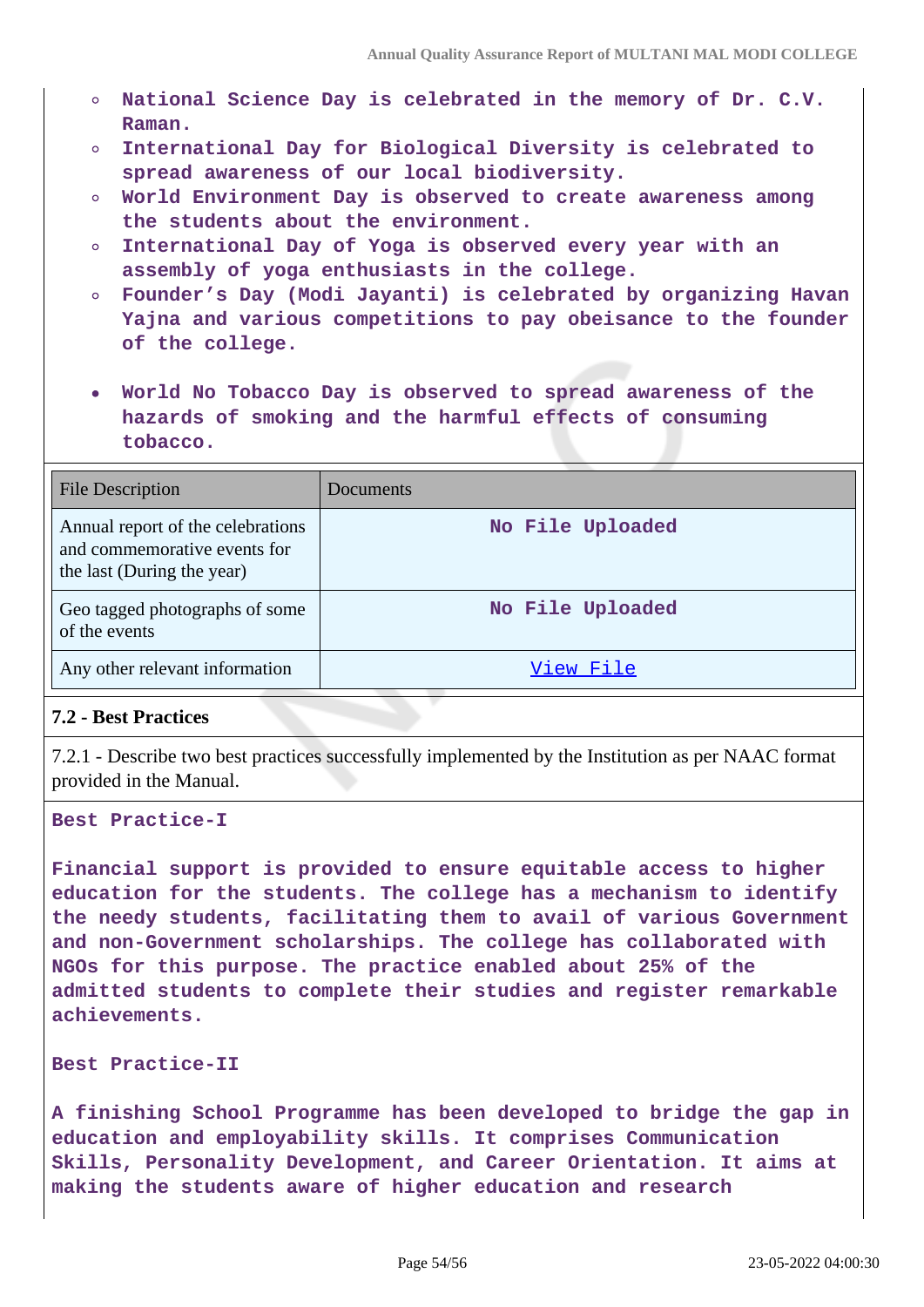- **National Science Day is celebrated in the memory of Dr. C.V. Raman.**
- **International Day for Biological Diversity is celebrated to**  $\circ$ **spread awareness of our local biodiversity.**
- **World Environment Day is observed to create awareness among the students about the environment.**
- **International Day of Yoga is observed every year with an**  $\bullet$ **assembly of yoga enthusiasts in the college.**
- **Founder's Day (Modi Jayanti) is celebrated by organizing Havan**  $\circ$ **Yajna and various competitions to pay obeisance to the founder of the college.**
- **World No Tobacco Day is observed to spread awareness of the hazards of smoking and the harmful effects of consuming tobacco.**

| <b>File Description</b>                                                                         | Documents        |
|-------------------------------------------------------------------------------------------------|------------------|
| Annual report of the celebrations<br>and commemorative events for<br>the last (During the year) | No File Uploaded |
| Geo tagged photographs of some<br>of the events                                                 | No File Uploaded |
| Any other relevant information                                                                  | View File        |

#### **7.2 - Best Practices**

7.2.1 - Describe two best practices successfully implemented by the Institution as per NAAC format provided in the Manual.

**Best Practice-I**

**Financial support is provided to ensure equitable access to higher education for the students. The college has a mechanism to identify the needy students, facilitating them to avail of various Government and non-Government scholarships. The college has collaborated with NGOs for this purpose. The practice enabled about 25% of the admitted students to complete their studies and register remarkable achievements.**

#### **Best Practice-II**

**A finishing School Programme has been developed to bridge the gap in education and employability skills. It comprises Communication Skills, Personality Development, and Career Orientation. It aims at making the students aware of higher education and research**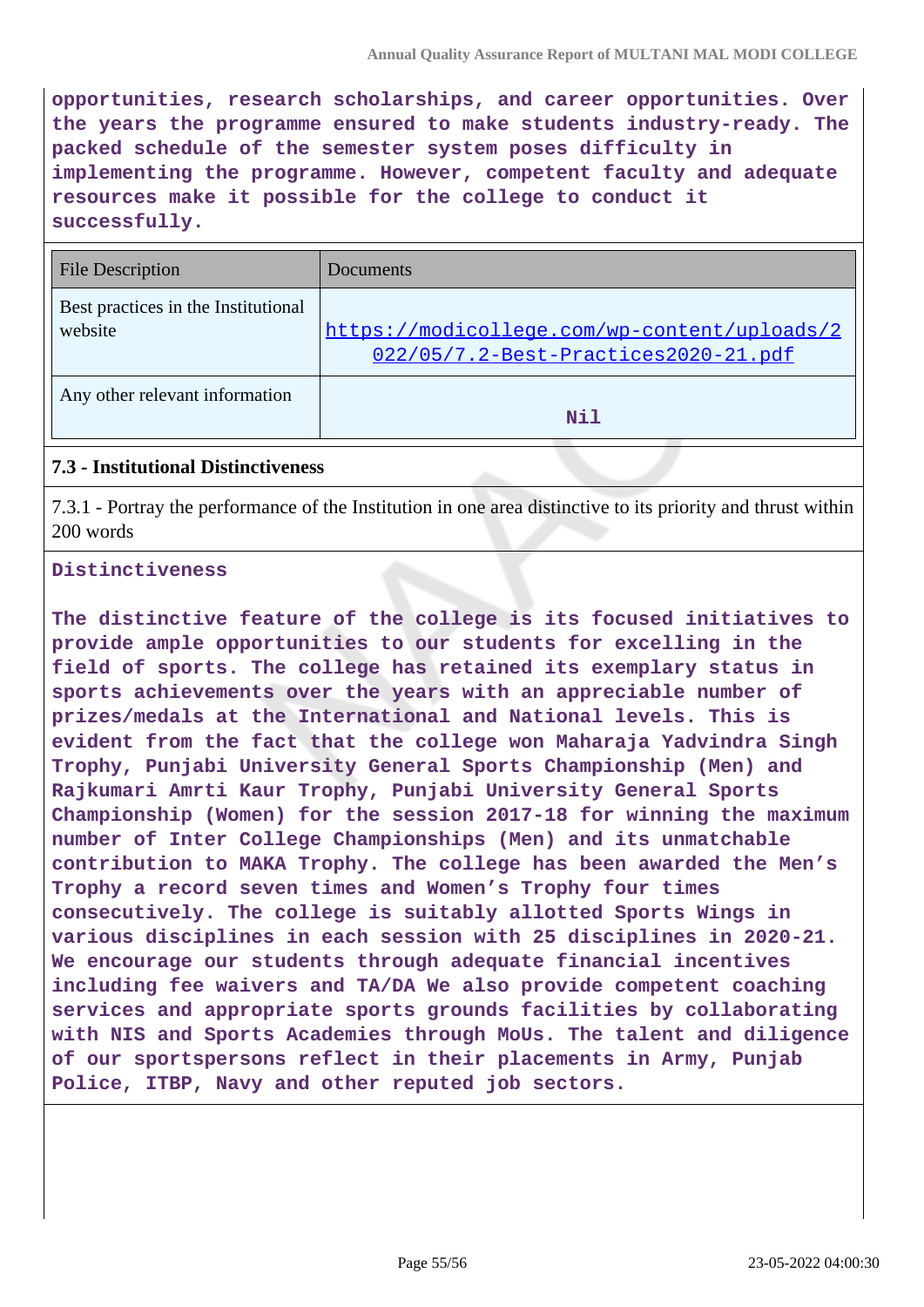**opportunities, research scholarships, and career opportunities. Over the years the programme ensured to make students industry-ready. The packed schedule of the semester system poses difficulty in implementing the programme. However, competent faculty and adequate resources make it possible for the college to conduct it successfully.**

| <b>File Description</b>                        | Documents                                                                            |
|------------------------------------------------|--------------------------------------------------------------------------------------|
| Best practices in the Institutional<br>website | https://modicollege.com/wp-content/uploads/2<br>022/05/7.2-Best-Practices2020-21.pdf |
| Any other relevant information                 | Nil                                                                                  |

## **7.3 - Institutional Distinctiveness**

7.3.1 - Portray the performance of the Institution in one area distinctive to its priority and thrust within 200 words

#### **Distinctiveness**

**The distinctive feature of the college is its focused initiatives to provide ample opportunities to our students for excelling in the field of sports. The college has retained its exemplary status in sports achievements over the years with an appreciable number of prizes/medals at the International and National levels. This is evident from the fact that the college won Maharaja Yadvindra Singh Trophy, Punjabi University General Sports Championship (Men) and Rajkumari Amrti Kaur Trophy, Punjabi University General Sports Championship (Women) for the session 2017-18 for winning the maximum number of Inter College Championships (Men) and its unmatchable contribution to MAKA Trophy. The college has been awarded the Men's Trophy a record seven times and Women's Trophy four times consecutively. The college is suitably allotted Sports Wings in various disciplines in each session with 25 disciplines in 2020-21. We encourage our students through adequate financial incentives including fee waivers and TA/DA We also provide competent coaching services and appropriate sports grounds facilities by collaborating with NIS and Sports Academies through MoUs. The talent and diligence of our sportspersons reflect in their placements in Army, Punjab Police, ITBP, Navy and other reputed job sectors.**